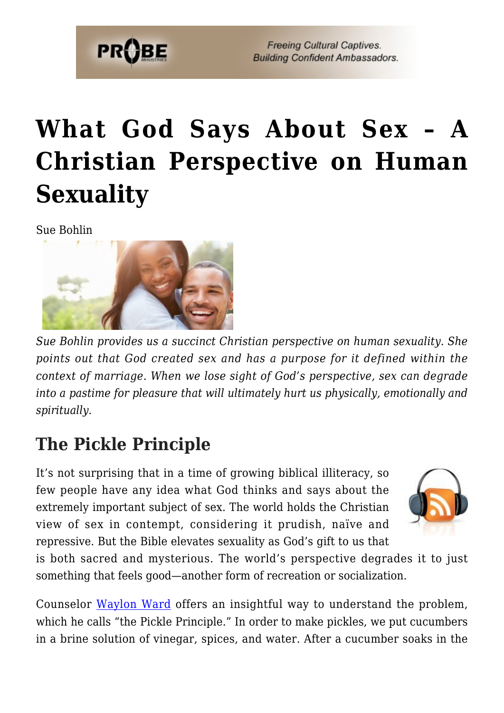

# **[What God Says About Sex – A](https://probe.org/what-god-says-about-sex/) [Christian Perspective on Human](https://probe.org/what-god-says-about-sex/) [Sexuality](https://probe.org/what-god-says-about-sex/)**

Sue Bohlin



*Sue Bohlin provides us a succinct Christian perspective on human sexuality. She points out that God created sex and has a purpose for it defined within the context of marriage. When we lose sight of God's perspective, sex can degrade into a pastime for pleasure that will ultimately hurt us physically, emotionally and spiritually.*

# **The Pickle Principle**

It's not surprising that in a time of growing biblical illiteracy, so few people have any idea what God thinks and says about the extremely important subject of sex. The world holds the Christian view of sex in contempt, considering it prudish, naïve and repressive. But the Bible elevates sexuality as God's gift to us that



is both sacred and mysterious. The world's perspective degrades it to just something that feels good—another form of recreation or socialization.

Counselor [Waylon Ward](http://www.drwaylonward.com/) offers an insightful way to understand the problem, which he calls "the Pickle Principle." In order to make pickles, we put cucumbers in a brine solution of vinegar, spices, and water. After a cucumber soaks in the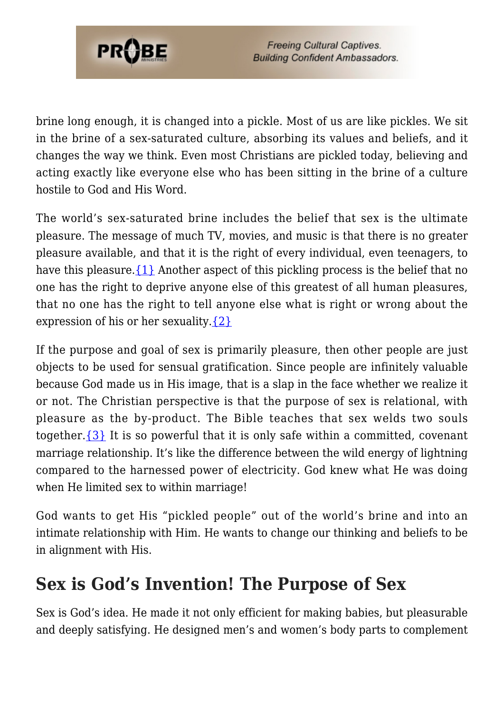

brine long enough, it is changed into a pickle. Most of us are like pickles. We sit in the brine of a sex-saturated culture, absorbing its values and beliefs, and it changes the way we think. Even most Christians are pickled today, believing and acting exactly like everyone else who has been sitting in the brine of a culture hostile to God and His Word.

The world's sex-saturated brine includes the belief that sex is the ultimate pleasure. The message of much TV, movies, and music is that there is no greater pleasure available, and that it is the right of every individual, even teenagers, to have this pleasure.  $\{1\}$  Another aspect of this pickling process is the belief that no one has the right to deprive anyone else of this greatest of all human pleasures, that no one has the right to tell anyone else what is right or wrong about the expression of his or her sexuality[.{2}](#page-80-0)

If the purpose and goal of sex is primarily pleasure, then other people are just objects to be used for sensual gratification. Since people are infinitely valuable because God made us in His image, that is a slap in the face whether we realize it or not. The Christian perspective is that the purpose of sex is relational, with pleasure as the by-product. The Bible teaches that sex welds two souls together.  $\{3\}$  It is so powerful that it is only safe within a committed, covenant marriage relationship. It's like the difference between the wild energy of lightning compared to the harnessed power of electricity. God knew what He was doing when He limited sex to within marriage!

God wants to get His "pickled people" out of the world's brine and into an intimate relationship with Him. He wants to change our thinking and beliefs to be in alignment with His.

## **Sex is God's Invention! The Purpose of Sex**

Sex is God's idea. He made it not only efficient for making babies, but pleasurable and deeply satisfying. He designed men's and women's body parts to complement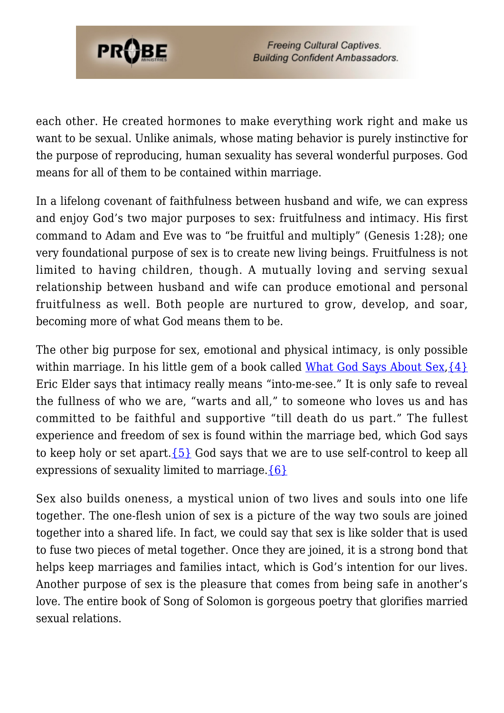

each other. He created hormones to make everything work right and make us want to be sexual. Unlike animals, whose mating behavior is purely instinctive for the purpose of reproducing, human sexuality has several wonderful purposes. God means for all of them to be contained within marriage.

In a lifelong covenant of faithfulness between husband and wife, we can express and enjoy God's two major purposes to sex: fruitfulness and intimacy. His first command to Adam and Eve was to "be fruitful and multiply" (Genesis 1:28); one very foundational purpose of sex is to create new living beings. Fruitfulness is not limited to having children, though. A mutually loving and serving sexual relationship between husband and wife can produce emotional and personal fruitfulness as well. Both people are nurtured to grow, develop, and soar, becoming more of what God means them to be.

The other big purpose for sex, emotional and physical intimacy, is only possible within marriage. In his little gem of a book called [What God Says About Sex](https://www.amazon.com/gp/product/193176008X/ref=as_li_tl?ie=UTF8&camp=1789&creative=9325&creativeASIN=193176008X&linkCode=as2&tag=probeministri-20&linkId=1e17cd8c90ca5cc7c50c65e41d86d752),  $\{4\}$ Eric Elder says that intimacy really means "into-me-see." It is only safe to reveal the fullness of who we are, "warts and all," to someone who loves us and has committed to be faithful and supportive "till death do us part." The fullest experience and freedom of sex is found within the marriage bed, which God says to keep holy or set apart. $\{5\}$  God says that we are to use self-control to keep all expressions of sexuality limited to marriage. ${6}$ 

Sex also builds oneness, a mystical union of two lives and souls into one life together. The one-flesh union of sex is a picture of the way two souls are joined together into a shared life. In fact, we could say that sex is like solder that is used to fuse two pieces of metal together. Once they are joined, it is a strong bond that helps keep marriages and families intact, which is God's intention for our lives. Another purpose of sex is the pleasure that comes from being safe in another's love. The entire book of Song of Solomon is gorgeous poetry that glorifies married sexual relations.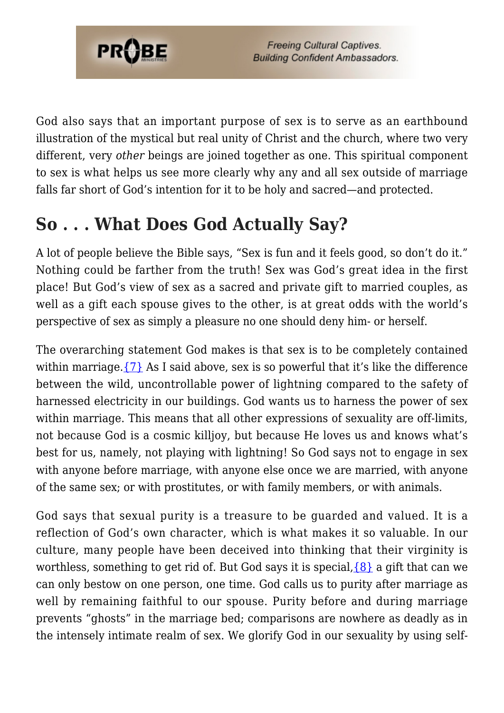

God also says that an important purpose of sex is to serve as an earthbound illustration of the mystical but real unity of Christ and the church, where two very different, very *other* beings are joined together as one. This spiritual component to sex is what helps us see more clearly why any and all sex outside of marriage falls far short of God's intention for it to be holy and sacred—and protected.

# **So . . . What Does God Actually Say?**

A lot of people believe the Bible says, "Sex is fun and it feels good, so don't do it." Nothing could be farther from the truth! Sex was God's great idea in the first place! But God's view of sex as a sacred and private gift to married couples, as well as a gift each spouse gives to the other, is at great odds with the world's perspective of sex as simply a pleasure no one should deny him- or herself.

The overarching statement God makes is that sex is to be completely contained within marriage. $\{7\}$  As I said above, sex is so powerful that it's like the difference between the wild, uncontrollable power of lightning compared to the safety of harnessed electricity in our buildings. God wants us to harness the power of sex within marriage. This means that all other expressions of sexuality are off-limits, not because God is a cosmic killjoy, but because He loves us and knows what's best for us, namely, not playing with lightning! So God says not to engage in sex with anyone before marriage, with anyone else once we are married, with anyone of the same sex; or with prostitutes, or with family members, or with animals.

God says that sexual purity is a treasure to be guarded and valued. It is a reflection of God's own character, which is what makes it so valuable. In our culture, many people have been deceived into thinking that their virginity is worthless, something to get rid of. But God says it is special,  $\{8\}$  a gift that can we can only bestow on one person, one time. God calls us to purity after marriage as well by remaining faithful to our spouse. Purity before and during marriage prevents "ghosts" in the marriage bed; comparisons are nowhere as deadly as in the intensely intimate realm of sex. We glorify God in our sexuality by using self-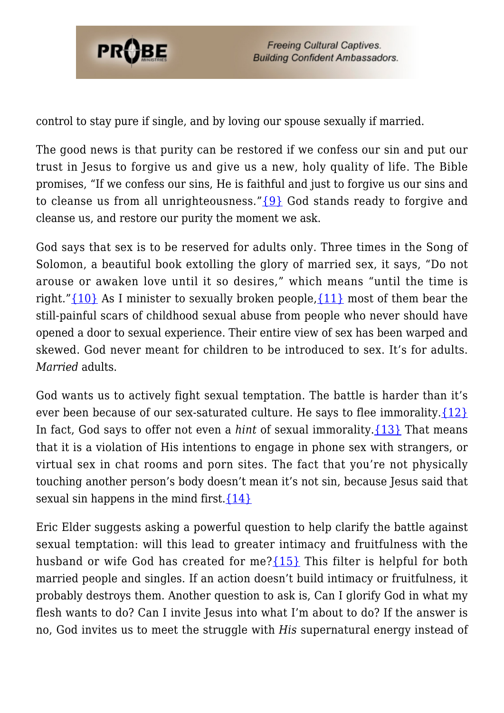

control to stay pure if single, and by loving our spouse sexually if married.

The good news is that purity can be restored if we confess our sin and put our trust in Jesus to forgive us and give us a new, holy quality of life. The Bible promises, "If we confess our sins, He is faithful and just to forgive us our sins and to cleanse us from all unrighteousness." $\{9\}$  God stands ready to forgive and cleanse us, and restore our purity the moment we ask.

God says that sex is to be reserved for adults only. Three times in the Song of Solomon, a beautiful book extolling the glory of married sex, it says, "Do not arouse or awaken love until it so desires," which means "until the time is right."[{10}](#page-81-3) As I minister to sexually broken people,[{11}](#page-81-4) most of them bear the still-painful scars of childhood sexual abuse from people who never should have opened a door to sexual experience. Their entire view of sex has been warped and skewed. God never meant for children to be introduced to sex. It's for adults. *Married* adults.

God wants us to actively fight sexual temptation. The battle is harder than it's ever been because of our sex-saturated culture. He says to flee immorality. ${12}$ In fact, God says to offer not even a *hint* of sexual immorality[.{13}](#page-81-6) That means that it is a violation of His intentions to engage in phone sex with strangers, or virtual sex in chat rooms and porn sites. The fact that you're not physically touching another person's body doesn't mean it's not sin, because Jesus said that sexual sin happens in the mind first.  $\{14\}$ 

Eric Elder suggests asking a powerful question to help clarify the battle against sexual temptation: will this lead to greater intimacy and fruitfulness with the husband or wife God has created for me? [{15}](#page-81-8) This filter is helpful for both married people and singles. If an action doesn't build intimacy or fruitfulness, it probably destroys them. Another question to ask is, Can I glorify God in what my flesh wants to do? Can I invite Jesus into what I'm about to do? If the answer is no, God invites us to meet the struggle with *His* supernatural energy instead of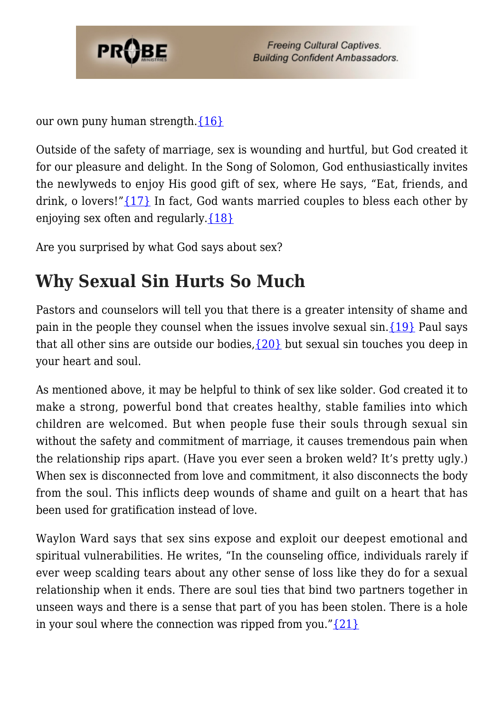

our own puny human strength. ${16}$ 

Outside of the safety of marriage, sex is wounding and hurtful, but God created it for our pleasure and delight. In the Song of Solomon, God enthusiastically invites the newlyweds to enjoy His good gift of sex, where He says, "Eat, friends, and drink, o lovers!" $\{17\}$  In fact, God wants married couples to bless each other by enjoying sex often and regularly[.{18}](#page-37-0)

Are you surprised by what God says about sex?

# **Why Sexual Sin Hurts So Much**

Pastors and counselors will tell you that there is a greater intensity of shame and pain in the people they counsel when the issues involve sexual sin[.{19}](#page-37-1) Paul says that all other sins are outside our bodies,  $\{20\}$  but sexual sin touches you deep in your heart and soul.

As mentioned above, it may be helpful to think of sex like solder. God created it to make a strong, powerful bond that creates healthy, stable families into which children are welcomed. But when people fuse their souls through sexual sin without the safety and commitment of marriage, it causes tremendous pain when the relationship rips apart. (Have you ever seen a broken weld? It's pretty ugly.) When sex is disconnected from love and commitment, it also disconnects the body from the soul. This inflicts deep wounds of shame and guilt on a heart that has been used for gratification instead of love.

Waylon Ward says that sex sins expose and exploit our deepest emotional and spiritual vulnerabilities. He writes, "In the counseling office, individuals rarely if ever weep scalding tears about any other sense of loss like they do for a sexual relationship when it ends. There are soul ties that bind two partners together in unseen ways and there is a sense that part of you has been stolen. There is a hole in your soul where the connection was ripped from you." $\{21\}$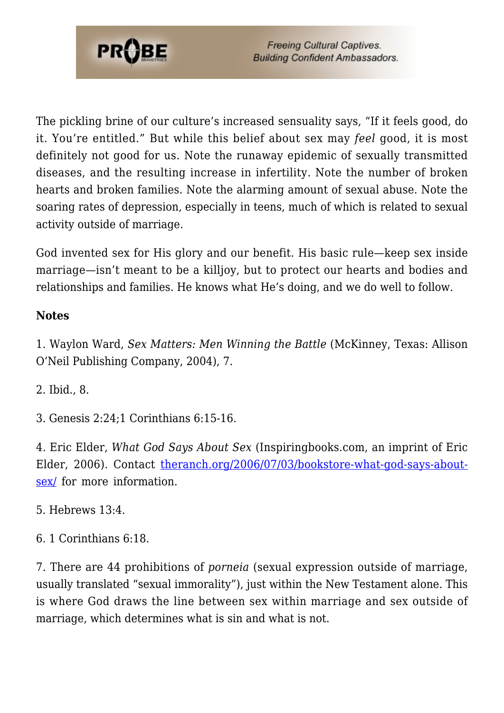

The pickling brine of our culture's increased sensuality says, "If it feels good, do it. You're entitled." But while this belief about sex may *feel* good, it is most definitely not good for us. Note the runaway epidemic of sexually transmitted diseases, and the resulting increase in infertility. Note the number of broken hearts and broken families. Note the alarming amount of sexual abuse. Note the soaring rates of depression, especially in teens, much of which is related to sexual activity outside of marriage.

God invented sex for His glory and our benefit. His basic rule—keep sex inside marriage—isn't meant to be a killjoy, but to protect our hearts and bodies and relationships and families. He knows what He's doing, and we do well to follow.

### **Notes**

1. Waylon Ward, *Sex Matters: Men Winning the Battle* (McKinney, Texas: Allison O'Neil Publishing Company, 2004), 7.

2. Ibid., 8.

3. Genesis 2:24;1 Corinthians 6:15-16.

4. Eric Elder, *What God Says About Sex* (Inspiringbooks.com, an imprint of Eric Elder, 2006). Contact [theranch.org/2006/07/03/bookstore-what-god-says-about](https://theranch.org/2006/07/03/bookstore-what-god-says-about-sex/)[sex/](https://theranch.org/2006/07/03/bookstore-what-god-says-about-sex/) for more information.

5. Hebrews 13:4.

6. 1 Corinthians 6:18.

7. There are 44 prohibitions of *porneia* (sexual expression outside of marriage, usually translated "sexual immorality"), just within the New Testament alone. This is where God draws the line between sex within marriage and sex outside of marriage, which determines what is sin and what is not.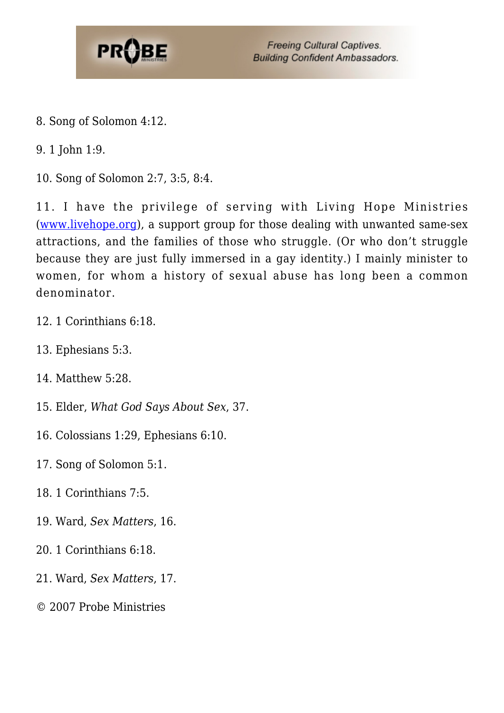

8. Song of Solomon 4:12.

9. 1 John 1:9.

10. Song of Solomon 2:7, 3:5, 8:4.

11. I have the privilege of serving with Living Hope Ministries [\(www.livehope.org\)](http://www.livehope.org), a support group for those dealing with unwanted same-sex attractions, and the families of those who struggle. (Or who don't struggle because they are just fully immersed in a gay identity.) I mainly minister to women, for whom a history of sexual abuse has long been a common denominator.

- 12. 1 Corinthians 6:18.
- 13. Ephesians 5:3.
- 14. Matthew 5:28.
- 15. Elder, *What God Says About Sex*, 37.
- 16. Colossians 1:29, Ephesians 6:10.

17. Song of Solomon 5:1.

- 18. 1 Corinthians 7:5.
- 19. Ward, *Sex Matters*, 16.
- 20. 1 Corinthians 6:18.
- 21. Ward, *Sex Matters*, 17.
- © 2007 Probe Ministries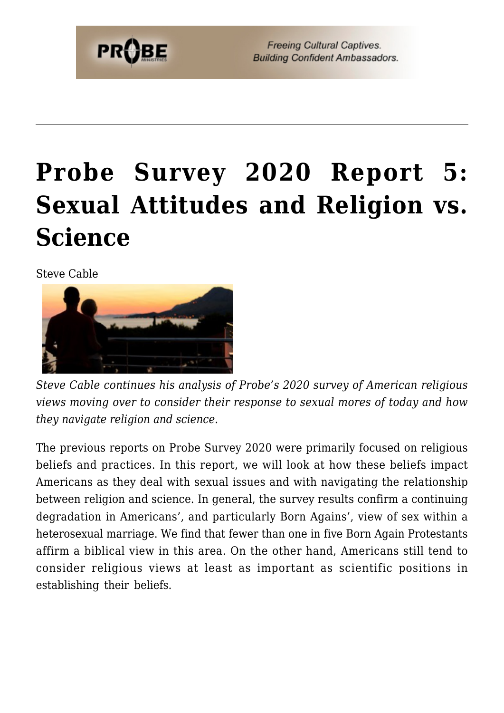

# **[Probe Survey 2020 Report 5:](https://probe.org/probe-survey-2020-report-5-sexual-attitudes-and-religion-vs-science/) [Sexual Attitudes and Religion vs.](https://probe.org/probe-survey-2020-report-5-sexual-attitudes-and-religion-vs-science/) [Science](https://probe.org/probe-survey-2020-report-5-sexual-attitudes-and-religion-vs-science/)**

Steve Cable



*Steve Cable continues his analysis of Probe's 2020 survey of American religious views moving over to consider their response to sexual mores of today and how they navigate religion and science.*

The previous reports on Probe Survey 2020 were primarily focused on religious beliefs and practices. In this report, we will look at how these beliefs impact Americans as they deal with sexual issues and with navigating the relationship between religion and science. In general, the survey results confirm a continuing degradation in Americans', and particularly Born Agains', view of sex within a heterosexual marriage. We find that fewer than one in five Born Again Protestants affirm a biblical view in this area. On the other hand, Americans still tend to consider religious views at least as important as scientific positions in establishing their beliefs.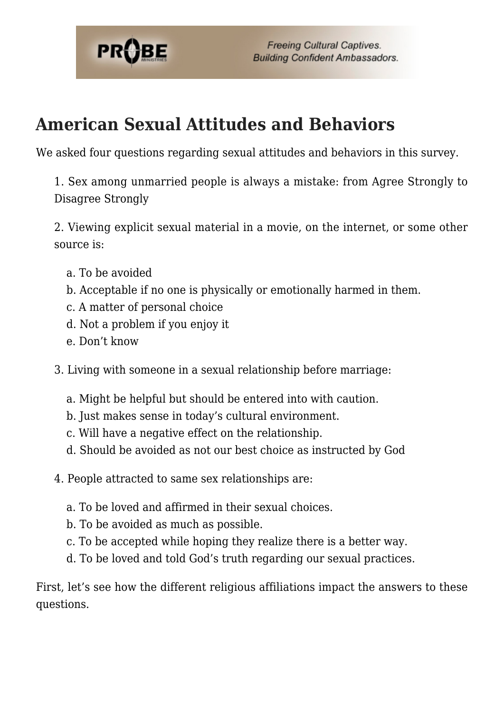

# **American Sexual Attitudes and Behaviors**

We asked four questions regarding sexual attitudes and behaviors in this survey.

1. Sex among unmarried people is always a mistake: from Agree Strongly to Disagree Strongly

2. Viewing explicit sexual material in a movie, on the internet, or some other source is:

- a. To be avoided
- b. Acceptable if no one is physically or emotionally harmed in them.
- c. A matter of personal choice
- d. Not a problem if you enjoy it
- e. Don't know
- 3. Living with someone in a sexual relationship before marriage:
	- a. Might be helpful but should be entered into with caution.
	- b. Just makes sense in today's cultural environment.
	- c. Will have a negative effect on the relationship.
	- d. Should be avoided as not our best choice as instructed by God
- 4. People attracted to same sex relationships are:
	- a. To be loved and affirmed in their sexual choices.
	- b. To be avoided as much as possible.
	- c. To be accepted while hoping they realize there is a better way.
	- d. To be loved and told God's truth regarding our sexual practices.

First, let's see how the different religious affiliations impact the answers to these questions.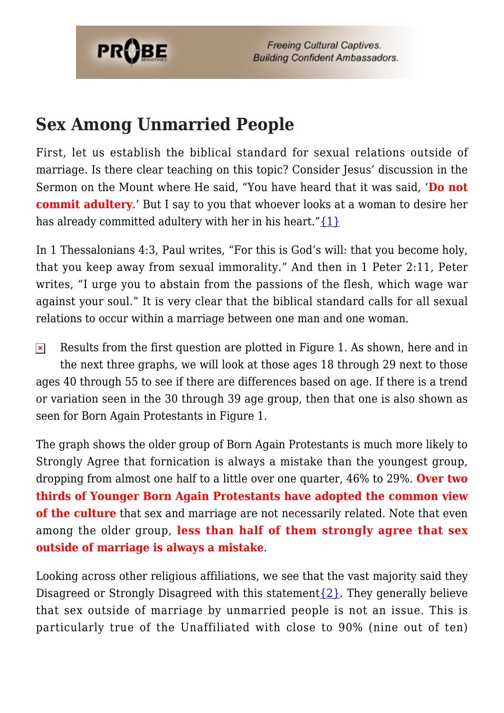

## **Sex Among Unmarried People**

First, let us establish the biblical standard for sexual relations outside of marriage. Is there clear teaching on this topic? Consider Jesus' discussion in the Sermon on the Mount where He said, "You have heard that it was said, '**Do not commit adultery**.' But I say to you that whoever looks at a woman to desire her has already committed adultery with her in his heart." $\{1\}$ 

In 1 Thessalonians 4:3, Paul writes, "For this is God's will: that you become holy, that you keep away from sexual immorality." And then in 1 Peter 2:11, Peter writes. "I urge you to abstain from the passions of the flesh, which wage war against your soul." It is very clear that the biblical standard calls for all sexual relations to occur within a marriage between one man and one woman.

 $\pmb{\times}$ Results from the first question are plotted in Figure 1. As shown, here and in the next three graphs, we will look at those ages 18 through 29 next to those ages 40 through 55 to see if there are differences based on age. If there is a trend or variation seen in the 30 through 39 age group, then that one is also shown as seen for Born Again Protestants in Figure 1.

The graph shows the older group of Born Again Protestants is much more likely to Strongly Agree that fornication is always a mistake than the youngest group, dropping from almost one half to a little over one quarter, 46% to 29%. **Over two thirds of Younger Born Again Protestants have adopted the common view of the culture** that sex and marriage are not necessarily related. Note that even among the older group, **less than half of them strongly agree that sex outside of marriage is always a mistake**.

Looking across other religious affiliations, we see that the vast majority said they Disagreed or Strongly Disagreed with this statement  $\{2\}$ . They generally believe that sex outside of marriage by unmarried people is not an issue. This is particularly true of the Unaffiliated with close to 90% (nine out of ten)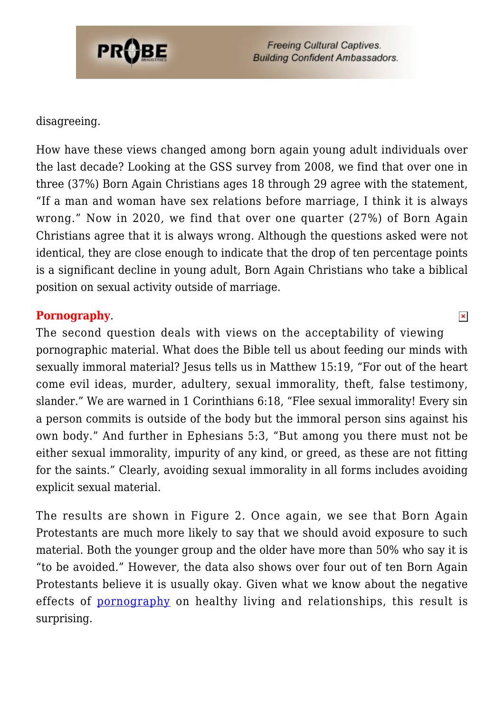

#### disagreeing.

How have these views changed among born again young adult individuals over the last decade? Looking at the GSS survey from 2008, we find that over one in three (37%) Born Again Christians ages 18 through 29 agree with the statement, "If a man and woman have sex relations before marriage, I think it is always wrong." Now in 2020, we find that over one quarter (27%) of Born Again Christians agree that it is always wrong. Although the questions asked were not identical, they are close enough to indicate that the drop of ten percentage points is a significant decline in young adult, Born Again Christians who take a biblical position on sexual activity outside of marriage.

#### **Pornography**.

The second question deals with views on the acceptability of viewing pornographic material. What does the Bible tell us about feeding our minds with sexually immoral material? Jesus tells us in Matthew 15:19, "For out of the heart come evil ideas, murder, adultery, sexual immorality, theft, false testimony, slander." We are warned in 1 Corinthians 6:18, "Flee sexual immorality! Every sin a person commits is outside of the body but the immoral person sins against his own body." And further in Ephesians 5:3, "But among you there must not be either sexual immorality, impurity of any kind, or greed, as these are not fitting for the saints." Clearly, avoiding sexual immorality in all forms includes avoiding explicit sexual material.

The results are shown in Figure 2. Once again, we see that Born Again Protestants are much more likely to say that we should avoid exposure to such material. Both the younger group and the older have more than 50% who say it is "to be avoided." However, the data also shows over four out of ten Born Again Protestants believe it is usually okay. Given what we know about the negative effects of **pornography** on healthy living and relationships, this result is surprising.

 $\pmb{\times}$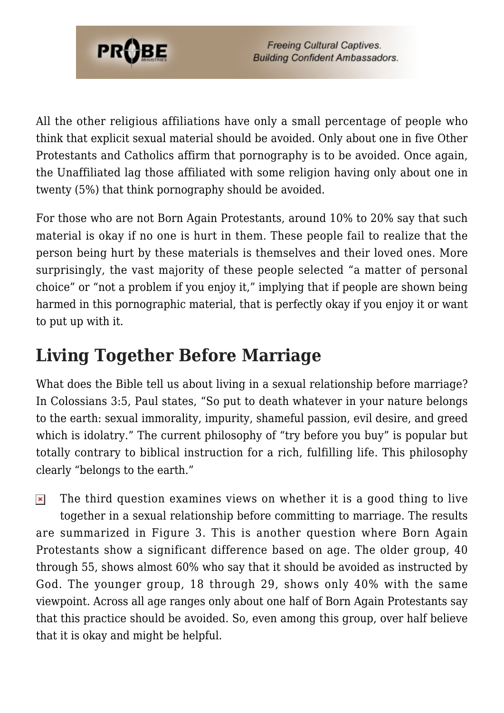

All the other religious affiliations have only a small percentage of people who think that explicit sexual material should be avoided. Only about one in five Other Protestants and Catholics affirm that pornography is to be avoided. Once again, the Unaffiliated lag those affiliated with some religion having only about one in twenty (5%) that think pornography should be avoided.

For those who are not Born Again Protestants, around 10% to 20% say that such material is okay if no one is hurt in them. These people fail to realize that the person being hurt by these materials is themselves and their loved ones. More surprisingly, the vast majority of these people selected "a matter of personal choice" or "not a problem if you enjoy it," implying that if people are shown being harmed in this pornographic material, that is perfectly okay if you enjoy it or want to put up with it.

# **Living Together Before Marriage**

What does the Bible tell us about living in a sexual relationship before marriage? In Colossians 3:5, Paul states, "So put to death whatever in your nature belongs to the earth: sexual immorality, impurity, shameful passion, evil desire, and greed which is idolatry." The current philosophy of "try before you buy" is popular but totally contrary to biblical instruction for a rich, fulfilling life. This philosophy clearly "belongs to the earth."

The third question examines views on whether it is a good thing to live  $\pmb{\times}$ together in a sexual relationship before committing to marriage. The results are summarized in Figure 3. This is another question where Born Again Protestants show a significant difference based on age. The older group, 40 through 55, shows almost 60% who say that it should be avoided as instructed by God. The younger group, 18 through 29, shows only 40% with the same viewpoint. Across all age ranges only about one half of Born Again Protestants say that this practice should be avoided. So, even among this group, over half believe that it is okay and might be helpful.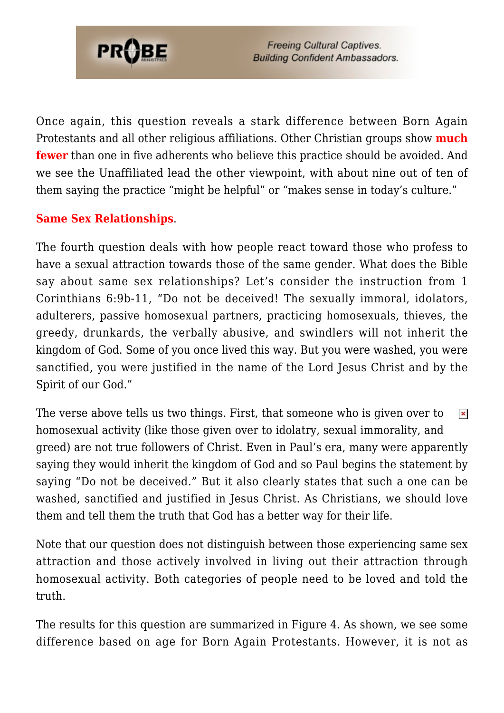

Once again, this question reveals a stark difference between Born Again Protestants and all other religious affiliations. Other Christian groups show **much fewer** than one in five adherents who believe this practice should be avoided. And we see the Unaffiliated lead the other viewpoint, with about nine out of ten of them saying the practice "might be helpful" or "makes sense in today's culture."

### **Same Sex Relationships**.

The fourth question deals with how people react toward those who profess to have a sexual attraction towards those of the same gender. What does the Bible say about same sex relationships? Let's consider the instruction from 1 Corinthians 6:9b-11, "Do not be deceived! The sexually immoral, idolators, adulterers, passive homosexual partners, practicing homosexuals, thieves, the greedy, drunkards, the verbally abusive, and swindlers will not inherit the kingdom of God. Some of you once lived this way. But you were washed, you were sanctified, you were justified in the name of the Lord Jesus Christ and by the Spirit of our God."

The verse above tells us two things. First, that someone who is given over to  $\pmb{\times}$ homosexual activity (like those given over to idolatry, sexual immorality, and greed) are not true followers of Christ. Even in Paul's era, many were apparently saying they would inherit the kingdom of God and so Paul begins the statement by saying "Do not be deceived." But it also clearly states that such a one can be washed, sanctified and justified in Jesus Christ. As Christians, we should love them and tell them the truth that God has a better way for their life.

Note that our question does not distinguish between those experiencing same sex attraction and those actively involved in living out their attraction through homosexual activity. Both categories of people need to be loved and told the truth.

The results for this question are summarized in Figure 4. As shown, we see some difference based on age for Born Again Protestants. However, it is not as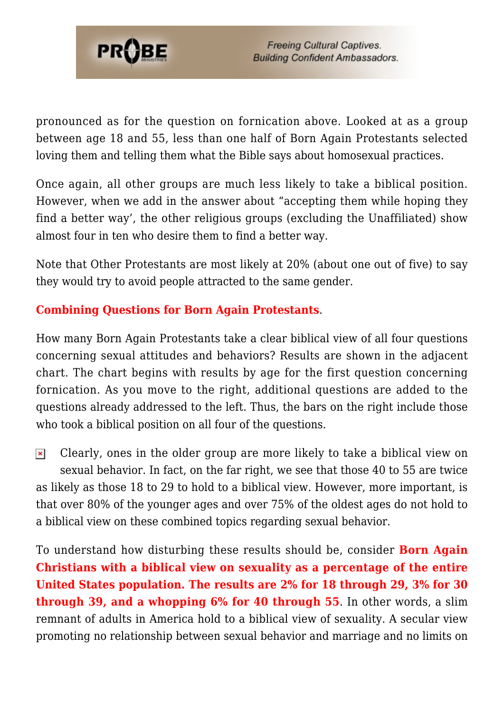

pronounced as for the question on fornication above. Looked at as a group between age 18 and 55, less than one half of Born Again Protestants selected loving them and telling them what the Bible says about homosexual practices.

Once again, all other groups are much less likely to take a biblical position. However, when we add in the answer about "accepting them while hoping they find a better way', the other religious groups (excluding the Unaffiliated) show almost four in ten who desire them to find a better way.

Note that Other Protestants are most likely at 20% (about one out of five) to say they would try to avoid people attracted to the same gender.

## **Combining Questions for Born Again Protestants**.

How many Born Again Protestants take a clear biblical view of all four questions concerning sexual attitudes and behaviors? Results are shown in the adjacent chart. The chart begins with results by age for the first question concerning fornication. As you move to the right, additional questions are added to the questions already addressed to the left. Thus, the bars on the right include those who took a biblical position on all four of the questions.

 $\pmb{\times}$ Clearly, ones in the older group are more likely to take a biblical view on sexual behavior. In fact, on the far right, we see that those 40 to 55 are twice as likely as those 18 to 29 to hold to a biblical view. However, more important, is that over 80% of the younger ages and over 75% of the oldest ages do not hold to a biblical view on these combined topics regarding sexual behavior.

To understand how disturbing these results should be, consider **Born Again Christians with a biblical view on sexuality as a percentage of the entire United States population. The results are 2% for 18 through 29, 3% for 30 through 39, and a whopping 6% for 40 through 55**. In other words, a slim remnant of adults in America hold to a biblical view of sexuality. A secular view promoting no relationship between sexual behavior and marriage and no limits on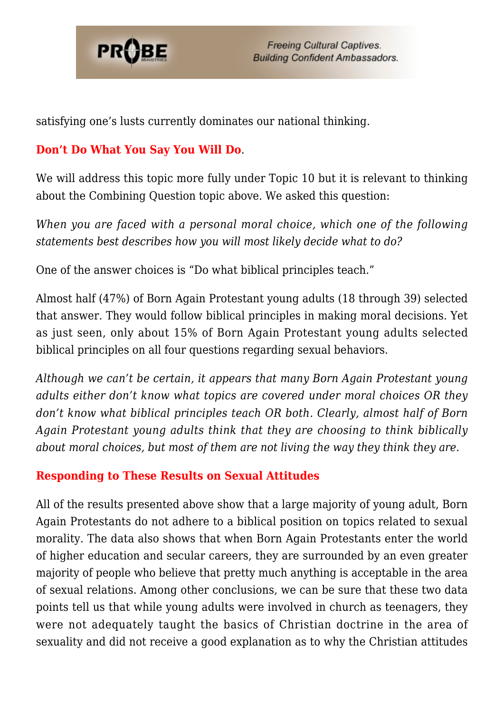

satisfying one's lusts currently dominates our national thinking.

## **Don't Do What You Say You Will Do**.

We will address this topic more fully under Topic 10 but it is relevant to thinking about the Combining Question topic above. We asked this question:

*When you are faced with a personal moral choice, which one of the following statements best describes how you will most likely decide what to do?*

One of the answer choices is "Do what biblical principles teach."

Almost half (47%) of Born Again Protestant young adults (18 through 39) selected that answer. They would follow biblical principles in making moral decisions. Yet as just seen, only about 15% of Born Again Protestant young adults selected biblical principles on all four questions regarding sexual behaviors.

*Although we can't be certain, it appears that many Born Again Protestant young adults either don't know what topics are covered under moral choices OR they don't know what biblical principles teach OR both. Clearly, almost half of Born Again Protestant young adults think that they are choosing to think biblically about moral choices, but most of them are not living the way they think they are.*

## **Responding to These Results on Sexual Attitudes**

All of the results presented above show that a large majority of young adult, Born Again Protestants do not adhere to a biblical position on topics related to sexual morality. The data also shows that when Born Again Protestants enter the world of higher education and secular careers, they are surrounded by an even greater majority of people who believe that pretty much anything is acceptable in the area of sexual relations. Among other conclusions, we can be sure that these two data points tell us that while young adults were involved in church as teenagers, they were not adequately taught the basics of Christian doctrine in the area of sexuality and did not receive a good explanation as to why the Christian attitudes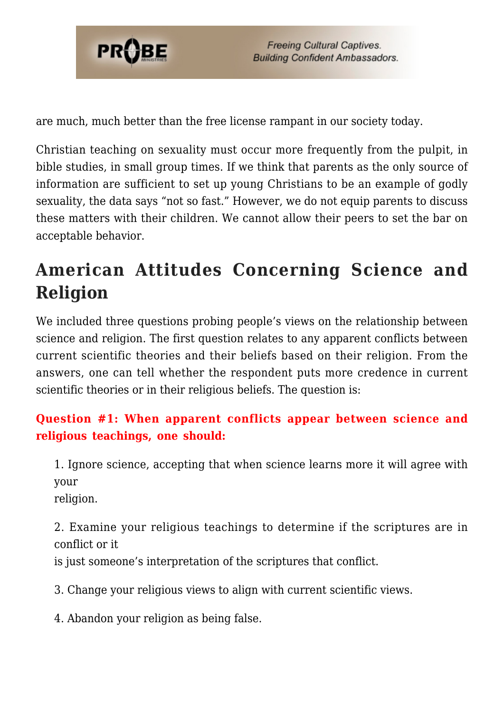

are much, much better than the free license rampant in our society today.

Christian teaching on sexuality must occur more frequently from the pulpit, in bible studies, in small group times. If we think that parents as the only source of information are sufficient to set up young Christians to be an example of godly sexuality, the data says "not so fast." However, we do not equip parents to discuss these matters with their children. We cannot allow their peers to set the bar on acceptable behavior.

# **American Attitudes Concerning Science and Religion**

We included three questions probing people's views on the relationship between science and religion. The first question relates to any apparent conflicts between current scientific theories and their beliefs based on their religion. From the answers, one can tell whether the respondent puts more credence in current scientific theories or in their religious beliefs. The question is:

## **Question #1: When apparent conflicts appear between science and religious teachings, one should:**

1. Ignore science, accepting that when science learns more it will agree with your

religion.

2. Examine your religious teachings to determine if the scriptures are in conflict or it

is just someone's interpretation of the scriptures that conflict.

3. Change your religious views to align with current scientific views.

4. Abandon your religion as being false.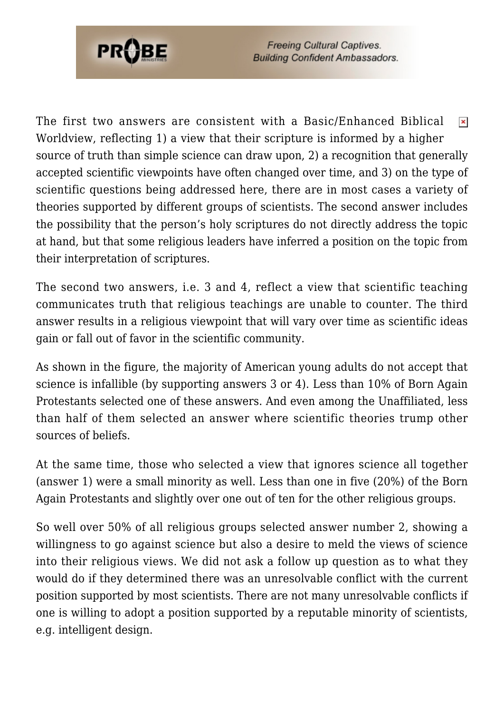

The first two answers are consistent with a Basic/Enhanced Biblical  $\pmb{\times}$ Worldview, reflecting 1) a view that their scripture is informed by a higher source of truth than simple science can draw upon, 2) a recognition that generally accepted scientific viewpoints have often changed over time, and 3) on the type of scientific questions being addressed here, there are in most cases a variety of theories supported by different groups of scientists. The second answer includes the possibility that the person's holy scriptures do not directly address the topic at hand, but that some religious leaders have inferred a position on the topic from their interpretation of scriptures.

The second two answers, i.e. 3 and 4, reflect a view that scientific teaching communicates truth that religious teachings are unable to counter. The third answer results in a religious viewpoint that will vary over time as scientific ideas gain or fall out of favor in the scientific community.

As shown in the figure, the majority of American young adults do not accept that science is infallible (by supporting answers 3 or 4). Less than 10% of Born Again Protestants selected one of these answers. And even among the Unaffiliated, less than half of them selected an answer where scientific theories trump other sources of beliefs.

At the same time, those who selected a view that ignores science all together (answer 1) were a small minority as well. Less than one in five (20%) of the Born Again Protestants and slightly over one out of ten for the other religious groups.

So well over 50% of all religious groups selected answer number 2, showing a willingness to go against science but also a desire to meld the views of science into their religious views. We did not ask a follow up question as to what they would do if they determined there was an unresolvable conflict with the current position supported by most scientists. There are not many unresolvable conflicts if one is willing to adopt a position supported by a reputable minority of scientists, e.g. intelligent design.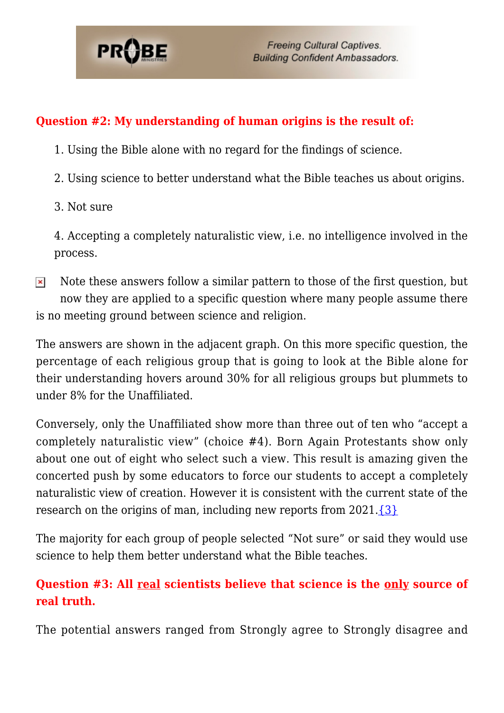

### **Question #2: My understanding of human origins is the result of:**

- 1. Using the Bible alone with no regard for the findings of science.
- 2. Using science to better understand what the Bible teaches us about origins.
- 3. Not sure

4. Accepting a completely naturalistic view, i.e. no intelligence involved in the process.

Note these answers follow a similar pattern to those of the first question, but  $\pmb{\times}$ now they are applied to a specific question where many people assume there is no meeting ground between science and religion.

The answers are shown in the adjacent graph. On this more specific question, the percentage of each religious group that is going to look at the Bible alone for their understanding hovers around 30% for all religious groups but plummets to under 8% for the Unaffiliated.

Conversely, only the Unaffiliated show more than three out of ten who "accept a completely naturalistic view" (choice #4). Born Again Protestants show only about one out of eight who select such a view. This result is amazing given the concerted push by some educators to force our students to accept a completely naturalistic view of creation. However it is consistent with the current state of the research on the origins of man, including new reports from  $2021.\overline{3}$  $2021.\overline{3}$ 

The majority for each group of people selected "Not sure" or said they would use science to help them better understand what the Bible teaches.

## **Question #3: All real scientists believe that science is the only source of real truth.**

The potential answers ranged from Strongly agree to Strongly disagree and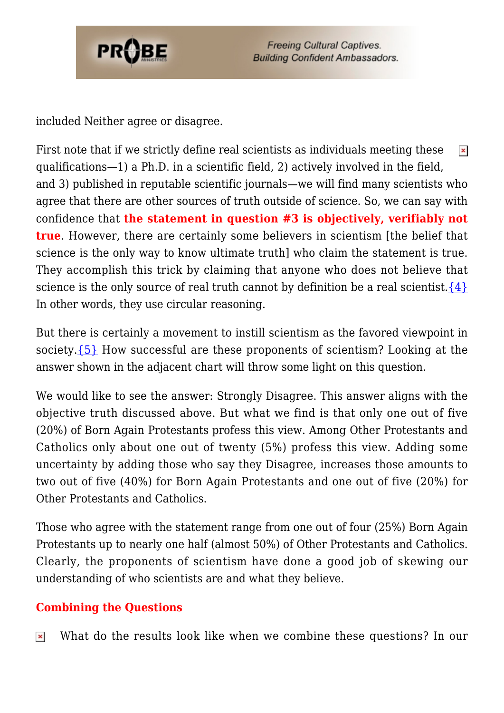

included Neither agree or disagree.

First note that if we strictly define real scientists as individuals meeting these  $\pmb{\times}$ qualifications—1) a Ph.D. in a scientific field, 2) actively involved in the field, and 3) published in reputable scientific journals—we will find many scientists who agree that there are other sources of truth outside of science. So, we can say with confidence that **the statement in question #3 is objectively, verifiably not true**. However, there are certainly some believers in scientism [the belief that science is the only way to know ultimate truth] who claim the statement is true. They accomplish this trick by claiming that anyone who does not believe that science is the only source of real truth cannot by definition be a real scientist.  $\{4\}$ In other words, they use circular reasoning.

But there is certainly a movement to instill scientism as the favored viewpoint in society. $\{5\}$  How successful are these proponents of scientism? Looking at the answer shown in the adjacent chart will throw some light on this question.

We would like to see the answer: Strongly Disagree. This answer aligns with the objective truth discussed above. But what we find is that only one out of five (20%) of Born Again Protestants profess this view. Among Other Protestants and Catholics only about one out of twenty (5%) profess this view. Adding some uncertainty by adding those who say they Disagree, increases those amounts to two out of five (40%) for Born Again Protestants and one out of five (20%) for Other Protestants and Catholics.

Those who agree with the statement range from one out of four (25%) Born Again Protestants up to nearly one half (almost 50%) of Other Protestants and Catholics. Clearly, the proponents of scientism have done a good job of skewing our understanding of who scientists are and what they believe.

## **Combining the Questions**

What do the results look like when we combine these questions? In our $\pmb{\times}$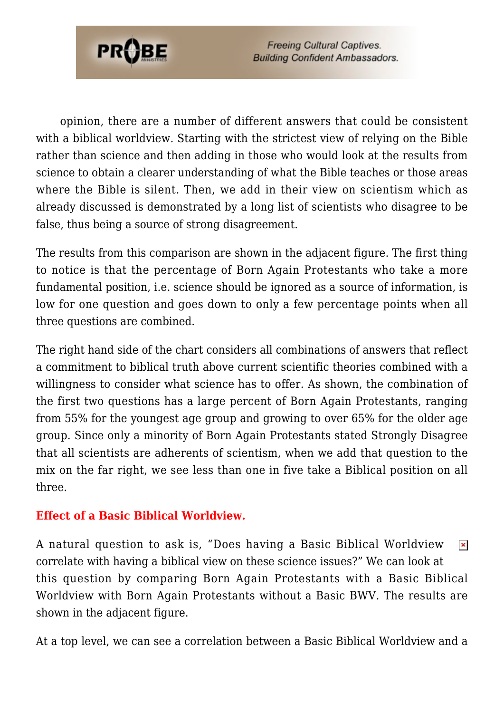

opinion, there are a number of different answers that could be consistent with a biblical worldview. Starting with the strictest view of relying on the Bible rather than science and then adding in those who would look at the results from science to obtain a clearer understanding of what the Bible teaches or those areas where the Bible is silent. Then, we add in their view on scientism which as already discussed is demonstrated by a long list of scientists who disagree to be false, thus being a source of strong disagreement.

The results from this comparison are shown in the adjacent figure. The first thing to notice is that the percentage of Born Again Protestants who take a more fundamental position, i.e. science should be ignored as a source of information, is low for one question and goes down to only a few percentage points when all three questions are combined.

The right hand side of the chart considers all combinations of answers that reflect a commitment to biblical truth above current scientific theories combined with a willingness to consider what science has to offer. As shown, the combination of the first two questions has a large percent of Born Again Protestants, ranging from 55% for the youngest age group and growing to over 65% for the older age group. Since only a minority of Born Again Protestants stated Strongly Disagree that all scientists are adherents of scientism, when we add that question to the mix on the far right, we see less than one in five take a Biblical position on all three.

### **Effect of a Basic Biblical Worldview.**

A natural question to ask is, "Does having a Basic Biblical Worldview  $\pmb{\times}$ correlate with having a biblical view on these science issues?" We can look at this question by comparing Born Again Protestants with a Basic Biblical Worldview with Born Again Protestants without a Basic BWV. The results are shown in the adjacent figure.

At a top level, we can see a correlation between a Basic Biblical Worldview and a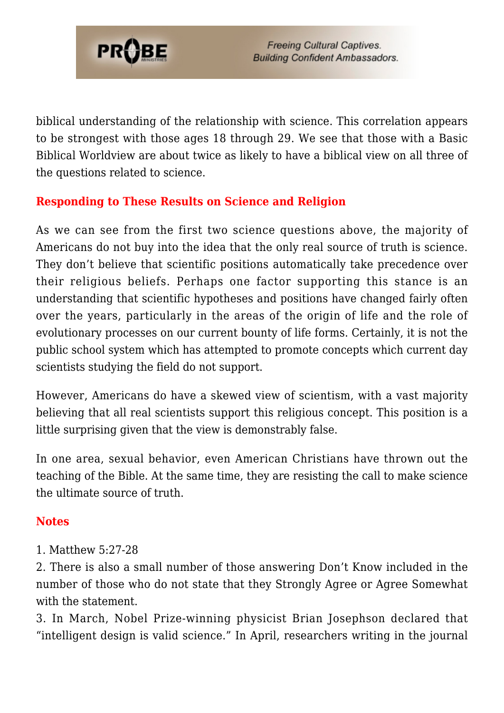

biblical understanding of the relationship with science. This correlation appears to be strongest with those ages 18 through 29. We see that those with a Basic Biblical Worldview are about twice as likely to have a biblical view on all three of the questions related to science.

### **Responding to These Results on Science and Religion**

As we can see from the first two science questions above, the majority of Americans do not buy into the idea that the only real source of truth is science. They don't believe that scientific positions automatically take precedence over their religious beliefs. Perhaps one factor supporting this stance is an understanding that scientific hypotheses and positions have changed fairly often over the years, particularly in the areas of the origin of life and the role of evolutionary processes on our current bounty of life forms. Certainly, it is not the public school system which has attempted to promote concepts which current day scientists studying the field do not support.

However, Americans do have a skewed view of scientism, with a vast majority believing that all real scientists support this religious concept. This position is a little surprising given that the view is demonstrably false.

In one area, sexual behavior, even American Christians have thrown out the teaching of the Bible. At the same time, they are resisting the call to make science the ultimate source of truth.

### **Notes**

1. Matthew 5:27-28

2. There is also a small number of those answering Don't Know included in the number of those who do not state that they Strongly Agree or Agree Somewhat with the statement.

3. In March, Nobel Prize-winning physicist Brian Josephson declared that "intelligent design is valid science." In April, researchers writing in the journal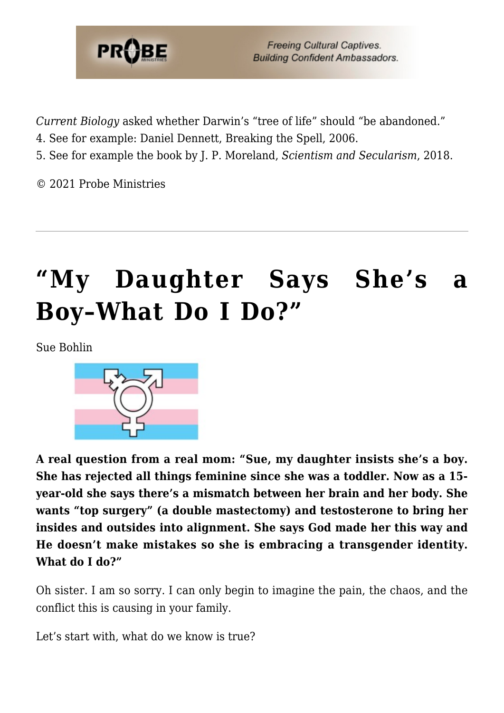

*Current Biology* asked whether Darwin's "tree of life" should "be abandoned."

- 4. See for example: Daniel Dennett, Breaking the Spell, 2006.
- 5. See for example the book by J. P. Moreland, *Scientism and Secularism*, 2018.

© 2021 Probe Ministries

# **["My Daughter Says She's a](https://probe.org/my-daughter-says-shes-a-boy-what-do-i-do/) [Boy–What Do I Do?"](https://probe.org/my-daughter-says-shes-a-boy-what-do-i-do/)**

Sue Bohlin



**A real question from a real mom: "Sue, my daughter insists she's a boy. She has rejected all things feminine since she was a toddler. Now as a 15 year-old she says there's a mismatch between her brain and her body. She wants "top surgery" (a double mastectomy) and testosterone to bring her insides and outsides into alignment. She says God made her this way and He doesn't make mistakes so she is embracing a transgender identity. What do I do?"**

Oh sister. I am so sorry. I can only begin to imagine the pain, the chaos, and the conflict this is causing in your family.

Let's start with, what do we know is true?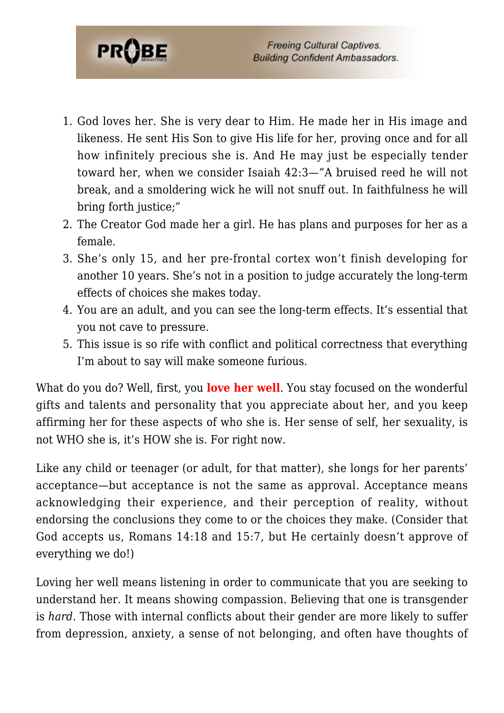

- 1. God loves her. She is very dear to Him. He made her in His image and likeness. He sent His Son to give His life for her, proving once and for all how infinitely precious she is. And He may just be especially tender toward her, when we consider Isaiah 42:3—"A bruised reed he will not break, and a smoldering wick he will not snuff out. In faithfulness he will bring forth justice;"
- 2. The Creator God made her a girl. He has plans and purposes for her as a female.
- 3. She's only 15, and her pre-frontal cortex won't finish developing for another 10 years. She's not in a position to judge accurately the long-term effects of choices she makes today.
- 4. You are an adult, and you can see the long-term effects. It's essential that you not cave to pressure.
- 5. This issue is so rife with conflict and political correctness that everything I'm about to say will make someone furious.

What do you do? Well, first, you **love her well**. You stay focused on the wonderful gifts and talents and personality that you appreciate about her, and you keep affirming her for these aspects of who she is. Her sense of self, her sexuality, is not WHO she is, it's HOW she is. For right now.

Like any child or teenager (or adult, for that matter), she longs for her parents' acceptance—but acceptance is not the same as approval. Acceptance means acknowledging their experience, and their perception of reality, without endorsing the conclusions they come to or the choices they make. (Consider that God accepts us, Romans 14:18 and 15:7, but He certainly doesn't approve of everything we do!)

Loving her well means listening in order to communicate that you are seeking to understand her. It means showing compassion. Believing that one is transgender is *hard*. Those with internal conflicts about their gender are more likely to suffer from depression, anxiety, a sense of not belonging, and often have thoughts of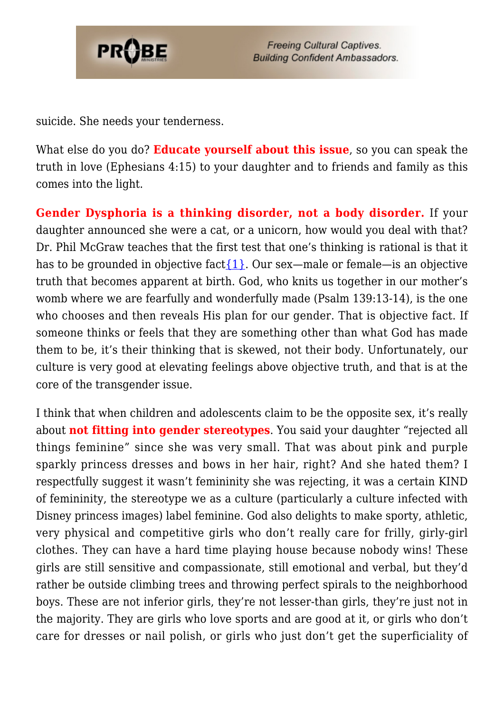

suicide. She needs your tenderness.

What else do you do? **Educate yourself about this issue**, so you can speak the truth in love (Ephesians 4:15) to your daughter and to friends and family as this comes into the light.

**Gender Dysphoria is a thinking disorder, not a body disorder.** If your daughter announced she were a cat, or a unicorn, how would you deal with that? Dr. Phil McGraw teaches that the first test that one's thinking is rational is that it has to be grounded in objective fact $\{1\}$ . Our sex—male or female—is an objective truth that becomes apparent at birth. God, who knits us together in our mother's womb where we are fearfully and wonderfully made (Psalm 139:13-14), is the one who chooses and then reveals His plan for our gender. That is objective fact. If someone thinks or feels that they are something other than what God has made them to be, it's their thinking that is skewed, not their body. Unfortunately, our culture is very good at elevating feelings above objective truth, and that is at the core of the transgender issue.

I think that when children and adolescents claim to be the opposite sex, it's really about **not fitting into gender stereotypes**. You said your daughter "rejected all things feminine" since she was very small. That was about pink and purple sparkly princess dresses and bows in her hair, right? And she hated them? I respectfully suggest it wasn't femininity she was rejecting, it was a certain KIND of femininity, the stereotype we as a culture (particularly a culture infected with Disney princess images) label feminine. God also delights to make sporty, athletic, very physical and competitive girls who don't really care for frilly, girly-girl clothes. They can have a hard time playing house because nobody wins! These girls are still sensitive and compassionate, still emotional and verbal, but they'd rather be outside climbing trees and throwing perfect spirals to the neighborhood boys. These are not inferior girls, they're not lesser-than girls, they're just not in the majority. They are girls who love sports and are good at it, or girls who don't care for dresses or nail polish, or girls who just don't get the superficiality of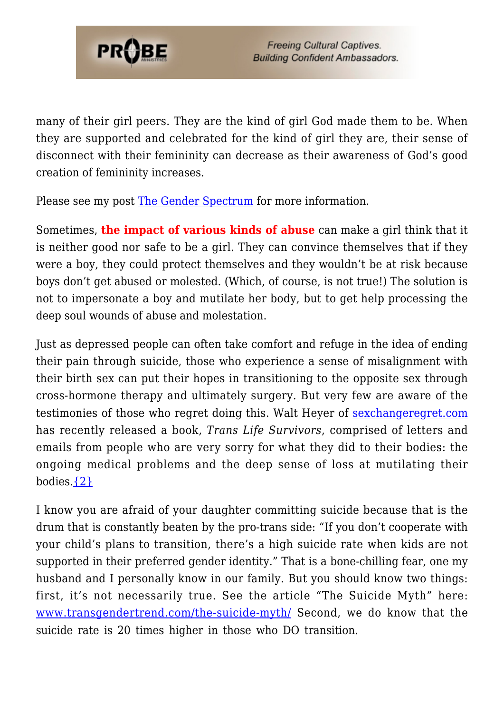

many of their girl peers. They are the kind of girl God made them to be. When they are supported and celebrated for the kind of girl they are, their sense of disconnect with their femininity can decrease as their awareness of God's good creation of femininity increases.

Please see my post [The Gender Spectrum](https://probe.org/the-gender-spectrum/) for more information.

Sometimes, **the impact of various kinds of abuse** can make a girl think that it is neither good nor safe to be a girl. They can convince themselves that if they were a boy, they could protect themselves and they wouldn't be at risk because boys don't get abused or molested. (Which, of course, is not true!) The solution is not to impersonate a boy and mutilate her body, but to get help processing the deep soul wounds of abuse and molestation.

Just as depressed people can often take comfort and refuge in the idea of ending their pain through suicide, those who experience a sense of misalignment with their birth sex can put their hopes in transitioning to the opposite sex through cross-hormone therapy and ultimately surgery. But very few are aware of the testimonies of those who regret doing this. Walt Heyer of [sexchangeregret.com](https://probe.org/sexchangeregret.com) has recently released a book, *Trans Life Survivors*, comprised of letters and emails from people who are very sorry for what they did to their bodies: the ongoing medical problems and the deep sense of loss at mutilating their bodies. $\{2\}$ 

I know you are afraid of your daughter committing suicide because that is the drum that is constantly beaten by the pro-trans side: "If you don't cooperate with your child's plans to transition, there's a high suicide rate when kids are not supported in their preferred gender identity." That is a bone-chilling fear, one my husband and I personally know in our family. But you should know two things: first, it's not necessarily true. See the article "The Suicide Myth" here: [www.transgendertrend.com/the-suicide-myth/](https://www.transgendertrend.com/the-suicide-myth/) Second, we do know that the suicide rate is 20 times higher in those who DO transition.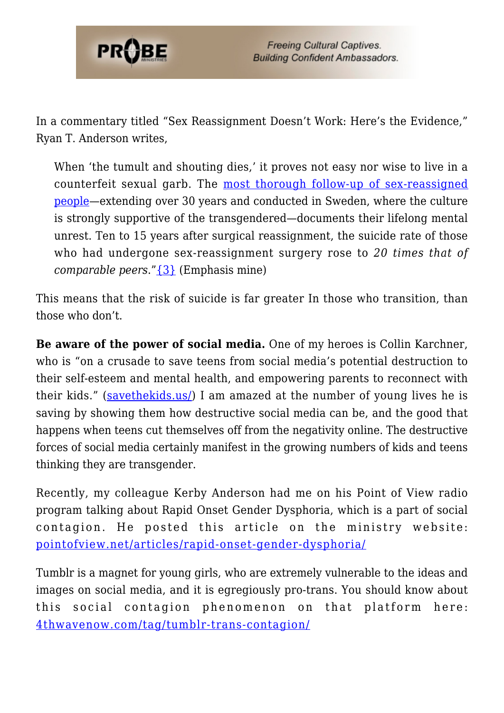

In a commentary titled "Sex Reassignment Doesn't Work: Here's the Evidence," Ryan T. Anderson writes,

When 'the tumult and shouting dies,' it proves not easy nor wise to live in a counterfeit sexual garb. The [most thorough follow-up of sex-reassigned](https://journals.plos.org/plosone/article?id=10.1371/journal.pone.0016885) [people—](https://journals.plos.org/plosone/article?id=10.1371/journal.pone.0016885)extending over 30 years and conducted in Sweden, where the culture is strongly supportive of the transgendered—documents their lifelong mental unrest. Ten to 15 years after surgical reassignment, the suicide rate of those who had undergone sex-reassignment surgery rose to *20 times that of comparable peers*."[{3}](#page-80-1) (Emphasis mine)

This means that the risk of suicide is far greater In those who transition, than those who don't.

**Be aware of the power of social media.** One of my heroes is Collin Karchner, who is "on a crusade to save teens from social media's potential destruction to their self-esteem and mental health, and empowering parents to reconnect with their kids." [\(savethekids.us/\)](https://savethekids.us/) I am amazed at the number of young lives he is saving by showing them how destructive social media can be, and the good that happens when teens cut themselves off from the negativity online. The destructive forces of social media certainly manifest in the growing numbers of kids and teens thinking they are transgender.

Recently, my colleague Kerby Anderson had me on his Point of View radio program talking about Rapid Onset Gender Dysphoria, which is a part of social contagion. He posted this article on the ministry website: [pointofview.net/articles/rapid-onset-gender-dysphoria/](https://pointofview.net/articles/rapid-onset-gender-dysphoria/)

Tumblr is a magnet for young girls, who are extremely vulnerable to the ideas and images on social media, and it is egregiously pro-trans. You should know about this social contagion phenomenon on that platform here: [4thwavenow.com/tag/tumblr-trans-contagion/](https://4thwavenow.com/tag/tumblr-trans-contagion/)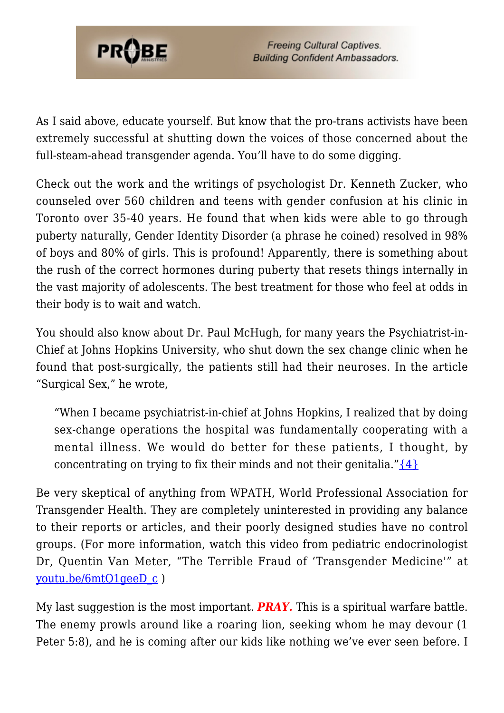

As I said above, educate yourself. But know that the pro-trans activists have been extremely successful at shutting down the voices of those concerned about the full-steam-ahead transgender agenda. You'll have to do some digging.

Check out the work and the writings of psychologist Dr. Kenneth Zucker, who counseled over 560 children and teens with gender confusion at his clinic in Toronto over 35-40 years. He found that when kids were able to go through puberty naturally, Gender Identity Disorder (a phrase he coined) resolved in 98% of boys and 80% of girls. This is profound! Apparently, there is something about the rush of the correct hormones during puberty that resets things internally in the vast majority of adolescents. The best treatment for those who feel at odds in their body is to wait and watch.

You should also know about Dr. Paul McHugh, for many years the Psychiatrist-in-Chief at Johns Hopkins University, who shut down the sex change clinic when he found that post-surgically, the patients still had their neuroses. In the article "Surgical Sex," he wrote,

"When I became psychiatrist-in-chief at Johns Hopkins, I realized that by doing sex-change operations the hospital was fundamentally cooperating with a mental illness. We would do better for these patients, I thought, by concentrating on trying to fix their minds and not their genitalia." $\{4\}$ 

Be very skeptical of anything from WPATH, World Professional Association for Transgender Health. They are completely uninterested in providing any balance to their reports or articles, and their poorly designed studies have no control groups. (For more information, watch this video from pediatric endocrinologist Dr, Quentin Van Meter, "The Terrible Fraud of 'Transgender Medicine'" at [youtu.be/6mtQ1geeD\\_c](https://youtu.be/6mtQ1geeD_c) )

My last suggestion is the most important. *PRAY.* This is a spiritual warfare battle. The enemy prowls around like a roaring lion, seeking whom he may devour (1 Peter 5:8), and he is coming after our kids like nothing we've ever seen before. I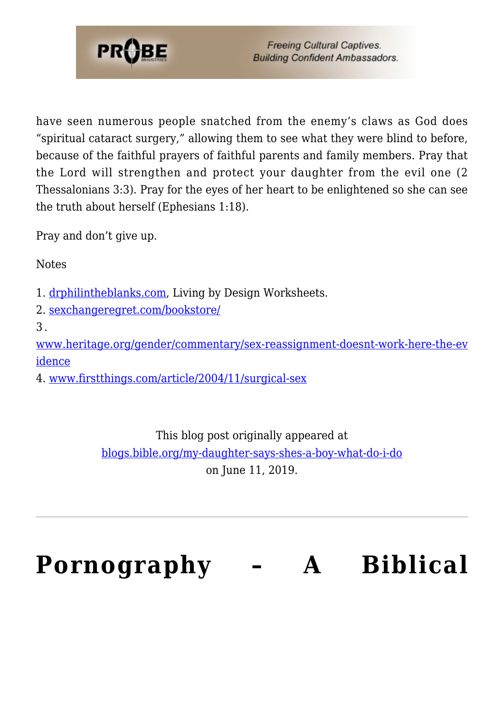

have seen numerous people snatched from the enemy's claws as God does "spiritual cataract surgery," allowing them to see what they were blind to before, because of the faithful prayers of faithful parents and family members. Pray that the Lord will strengthen and protect your daughter from the evil one (2 Thessalonians 3:3). Pray for the eyes of her heart to be enlightened so she can see the truth about herself (Ephesians 1:18).

Pray and don't give up.

**Notes** 

- 1. [drphilintheblanks.com](http://drphilintheblanks.com), Living by Design Worksheets.
- 2. [sexchangeregret.com/bookstore/](http://sexchangeregret.com/bookstore/)

3 .

[www.heritage.org/gender/commentary/sex-reassignment-doesnt-work-here-the-ev](https://www.heritage.org/gender/commentary/sex-reassignment-doesnt-work-here-the-evidence) [idence](https://www.heritage.org/gender/commentary/sex-reassignment-doesnt-work-here-the-evidence)

4. [www.firstthings.com/article/2004/11/surgical-sex](https://www.firstthings.com/article/2004/11/surgical-sex)

This blog post originally appeared at [blogs.bible.org/my-daughter-says-shes-a-boy-what-do-i-do](http://blogs.bible.org/my-daughter-says-shes-a-boy-what-do-i-do) on June 11, 2019.

# **[Pornography – A Biblical](https://probe.org/pornography/)**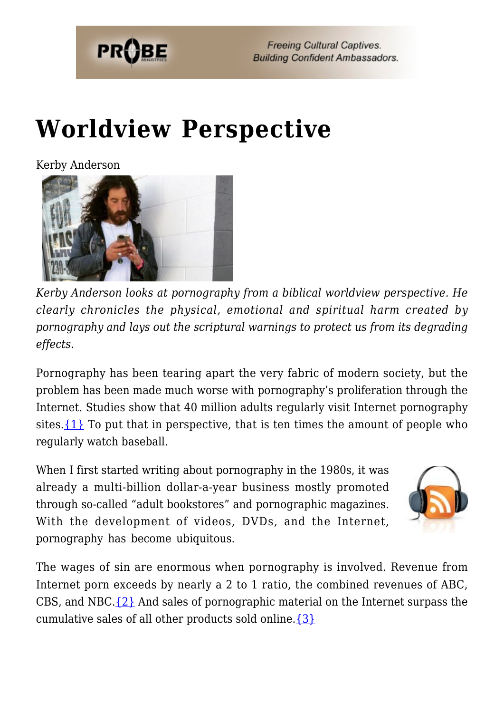

# **[Worldview Perspective](https://probe.org/pornography/)**

Kerby Anderson



*Kerby Anderson looks at pornography from a biblical worldview perspective. He clearly chronicles the physical, emotional and spiritual harm created by pornography and lays out the scriptural warnings to protect us from its degrading effects.*

Pornography has been tearing apart the very fabric of modern society, but the problem has been made much worse with pornography's proliferation through the Internet. Studies show that 40 million adults regularly visit Internet pornography sites. $\{1\}$  To put that in perspective, that is ten times the amount of people who regularly watch baseball.

When I first started writing about pornography in the 1980s, it was already a multi-billion dollar-a-year business mostly promoted through so-called "adult bookstores" and pornographic magazines. With the development of videos, DVDs, and the Internet, pornography has become ubiquitous.



The wages of sin are enormous when pornography is involved. Revenue from Internet porn exceeds by nearly a 2 to 1 ratio, the combined revenues of ABC, CBS, and NBC. $\{2\}$  And sales of pornographic material on the Internet surpass the cumulative sales of all other products sold online. $\{3\}$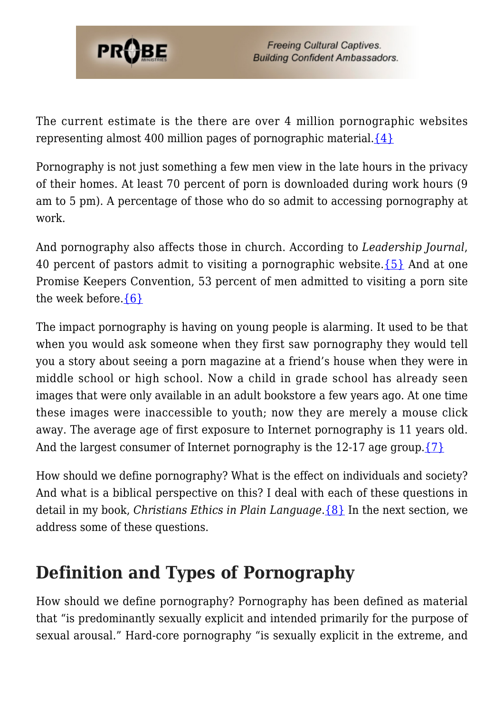

The current estimate is the there are over 4 million pornographic websites representing almost 400 million pages of pornographic material. $\{4\}$ 

Pornography is not just something a few men view in the late hours in the privacy of their homes. At least 70 percent of porn is downloaded during work hours (9 am to 5 pm). A percentage of those who do so admit to accessing pornography at work.

And pornography also affects those in church. According to *Leadership Journal*, 40 percent of pastors admit to visiting a pornographic website. $\{5\}$  And at one Promise Keepers Convention, 53 percent of men admitted to visiting a porn site the week before.[{6}](#page-80-4)

The impact pornography is having on young people is alarming. It used to be that when you would ask someone when they first saw pornography they would tell you a story about seeing a porn magazine at a friend's house when they were in middle school or high school. Now a child in grade school has already seen images that were only available in an adult bookstore a few years ago. At one time these images were inaccessible to youth; now they are merely a mouse click away. The average age of first exposure to Internet pornography is 11 years old. And the largest consumer of Internet pornography is the 12-17 age group. $\{7\}$ 

How should we define pornography? What is the effect on individuals and society? And what is a biblical perspective on this? I deal with each of these questions in detail in my book, *Christians Ethics in Plain Language*.[{8}](#page-58-0) In the next section, we address some of these questions.

# **Definition and Types of Pornography**

How should we define pornography? Pornography has been defined as material that "is predominantly sexually explicit and intended primarily for the purpose of sexual arousal." Hard-core pornography "is sexually explicit in the extreme, and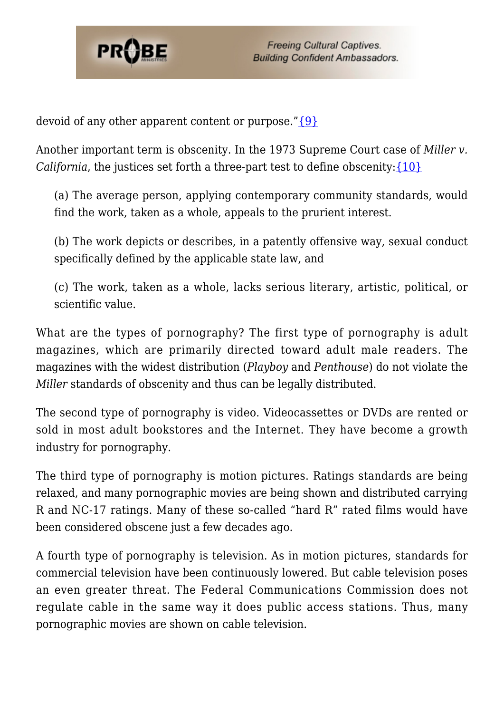

devoid of any other apparent content or purpose." $\{9\}$ 

Another important term is obscenity. In the 1973 Supreme Court case of *Miller v. California*, the justices set forth a three-part test to define obscenity: [{10}](#page-81-3)

(a) The average person, applying contemporary community standards, would find the work, taken as a whole, appeals to the prurient interest.

(b) The work depicts or describes, in a patently offensive way, sexual conduct specifically defined by the applicable state law, and

(c) The work, taken as a whole, lacks serious literary, artistic, political, or scientific value.

What are the types of pornography? The first type of pornography is adult magazines, which are primarily directed toward adult male readers. The magazines with the widest distribution (*Playboy* and *Penthouse*) do not violate the *Miller* standards of obscenity and thus can be legally distributed.

The second type of pornography is video. Videocassettes or DVDs are rented or sold in most adult bookstores and the Internet. They have become a growth industry for pornography.

The third type of pornography is motion pictures. Ratings standards are being relaxed, and many pornographic movies are being shown and distributed carrying R and NC-17 ratings. Many of these so-called "hard R" rated films would have been considered obscene just a few decades ago.

A fourth type of pornography is television. As in motion pictures, standards for commercial television have been continuously lowered. But cable television poses an even greater threat. The Federal Communications Commission does not regulate cable in the same way it does public access stations. Thus, many pornographic movies are shown on cable television.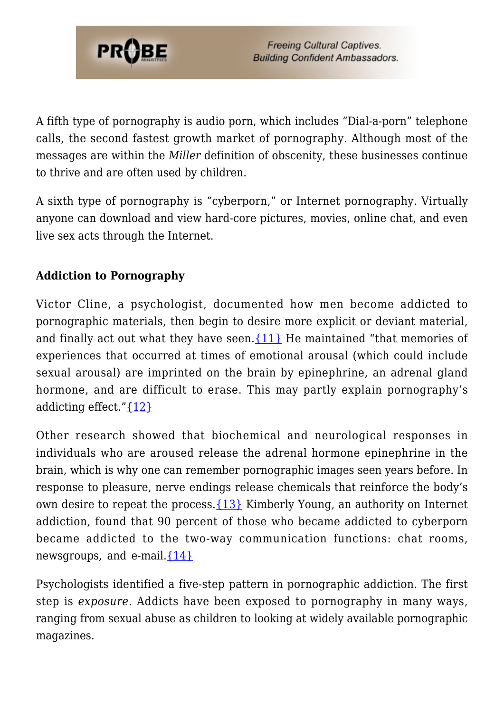

A fifth type of pornography is audio porn, which includes "Dial-a-porn" telephone calls, the second fastest growth market of pornography. Although most of the messages are within the *Miller* definition of obscenity, these businesses continue to thrive and are often used by children.

A sixth type of pornography is "cyberporn," or Internet pornography. Virtually anyone can download and view hard-core pictures, movies, online chat, and even live sex acts through the Internet.

## **Addiction to Pornography**

Victor Cline, a psychologist, documented how men become addicted to pornographic materials, then begin to desire more explicit or deviant material, and finally act out what they have seen.  $\{11\}$  He maintained "that memories of experiences that occurred at times of emotional arousal (which could include sexual arousal) are imprinted on the brain by epinephrine, an adrenal gland hormone, and are difficult to erase. This may partly explain pornography's addicting effect." ${12}$ 

Other research showed that biochemical and neurological responses in individuals who are aroused release the adrenal hormone epinephrine in the brain, which is why one can remember pornographic images seen years before. In response to pleasure, nerve endings release chemicals that reinforce the body's own desire to repeat the process.[{13}](#page-81-6) Kimberly Young, an authority on Internet addiction, found that 90 percent of those who became addicted to cyberporn became addicted to the two-way communication functions: chat rooms, newsgroups, and e-mail. $\{14\}$ 

Psychologists identified a five-step pattern in pornographic addiction. The first step is *exposure*. Addicts have been exposed to pornography in many ways, ranging from sexual abuse as children to looking at widely available pornographic magazines.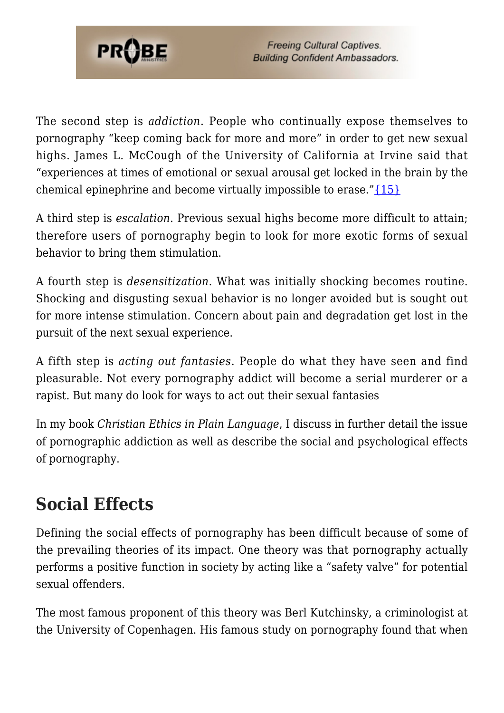

The second step is *addiction*. People who continually expose themselves to pornography "keep coming back for more and more" in order to get new sexual highs. James L. McCough of the University of California at Irvine said that "experiences at times of emotional or sexual arousal get locked in the brain by the chemical epinephrine and become virtually impossible to erase." $\{15\}$ 

A third step is *escalation.* Previous sexual highs become more difficult to attain; therefore users of pornography begin to look for more exotic forms of sexual behavior to bring them stimulation.

A fourth step is *desensitization*. What was initially shocking becomes routine. Shocking and disgusting sexual behavior is no longer avoided but is sought out for more intense stimulation. Concern about pain and degradation get lost in the pursuit of the next sexual experience.

A fifth step is *acting out fantasies*. People do what they have seen and find pleasurable. Not every pornography addict will become a serial murderer or a rapist. But many do look for ways to act out their sexual fantasies

In my book *Christian Ethics in Plain Language*, I discuss in further detail the issue of pornographic addiction as well as describe the social and psychological effects of pornography.

# **Social Effects**

Defining the social effects of pornography has been difficult because of some of the prevailing theories of its impact. One theory was that pornography actually performs a positive function in society by acting like a "safety valve" for potential sexual offenders.

The most famous proponent of this theory was Berl Kutchinsky, a criminologist at the University of Copenhagen. His famous study on pornography found that when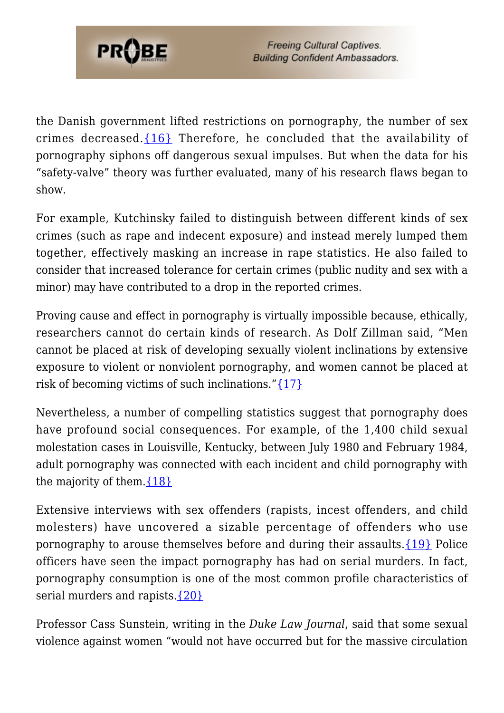

the Danish government lifted restrictions on pornography, the number of sex crimes decreased.[{16}](#page-81-9) Therefore, he concluded that the availability of pornography siphons off dangerous sexual impulses. But when the data for his "safety-valve" theory was further evaluated, many of his research flaws began to show.

For example, Kutchinsky failed to distinguish between different kinds of sex crimes (such as rape and indecent exposure) and instead merely lumped them together, effectively masking an increase in rape statistics. He also failed to consider that increased tolerance for certain crimes (public nudity and sex with a minor) may have contributed to a drop in the reported crimes.

Proving cause and effect in pornography is virtually impossible because, ethically, researchers cannot do certain kinds of research. As Dolf Zillman said, "Men cannot be placed at risk of developing sexually violent inclinations by extensive exposure to violent or nonviolent pornography, and women cannot be placed at risk of becoming victims of such inclinations."[{17}](#page-81-10)

Nevertheless, a number of compelling statistics suggest that pornography does have profound social consequences. For example, of the 1,400 child sexual molestation cases in Louisville, Kentucky, between July 1980 and February 1984, adult pornography was connected with each incident and child pornography with the majority of them.  $\{18\}$ 

Extensive interviews with sex offenders (rapists, incest offenders, and child molesters) have uncovered a sizable percentage of offenders who use pornography to arouse themselves before and during their assaults[.{19}](#page-37-1) Police officers have seen the impact pornography has had on serial murders. In fact, pornography consumption is one of the most common profile characteristics of serial murders and rapists.  $\{20\}$ 

Professor Cass Sunstein, writing in the *Duke Law Journal*, said that some sexual violence against women "would not have occurred but for the massive circulation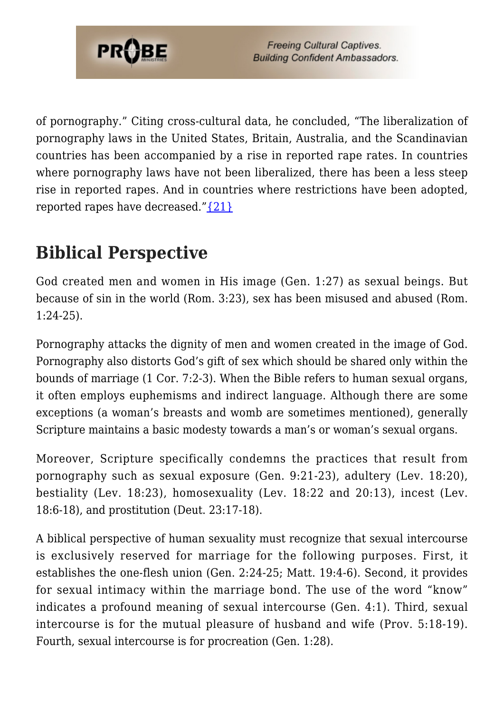

of pornography." Citing cross-cultural data, he concluded, "The liberalization of pornography laws in the United States, Britain, Australia, and the Scandinavian countries has been accompanied by a rise in reported rape rates. In countries where pornography laws have not been liberalized, there has been a less steep rise in reported rapes. And in countries where restrictions have been adopted, reported rapes have decreased." $\{21\}$ 

# **Biblical Perspective**

God created men and women in His image (Gen. 1:27) as sexual beings. But because of sin in the world (Rom. 3:23), sex has been misused and abused (Rom. 1:24-25).

Pornography attacks the dignity of men and women created in the image of God. Pornography also distorts God's gift of sex which should be shared only within the bounds of marriage (1 Cor. 7:2-3). When the Bible refers to human sexual organs, it often employs euphemisms and indirect language. Although there are some exceptions (a woman's breasts and womb are sometimes mentioned), generally Scripture maintains a basic modesty towards a man's or woman's sexual organs.

Moreover, Scripture specifically condemns the practices that result from pornography such as sexual exposure (Gen. 9:21-23), adultery (Lev. 18:20), bestiality (Lev. 18:23), homosexuality (Lev. 18:22 and 20:13), incest (Lev. 18:6-18), and prostitution (Deut. 23:17-18).

A biblical perspective of human sexuality must recognize that sexual intercourse is exclusively reserved for marriage for the following purposes. First, it establishes the one-flesh union (Gen. 2:24-25; Matt. 19:4-6). Second, it provides for sexual intimacy within the marriage bond. The use of the word "know" indicates a profound meaning of sexual intercourse (Gen. 4:1). Third, sexual intercourse is for the mutual pleasure of husband and wife (Prov. 5:18-19). Fourth, sexual intercourse is for procreation (Gen. 1:28).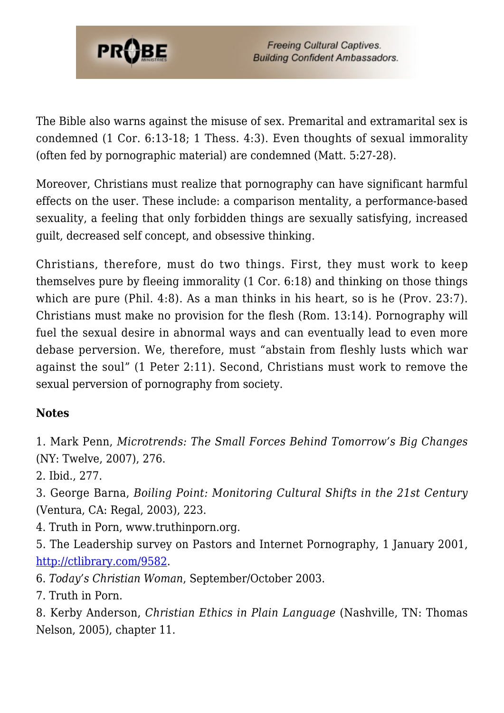

The Bible also warns against the misuse of sex. Premarital and extramarital sex is condemned (1 Cor. 6:13-18; 1 Thess. 4:3). Even thoughts of sexual immorality (often fed by pornographic material) are condemned (Matt. 5:27-28).

Moreover, Christians must realize that pornography can have significant harmful effects on the user. These include: a comparison mentality, a performance-based sexuality, a feeling that only forbidden things are sexually satisfying, increased guilt, decreased self concept, and obsessive thinking.

Christians, therefore, must do two things. First, they must work to keep themselves pure by fleeing immorality (1 Cor. 6:18) and thinking on those things which are pure (Phil. 4:8). As a man thinks in his heart, so is he (Prov. 23:7). Christians must make no provision for the flesh (Rom. 13:14). Pornography will fuel the sexual desire in abnormal ways and can eventually lead to even more debase perversion. We, therefore, must "abstain from fleshly lusts which war against the soul" (1 Peter 2:11). Second, Christians must work to remove the sexual perversion of pornography from society.

#### **Notes**

1. Mark Penn, *Microtrends: The Small Forces Behind Tomorrow's Big Changes* (NY: Twelve, 2007), 276.

2. Ibid., 277.

3. George Barna, *Boiling Point: Monitoring Cultural Shifts in the 21st Century* (Ventura, CA: Regal, 2003), 223.

- 4. Truth in Porn, www.truthinporn.org.
- 5. The Leadership survey on Pastors and Internet Pornography, 1 January 2001, [http://ctlibrary.com/9582.](http://ctlibrary.com/9582)
- 6. *Today's Christian Woman*, September/October 2003.
- 7. Truth in Porn.
- 8. Kerby Anderson, *Christian Ethics in Plain Language* (Nashville, TN: Thomas Nelson, 2005), chapter 11.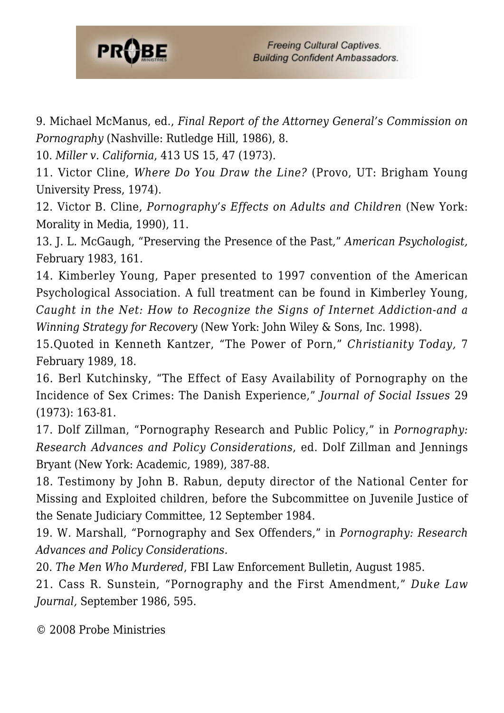

9. Michael McManus, ed., *Final Report of the Attorney General's Commission on Pornography* (Nashville: Rutledge Hill, 1986), 8.

10. *Miller v. California*, 413 US 15, 47 (1973).

11. Victor Cline, *Where Do You Draw the Line?* (Provo, UT: Brigham Young University Press, 1974).

12. Victor B. Cline, *Pornography's Effects on Adults and Children* (New York: Morality in Media, 1990), 11.

13. J. L. McGaugh, "Preserving the Presence of the Past," *American Psychologist,* February 1983, 161.

14. Kimberley Young, Paper presented to 1997 convention of the American Psychological Association. A full treatment can be found in Kimberley Young, *Caught in the Net: How to Recognize the Signs of Internet Addiction-and a Winning Strategy for Recovery* (New York: John Wiley & Sons, Inc. 1998).

15.Quoted in Kenneth Kantzer, "The Power of Porn," *Christianity Today,* 7 February 1989, 18.

16. Berl Kutchinsky, "The Effect of Easy Availability of Pornography on the Incidence of Sex Crimes: The Danish Experience," *Journal of Social Issues* 29 (1973): 163-81.

17. Dolf Zillman, "Pornography Research and Public Policy," in *Pornography: Research Advances and Policy Considerations*, ed. Dolf Zillman and Jennings Bryant (New York: Academic, 1989), 387-88.

18. Testimony by John B. Rabun, deputy director of the National Center for Missing and Exploited children, before the Subcommittee on Juvenile Justice of the Senate Judiciary Committee, 12 September 1984.

19. W. Marshall, "Pornography and Sex Offenders," in *Pornography: Research Advances and Policy Considerations.*

20. *The Men Who Murdered*, FBI Law Enforcement Bulletin, August 1985.

21. Cass R. Sunstein, "Pornography and the First Amendment," *Duke Law Journal,* September 1986, 595.

© 2008 Probe Ministries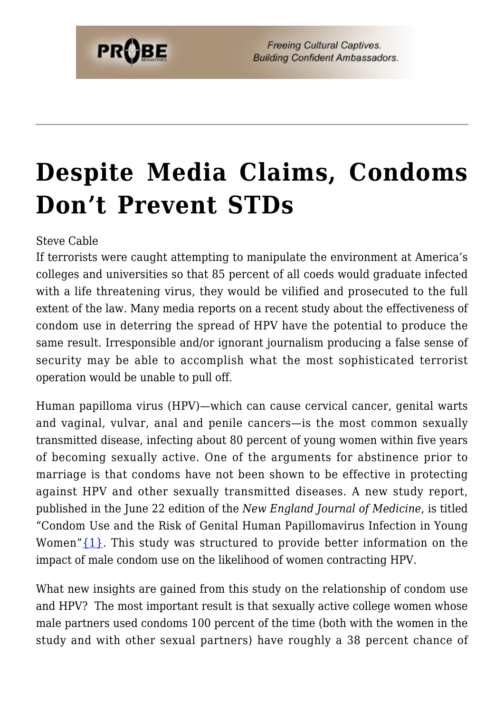## **[Despite Media Claims, Condoms](https://probe.org/despite-media-claims-condoms-dont-prevent-stds/) [Don't Prevent STDs](https://probe.org/despite-media-claims-condoms-dont-prevent-stds/)**

Steve Cable

If terrorists were caught attempting to manipulate the environment at America's colleges and universities so that 85 percent of all coeds would graduate infected with a life threatening virus, they would be vilified and prosecuted to the full extent of the law. Many media reports on a recent study about the effectiveness of condom use in deterring the spread of HPV have the potential to produce the same result. Irresponsible and/or ignorant journalism producing a false sense of security may be able to accomplish what the most sophisticated terrorist operation would be unable to pull off.

Human papilloma virus (HPV)—which can cause cervical cancer, genital warts and vaginal, vulvar, anal and penile cancers—is the most common sexually transmitted disease, infecting about 80 percent of young women within five years of becoming sexually active. One of the arguments for abstinence prior to marriage is that condoms have not been shown to be effective in protecting against HPV and other sexually transmitted diseases. A new study report, published in the June 22 edition of the *New England Journal of Medicine*, is titled "Condom Use and the Risk of Genital Human Papillomavirus Infection in Young Women" ${1}$ . This study was structured to provide better information on the impact of male condom use on the likelihood of women contracting HPV.

What new insights are gained from this study on the relationship of condom use and HPV? The most important result is that sexually active college women whose male partners used condoms 100 percent of the time (both with the women in the study and with other sexual partners) have roughly a 38 percent chance of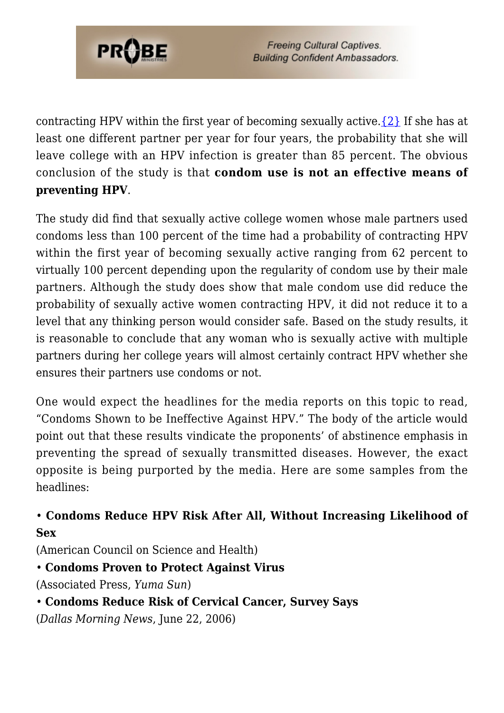

contracting HPV within the first year of becoming sexually active.  $\{2\}$  If she has at least one different partner per year for four years, the probability that she will leave college with an HPV infection is greater than 85 percent. The obvious conclusion of the study is that **condom use is not an effective means of preventing HPV**.

The study did find that sexually active college women whose male partners used condoms less than 100 percent of the time had a probability of contracting HPV within the first year of becoming sexually active ranging from 62 percent to virtually 100 percent depending upon the regularity of condom use by their male partners. Although the study does show that male condom use did reduce the probability of sexually active women contracting HPV, it did not reduce it to a level that any thinking person would consider safe. Based on the study results, it is reasonable to conclude that any woman who is sexually active with multiple partners during her college years will almost certainly contract HPV whether she ensures their partners use condoms or not.

One would expect the headlines for the media reports on this topic to read, "Condoms Shown to be Ineffective Against HPV." The body of the article would point out that these results vindicate the proponents' of abstinence emphasis in preventing the spread of sexually transmitted diseases. However, the exact opposite is being purported by the media. Here are some samples from the headlines:

#### • **Condoms Reduce HPV Risk After All, Without Increasing Likelihood of Sex**

(American Council on Science and Health)

#### • **Condoms Proven to Protect Against Virus**

(Associated Press, *Yuma Sun*)

• **Condoms Reduce Risk of Cervical Cancer, Survey Says**

(*Dallas Morning News*, June 22, 2006)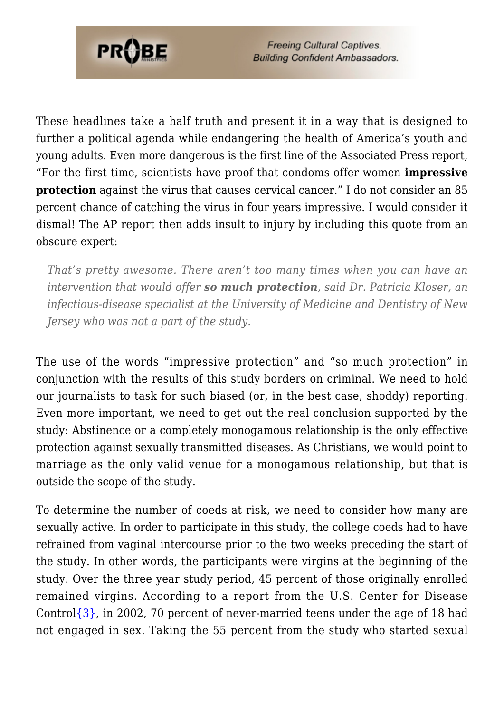

These headlines take a half truth and present it in a way that is designed to further a political agenda while endangering the health of America's youth and young adults. Even more dangerous is the first line of the Associated Press report, "For the first time, scientists have proof that condoms offer women **impressive protection** against the virus that causes cervical cancer." I do not consider an 85 percent chance of catching the virus in four years impressive. I would consider it dismal! The AP report then adds insult to injury by including this quote from an obscure expert:

*That's pretty awesome. There aren't too many times when you can have an intervention that would offer so much protection, said Dr. Patricia Kloser, an infectious-disease specialist at the University of Medicine and Dentistry of New Jersey who was not a part of the study.*

The use of the words "impressive protection" and "so much protection" in conjunction with the results of this study borders on criminal. We need to hold our journalists to task for such biased (or, in the best case, shoddy) reporting. Even more important, we need to get out the real conclusion supported by the study: Abstinence or a completely monogamous relationship is the only effective protection against sexually transmitted diseases. As Christians, we would point to marriage as the only valid venue for a monogamous relationship, but that is outside the scope of the study.

To determine the number of coeds at risk, we need to consider how many are sexually active. In order to participate in this study, the college coeds had to have refrained from vaginal intercourse prior to the two weeks preceding the start of the study. In other words, the participants were virgins at the beginning of the study. Over the three year study period, 45 percent of those originally enrolled remained virgins. According to a report from the U.S. Center for Disease Control $\{3\}$ , in 2002, 70 percent of never-married teens under the age of 18 had not engaged in sex. Taking the 55 percent from the study who started sexual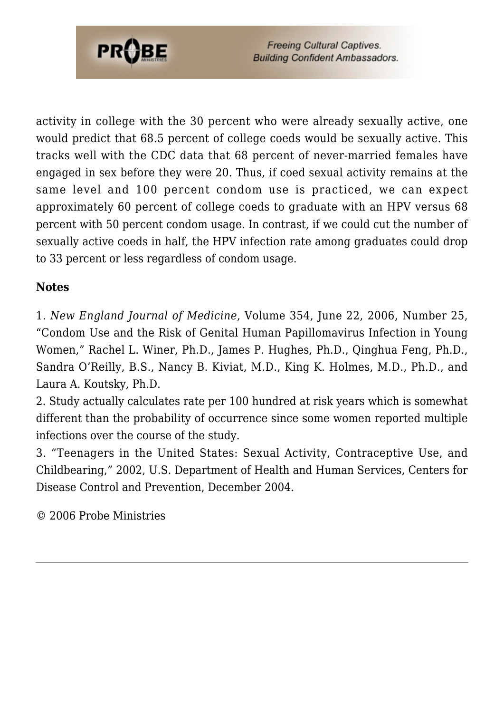

activity in college with the 30 percent who were already sexually active, one would predict that 68.5 percent of college coeds would be sexually active. This tracks well with the CDC data that 68 percent of never-married females have engaged in sex before they were 20. Thus, if coed sexual activity remains at the same level and 100 percent condom use is practiced, we can expect approximately 60 percent of college coeds to graduate with an HPV versus 68 percent with 50 percent condom usage. In contrast, if we could cut the number of sexually active coeds in half, the HPV infection rate among graduates could drop to 33 percent or less regardless of condom usage.

#### **Notes**

1. *New England Journal of Medicine*, Volume 354, June 22, 2006, Number 25, "Condom Use and the Risk of Genital Human Papillomavirus Infection in Young Women," Rachel L. Winer, Ph.D., James P. Hughes, Ph.D., Qinghua Feng, Ph.D., Sandra O'Reilly, B.S., Nancy B. Kiviat, M.D., King K. Holmes, M.D., Ph.D., and Laura A. Koutsky, Ph.D.

2. Study actually calculates rate per 100 hundred at risk years which is somewhat different than the probability of occurrence since some women reported multiple infections over the course of the study.

3. "Teenagers in the United States: Sexual Activity, Contraceptive Use, and Childbearing," 2002, U.S. Department of Health and Human Services, Centers for Disease Control and Prevention, December 2004.

© 2006 Probe Ministries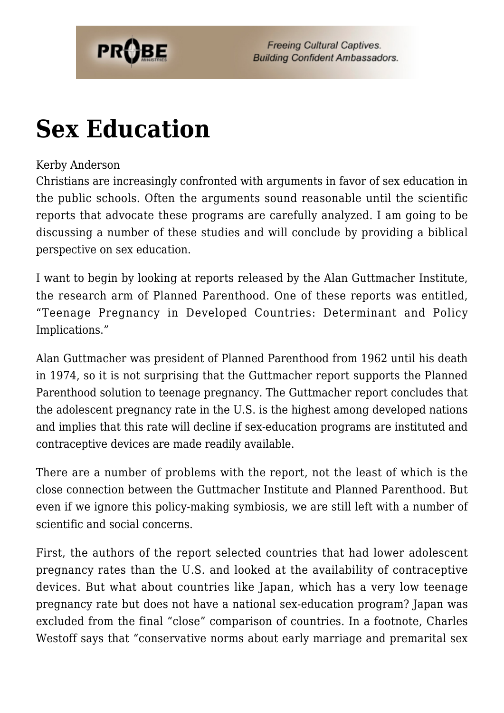

## **[Sex Education](https://probe.org/sex-education/)**

#### Kerby Anderson

Christians are increasingly confronted with arguments in favor of sex education in the public schools. Often the arguments sound reasonable until the scientific reports that advocate these programs are carefully analyzed. I am going to be discussing a number of these studies and will conclude by providing a biblical perspective on sex education.

I want to begin by looking at reports released by the Alan Guttmacher Institute, the research arm of Planned Parenthood. One of these reports was entitled, "Teenage Pregnancy in Developed Countries: Determinant and Policy Implications."

Alan Guttmacher was president of Planned Parenthood from 1962 until his death in 1974, so it is not surprising that the Guttmacher report supports the Planned Parenthood solution to teenage pregnancy. The Guttmacher report concludes that the adolescent pregnancy rate in the U.S. is the highest among developed nations and implies that this rate will decline if sex-education programs are instituted and contraceptive devices are made readily available.

There are a number of problems with the report, not the least of which is the close connection between the Guttmacher Institute and Planned Parenthood. But even if we ignore this policy-making symbiosis, we are still left with a number of scientific and social concerns.

First, the authors of the report selected countries that had lower adolescent pregnancy rates than the U.S. and looked at the availability of contraceptive devices. But what about countries like Japan, which has a very low teenage pregnancy rate but does not have a national sex-education program? Japan was excluded from the final "close" comparison of countries. In a footnote, Charles Westoff says that "conservative norms about early marriage and premarital sex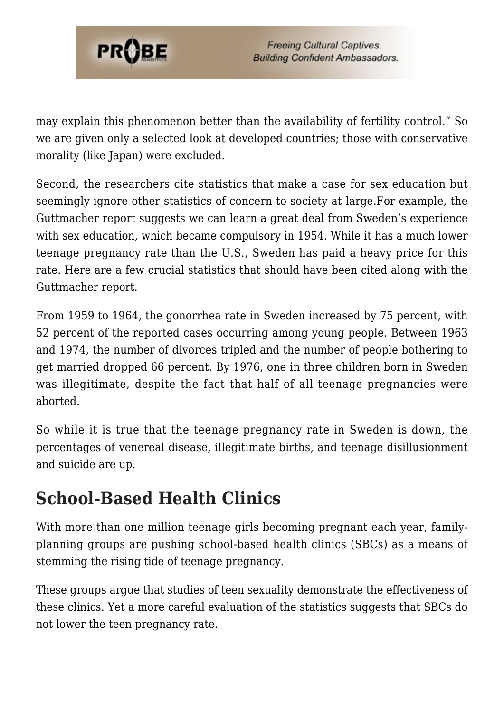

may explain this phenomenon better than the availability of fertility control." So we are given only a selected look at developed countries; those with conservative morality (like Japan) were excluded.

Second, the researchers cite statistics that make a case for sex education but seemingly ignore other statistics of concern to society at large.For example, the Guttmacher report suggests we can learn a great deal from Sweden's experience with sex education, which became compulsory in 1954. While it has a much lower teenage pregnancy rate than the U.S., Sweden has paid a heavy price for this rate. Here are a few crucial statistics that should have been cited along with the Guttmacher report.

From 1959 to 1964, the gonorrhea rate in Sweden increased by 75 percent, with 52 percent of the reported cases occurring among young people. Between 1963 and 1974, the number of divorces tripled and the number of people bothering to get married dropped 66 percent. By 1976, one in three children born in Sweden was illegitimate, despite the fact that half of all teenage pregnancies were aborted.

So while it is true that the teenage pregnancy rate in Sweden is down, the percentages of venereal disease, illegitimate births, and teenage disillusionment and suicide are up.

#### **School-Based Health Clinics**

With more than one million teenage girls becoming pregnant each year, familyplanning groups are pushing school-based health clinics (SBCs) as a means of stemming the rising tide of teenage pregnancy.

These groups argue that studies of teen sexuality demonstrate the effectiveness of these clinics. Yet a more careful evaluation of the statistics suggests that SBCs do not lower the teen pregnancy rate.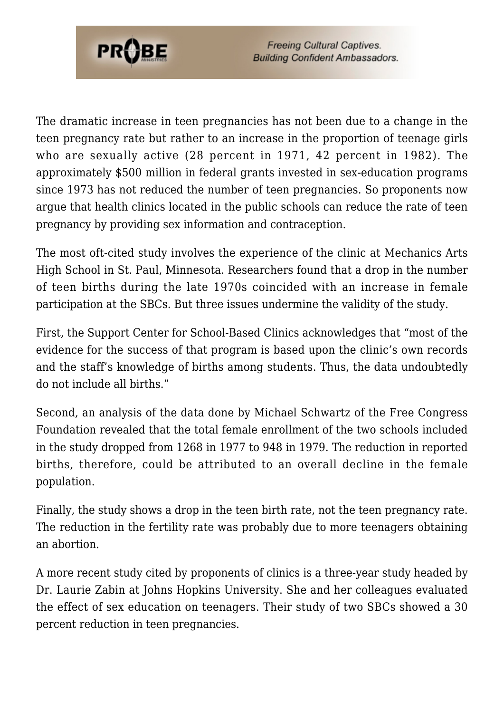

The dramatic increase in teen pregnancies has not been due to a change in the teen pregnancy rate but rather to an increase in the proportion of teenage girls who are sexually active (28 percent in 1971, 42 percent in 1982). The approximately \$500 million in federal grants invested in sex-education programs since 1973 has not reduced the number of teen pregnancies. So proponents now argue that health clinics located in the public schools can reduce the rate of teen pregnancy by providing sex information and contraception.

The most oft-cited study involves the experience of the clinic at Mechanics Arts High School in St. Paul, Minnesota. Researchers found that a drop in the number of teen births during the late 1970s coincided with an increase in female participation at the SBCs. But three issues undermine the validity of the study.

First, the Support Center for School-Based Clinics acknowledges that "most of the evidence for the success of that program is based upon the clinic's own records and the staff's knowledge of births among students. Thus, the data undoubtedly do not include all births."

Second, an analysis of the data done by Michael Schwartz of the Free Congress Foundation revealed that the total female enrollment of the two schools included in the study dropped from 1268 in 1977 to 948 in 1979. The reduction in reported births, therefore, could be attributed to an overall decline in the female population.

Finally, the study shows a drop in the teen birth rate, not the teen pregnancy rate. The reduction in the fertility rate was probably due to more teenagers obtaining an abortion.

A more recent study cited by proponents of clinics is a three-year study headed by Dr. Laurie Zabin at Johns Hopkins University. She and her colleagues evaluated the effect of sex education on teenagers. Their study of two SBCs showed a 30 percent reduction in teen pregnancies.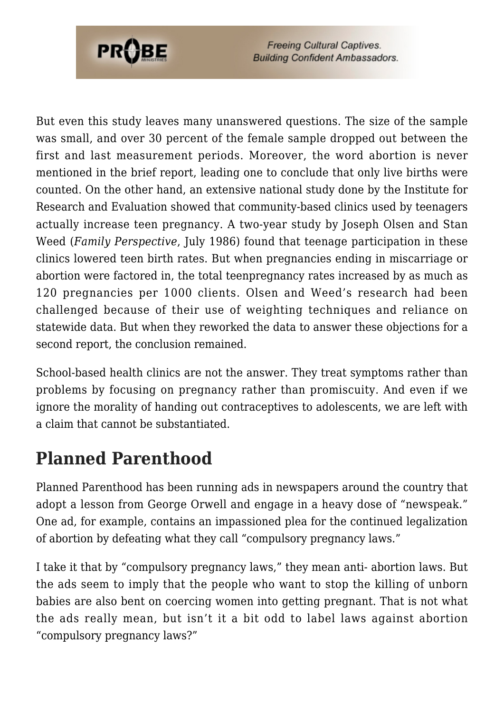

But even this study leaves many unanswered questions. The size of the sample was small, and over 30 percent of the female sample dropped out between the first and last measurement periods. Moreover, the word abortion is never mentioned in the brief report, leading one to conclude that only live births were counted. On the other hand, an extensive national study done by the Institute for Research and Evaluation showed that community-based clinics used by teenagers actually increase teen pregnancy. A two-year study by Joseph Olsen and Stan Weed (*Family Perspective*, July 1986) found that teenage participation in these clinics lowered teen birth rates. But when pregnancies ending in miscarriage or abortion were factored in, the total teenpregnancy rates increased by as much as 120 pregnancies per 1000 clients. Olsen and Weed's research had been challenged because of their use of weighting techniques and reliance on statewide data. But when they reworked the data to answer these objections for a second report, the conclusion remained.

School-based health clinics are not the answer. They treat symptoms rather than problems by focusing on pregnancy rather than promiscuity. And even if we ignore the morality of handing out contraceptives to adolescents, we are left with a claim that cannot be substantiated.

#### **Planned Parenthood**

Planned Parenthood has been running ads in newspapers around the country that adopt a lesson from George Orwell and engage in a heavy dose of "newspeak." One ad, for example, contains an impassioned plea for the continued legalization of abortion by defeating what they call "compulsory pregnancy laws."

I take it that by "compulsory pregnancy laws," they mean anti- abortion laws. But the ads seem to imply that the people who want to stop the killing of unborn babies are also bent on coercing women into getting pregnant. That is not what the ads really mean, but isn't it a bit odd to label laws against abortion "compulsory pregnancy laws?"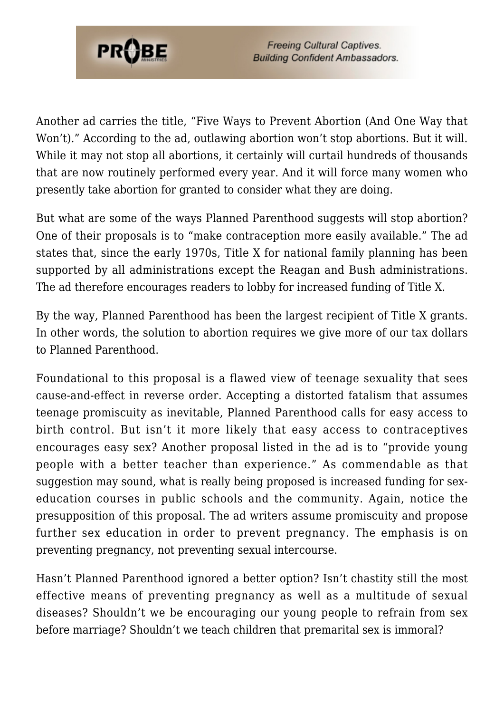

Another ad carries the title, "Five Ways to Prevent Abortion (And One Way that Won't)." According to the ad, outlawing abortion won't stop abortions. But it will. While it may not stop all abortions, it certainly will curtail hundreds of thousands that are now routinely performed every year. And it will force many women who presently take abortion for granted to consider what they are doing.

But what are some of the ways Planned Parenthood suggests will stop abortion? One of their proposals is to "make contraception more easily available." The ad states that, since the early 1970s, Title X for national family planning has been supported by all administrations except the Reagan and Bush administrations. The ad therefore encourages readers to lobby for increased funding of Title X.

By the way, Planned Parenthood has been the largest recipient of Title X grants. In other words, the solution to abortion requires we give more of our tax dollars to Planned Parenthood.

Foundational to this proposal is a flawed view of teenage sexuality that sees cause-and-effect in reverse order. Accepting a distorted fatalism that assumes teenage promiscuity as inevitable, Planned Parenthood calls for easy access to birth control. But isn't it more likely that easy access to contraceptives encourages easy sex? Another proposal listed in the ad is to "provide young people with a better teacher than experience." As commendable as that suggestion may sound, what is really being proposed is increased funding for sexeducation courses in public schools and the community. Again, notice the presupposition of this proposal. The ad writers assume promiscuity and propose further sex education in order to prevent pregnancy. The emphasis is on preventing pregnancy, not preventing sexual intercourse.

Hasn't Planned Parenthood ignored a better option? Isn't chastity still the most effective means of preventing pregnancy as well as a multitude of sexual diseases? Shouldn't we be encouraging our young people to refrain from sex before marriage? Shouldn't we teach children that premarital sex is immoral?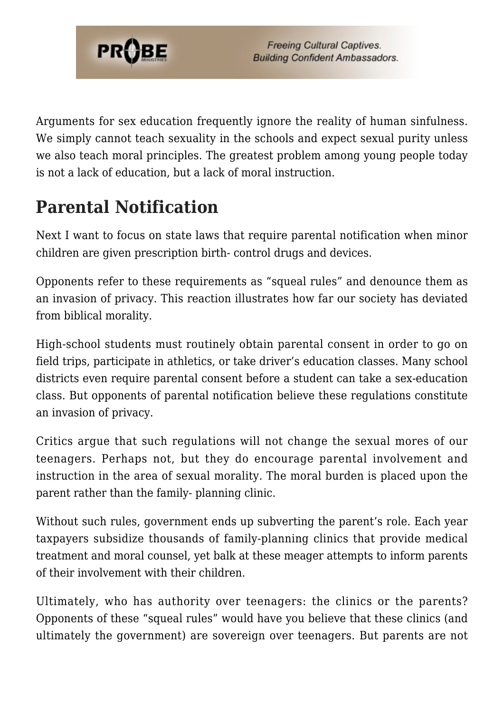

Arguments for sex education frequently ignore the reality of human sinfulness. We simply cannot teach sexuality in the schools and expect sexual purity unless we also teach moral principles. The greatest problem among young people today is not a lack of education, but a lack of moral instruction.

## **Parental Notification**

Next I want to focus on state laws that require parental notification when minor children are given prescription birth- control drugs and devices.

Opponents refer to these requirements as "squeal rules" and denounce them as an invasion of privacy. This reaction illustrates how far our society has deviated from biblical morality.

High-school students must routinely obtain parental consent in order to go on field trips, participate in athletics, or take driver's education classes. Many school districts even require parental consent before a student can take a sex-education class. But opponents of parental notification believe these regulations constitute an invasion of privacy.

Critics argue that such regulations will not change the sexual mores of our teenagers. Perhaps not, but they do encourage parental involvement and instruction in the area of sexual morality. The moral burden is placed upon the parent rather than the family- planning clinic.

Without such rules, government ends up subverting the parent's role. Each year taxpayers subsidize thousands of family-planning clinics that provide medical treatment and moral counsel, yet balk at these meager attempts to inform parents of their involvement with their children.

Ultimately, who has authority over teenagers: the clinics or the parents? Opponents of these "squeal rules" would have you believe that these clinics (and ultimately the government) are sovereign over teenagers. But parents are not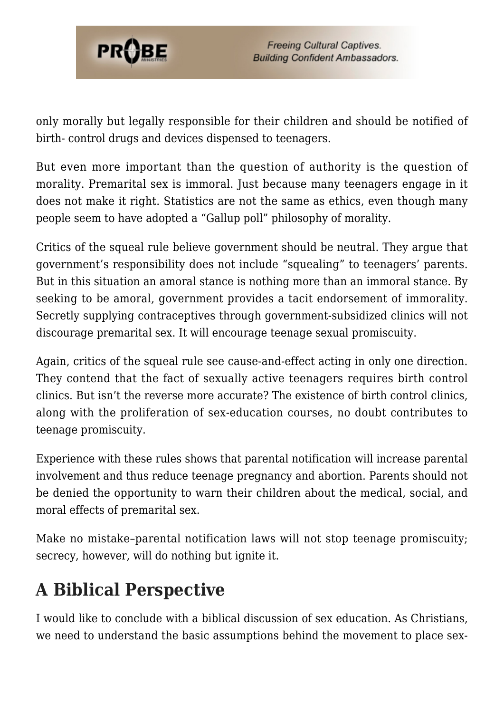

only morally but legally responsible for their children and should be notified of birth- control drugs and devices dispensed to teenagers.

But even more important than the question of authority is the question of morality. Premarital sex is immoral. Just because many teenagers engage in it does not make it right. Statistics are not the same as ethics, even though many people seem to have adopted a "Gallup poll" philosophy of morality.

Critics of the squeal rule believe government should be neutral. They argue that government's responsibility does not include "squealing" to teenagers' parents. But in this situation an amoral stance is nothing more than an immoral stance. By seeking to be amoral, government provides a tacit endorsement of immorality. Secretly supplying contraceptives through government-subsidized clinics will not discourage premarital sex. It will encourage teenage sexual promiscuity.

Again, critics of the squeal rule see cause-and-effect acting in only one direction. They contend that the fact of sexually active teenagers requires birth control clinics. But isn't the reverse more accurate? The existence of birth control clinics, along with the proliferation of sex-education courses, no doubt contributes to teenage promiscuity.

Experience with these rules shows that parental notification will increase parental involvement and thus reduce teenage pregnancy and abortion. Parents should not be denied the opportunity to warn their children about the medical, social, and moral effects of premarital sex.

Make no mistake–parental notification laws will not stop teenage promiscuity; secrecy, however, will do nothing but ignite it.

## **A Biblical Perspective**

I would like to conclude with a biblical discussion of sex education. As Christians, we need to understand the basic assumptions behind the movement to place sex-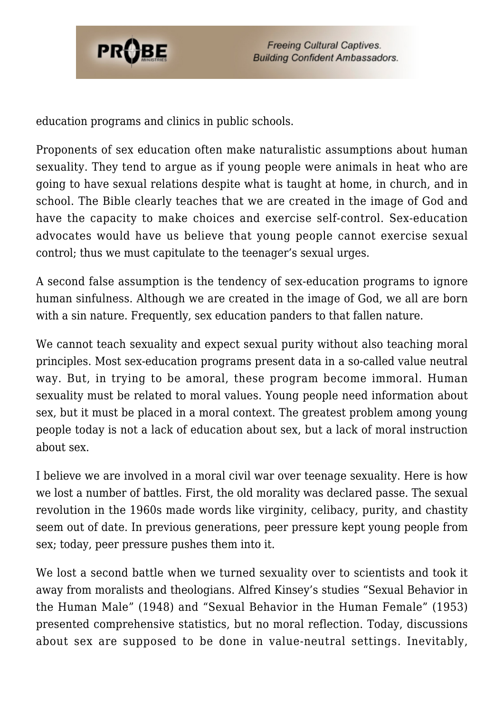

education programs and clinics in public schools.

Proponents of sex education often make naturalistic assumptions about human sexuality. They tend to argue as if young people were animals in heat who are going to have sexual relations despite what is taught at home, in church, and in school. The Bible clearly teaches that we are created in the image of God and have the capacity to make choices and exercise self-control. Sex-education advocates would have us believe that young people cannot exercise sexual control; thus we must capitulate to the teenager's sexual urges.

A second false assumption is the tendency of sex-education programs to ignore human sinfulness. Although we are created in the image of God, we all are born with a sin nature. Frequently, sex education panders to that fallen nature.

We cannot teach sexuality and expect sexual purity without also teaching moral principles. Most sex-education programs present data in a so-called value neutral way. But, in trying to be amoral, these program become immoral. Human sexuality must be related to moral values. Young people need information about sex, but it must be placed in a moral context. The greatest problem among young people today is not a lack of education about sex, but a lack of moral instruction about sex.

I believe we are involved in a moral civil war over teenage sexuality. Here is how we lost a number of battles. First, the old morality was declared passe. The sexual revolution in the 1960s made words like virginity, celibacy, purity, and chastity seem out of date. In previous generations, peer pressure kept young people from sex; today, peer pressure pushes them into it.

We lost a second battle when we turned sexuality over to scientists and took it away from moralists and theologians. Alfred Kinsey's studies "Sexual Behavior in the Human Male" (1948) and "Sexual Behavior in the Human Female" (1953) presented comprehensive statistics, but no moral reflection. Today, discussions about sex are supposed to be done in value-neutral settings. Inevitably,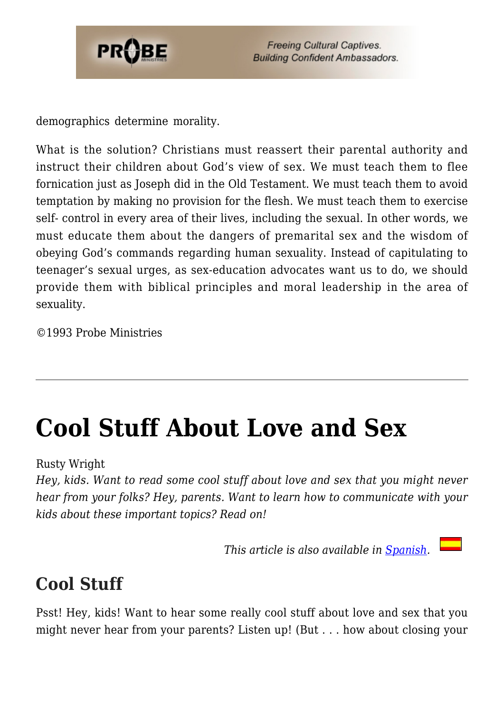

demographics determine morality.

What is the solution? Christians must reassert their parental authority and instruct their children about God's view of sex. We must teach them to flee fornication just as Joseph did in the Old Testament. We must teach them to avoid temptation by making no provision for the flesh. We must teach them to exercise self- control in every area of their lives, including the sexual. In other words, we must educate them about the dangers of premarital sex and the wisdom of obeying God's commands regarding human sexuality. Instead of capitulating to teenager's sexual urges, as sex-education advocates want us to do, we should provide them with biblical principles and moral leadership in the area of sexuality.

©1993 Probe Ministries

## **[Cool Stuff About Love and Sex](https://probe.org/cool-stuff-about-love-and-sex/)**

Rusty Wright

*Hey, kids. Want to read some cool stuff about love and sex that you might never hear from your folks? Hey, parents. Want to learn how to communicate with your kids about these important topics? Read on!*

*This article is also available in [Spanish.](http://www.ministeriosprobe.org/docs/amor_y_sexo.html)* 

### **Cool Stuff**

Psst! Hey, kids! Want to hear some really cool stuff about love and sex that you might never hear from your parents? Listen up! (But . . . how about closing your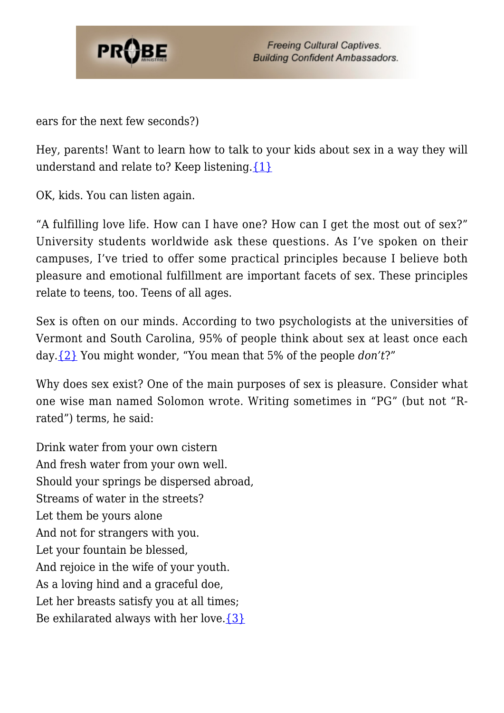

ears for the next few seconds?)

Hey, parents! Want to learn how to talk to your kids about sex in a way they will understand and relate to? Keep listening. $\{1\}$ 

OK, kids. You can listen again.

"A fulfilling love life. How can I have one? How can I get the most out of sex?" University students worldwide ask these questions. As I've spoken on their campuses, I've tried to offer some practical principles because I believe both pleasure and emotional fulfillment are important facets of sex. These principles relate to teens, too. Teens of all ages.

Sex is often on our minds. According to two psychologists at the universities of Vermont and South Carolina, 95% of people think about sex at least once each day[.{2}](#page-80-0) You might wonder, "You mean that 5% of the people *don't*?"

Why does sex exist? One of the main purposes of sex is pleasure. Consider what one wise man named Solomon wrote. Writing sometimes in "PG" (but not "Rrated") terms, he said:

Drink water from your own cistern And fresh water from your own well. Should your springs be dispersed abroad, Streams of water in the streets? Let them be yours alone And not for strangers with you. Let your fountain be blessed, And rejoice in the wife of your youth. As a loving hind and a graceful doe, Let her breasts satisfy you at all times; Be exhilarated always with her love. $\{3\}$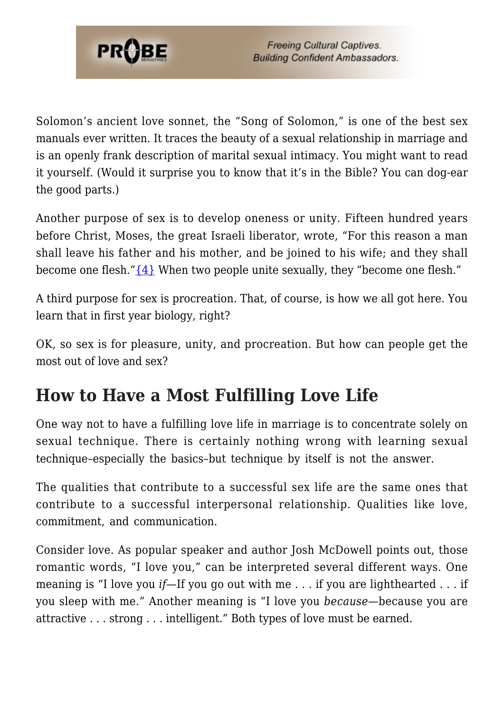

Solomon's ancient love sonnet, the "Song of Solomon," is one of the best sex manuals ever written. It traces the beauty of a sexual relationship in marriage and is an openly frank description of marital sexual intimacy. You might want to read it yourself. (Would it surprise you to know that it's in the Bible? You can dog-ear the good parts.)

Another purpose of sex is to develop oneness or unity. Fifteen hundred years before Christ, Moses, the great Israeli liberator, wrote, "For this reason a man shall leave his father and his mother, and be joined to his wife; and they shall become one flesh." $\{4\}$  When two people unite sexually, they "become one flesh."

A third purpose for sex is procreation. That, of course, is how we all got here. You learn that in first year biology, right?

OK, so sex is for pleasure, unity, and procreation. But how can people get the most out of love and sex?

#### **How to Have a Most Fulfilling Love Life**

One way not to have a fulfilling love life in marriage is to concentrate solely on sexual technique. There is certainly nothing wrong with learning sexual technique–especially the basics–but technique by itself is not the answer.

The qualities that contribute to a successful sex life are the same ones that contribute to a successful interpersonal relationship. Qualities like love, commitment, and communication.

Consider love. As popular speaker and author Josh McDowell points out, those romantic words, "I love you," can be interpreted several different ways. One meaning is "I love you *if*—If you go out with me . . . if you are lighthearted . . . if you sleep with me." Another meaning is "I love you *because*—because you are attractive . . . strong . . . intelligent." Both types of love must be earned.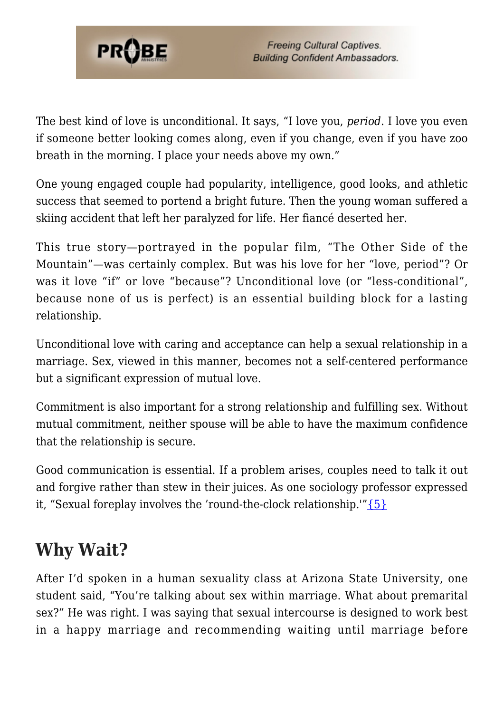

The best kind of love is unconditional. It says, "I love you, *period*. I love you even if someone better looking comes along, even if you change, even if you have zoo breath in the morning. I place your needs above my own."

One young engaged couple had popularity, intelligence, good looks, and athletic success that seemed to portend a bright future. Then the young woman suffered a skiing accident that left her paralyzed for life. Her fiancé deserted her.

This true story—portrayed in the popular film, "The Other Side of the Mountain"—was certainly complex. But was his love for her "love, period"? Or was it love "if" or love "because"? Unconditional love (or "less-conditional", because none of us is perfect) is an essential building block for a lasting relationship.

Unconditional love with caring and acceptance can help a sexual relationship in a marriage. Sex, viewed in this manner, becomes not a self-centered performance but a significant expression of mutual love.

Commitment is also important for a strong relationship and fulfilling sex. Without mutual commitment, neither spouse will be able to have the maximum confidence that the relationship is secure.

Good communication is essential. If a problem arises, couples need to talk it out and forgive rather than stew in their juices. As one sociology professor expressed it, "Sexual foreplay involves the 'round-the-clock relationship." $\{5\}$ 

### **Why Wait?**

After I'd spoken in a human sexuality class at Arizona State University, one student said, "You're talking about sex within marriage. What about premarital sex?" He was right. I was saying that sexual intercourse is designed to work best in a happy marriage and recommending waiting until marriage before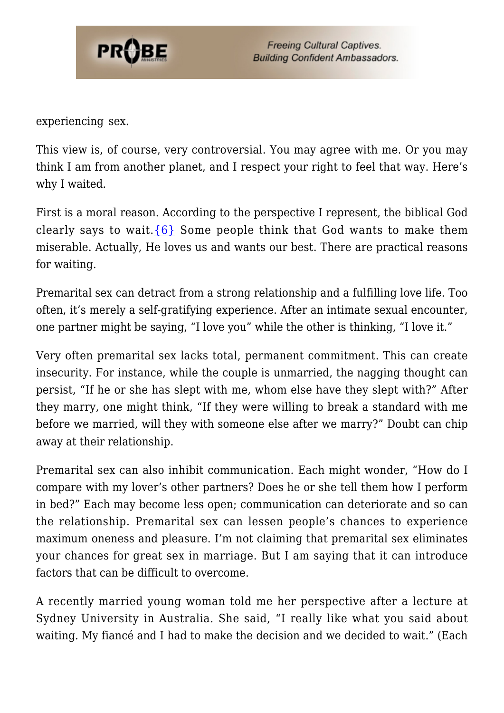

experiencing sex.

This view is, of course, very controversial. You may agree with me. Or you may think I am from another planet, and I respect your right to feel that way. Here's why I waited.

First is a moral reason. According to the perspective I represent, the biblical God clearly says to wait.  $\{6\}$  Some people think that God wants to make them miserable. Actually, He loves us and wants our best. There are practical reasons for waiting.

Premarital sex can detract from a strong relationship and a fulfilling love life. Too often, it's merely a self-gratifying experience. After an intimate sexual encounter, one partner might be saying, "I love you" while the other is thinking, "I love it."

Very often premarital sex lacks total, permanent commitment. This can create insecurity. For instance, while the couple is unmarried, the nagging thought can persist, "If he or she has slept with me, whom else have they slept with?" After they marry, one might think, "If they were willing to break a standard with me before we married, will they with someone else after we marry?" Doubt can chip away at their relationship.

Premarital sex can also inhibit communication. Each might wonder, "How do I compare with my lover's other partners? Does he or she tell them how I perform in bed?" Each may become less open; communication can deteriorate and so can the relationship. Premarital sex can lessen people's chances to experience maximum oneness and pleasure. I'm not claiming that premarital sex eliminates your chances for great sex in marriage. But I am saying that it can introduce factors that can be difficult to overcome.

A recently married young woman told me her perspective after a lecture at Sydney University in Australia. She said, "I really like what you said about waiting. My fiancé and I had to make the decision and we decided to wait." (Each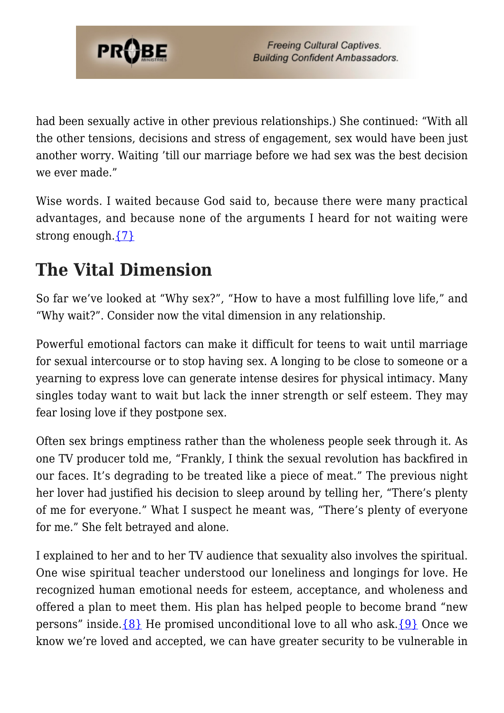

had been sexually active in other previous relationships.) She continued: "With all the other tensions, decisions and stress of engagement, sex would have been just another worry. Waiting 'till our marriage before we had sex was the best decision we ever made."

Wise words. I waited because God said to, because there were many practical advantages, and because none of the arguments I heard for not waiting were strong enough.[{7}](#page-81-1)

#### **The Vital Dimension**

So far we've looked at "Why sex?", "How to have a most fulfilling love life," and "Why wait?". Consider now the vital dimension in any relationship.

Powerful emotional factors can make it difficult for teens to wait until marriage for sexual intercourse or to stop having sex. A longing to be close to someone or a yearning to express love can generate intense desires for physical intimacy. Many singles today want to wait but lack the inner strength or self esteem. They may fear losing love if they postpone sex.

Often sex brings emptiness rather than the wholeness people seek through it. As one TV producer told me, "Frankly, I think the sexual revolution has backfired in our faces. It's degrading to be treated like a piece of meat." The previous night her lover had justified his decision to sleep around by telling her, "There's plenty of me for everyone." What I suspect he meant was, "There's plenty of everyone for me." She felt betrayed and alone.

I explained to her and to her TV audience that sexuality also involves the spiritual. One wise spiritual teacher understood our loneliness and longings for love. He recognized human emotional needs for esteem, acceptance, and wholeness and offered a plan to meet them. His plan has helped people to become brand "new persons" inside. $\{8\}$  He promised unconditional love to all who ask. $\{9\}$  Once we know we're loved and accepted, we can have greater security to be vulnerable in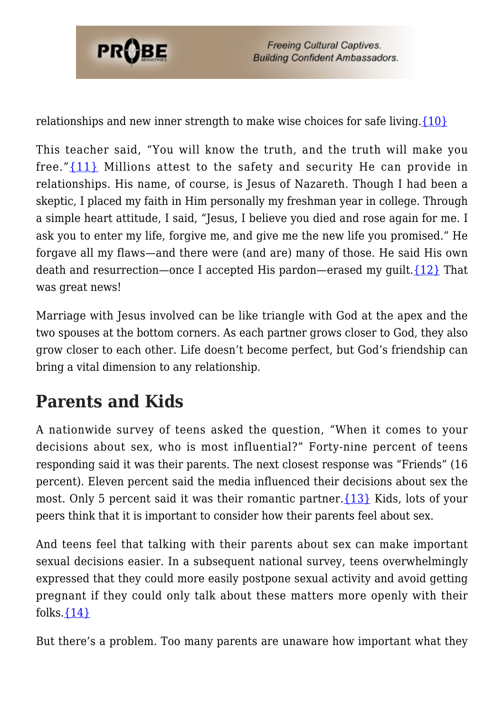

relationships and new inner strength to make wise choices for safe living[.{10}](#page-81-3)

This teacher said, "You will know the truth, and the truth will make you free."[{11}](#page-81-4) Millions attest to the safety and security He can provide in relationships. His name, of course, is Jesus of Nazareth. Though I had been a skeptic, I placed my faith in Him personally my freshman year in college. Through a simple heart attitude, I said, "Jesus, I believe you died and rose again for me. I ask you to enter my life, forgive me, and give me the new life you promised." He forgave all my flaws—and there were (and are) many of those. He said His own death and resurrection—once I accepted His pardon—erased my quilt.  $\{12\}$  That was great news!

Marriage with Jesus involved can be like triangle with God at the apex and the two spouses at the bottom corners. As each partner grows closer to God, they also grow closer to each other. Life doesn't become perfect, but God's friendship can bring a vital dimension to any relationship.

### **Parents and Kids**

A nationwide survey of teens asked the question, "When it comes to your decisions about sex, who is most influential?" Forty-nine percent of teens responding said it was their parents. The next closest response was "Friends" (16 percent). Eleven percent said the media influenced their decisions about sex the most. Only 5 percent said it was their romantic partner.[{13}](#page-81-6) Kids, lots of your peers think that it is important to consider how their parents feel about sex.

And teens feel that talking with their parents about sex can make important sexual decisions easier. In a subsequent national survey, teens overwhelmingly expressed that they could more easily postpone sexual activity and avoid getting pregnant if they could only talk about these matters more openly with their folks. ${14}$ 

But there's a problem. Too many parents are unaware how important what they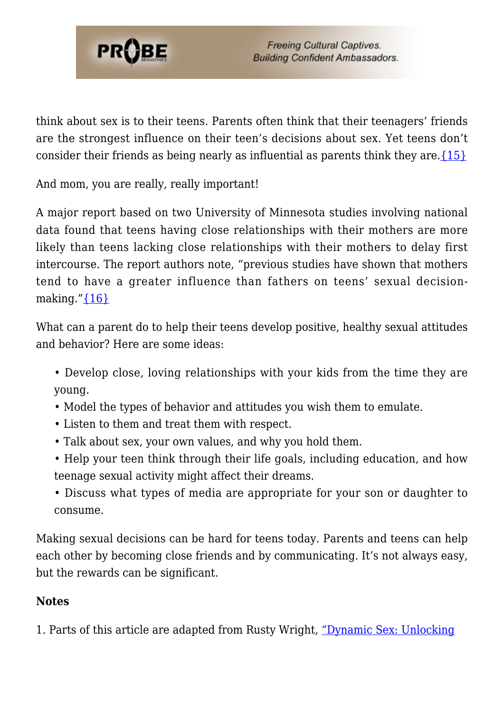

think about sex is to their teens. Parents often think that their teenagers' friends are the strongest influence on their teen's decisions about sex. Yet teens don't consider their friends as being nearly as influential as parents think they are. $\{15\}$ 

And mom, you are really, really important!

A major report based on two University of Minnesota studies involving national data found that teens having close relationships with their mothers are more likely than teens lacking close relationships with their mothers to delay first intercourse. The report authors note, "previous studies have shown that mothers tend to have a greater influence than fathers on teens' sexual decisionmaking." ${16}$ 

What can a parent do to help their teens develop positive, healthy sexual attitudes and behavior? Here are some ideas:

- Develop close, loving relationships with your kids from the time they are young.
- Model the types of behavior and attitudes you wish them to emulate.
- Listen to them and treat them with respect.
- Talk about sex, your own values, and why you hold them.
- Help your teen think through their life goals, including education, and how teenage sexual activity might affect their dreams.
- Discuss what types of media are appropriate for your son or daughter to consume.

Making sexual decisions can be hard for teens today. Parents and teens can help each other by becoming close friends and by communicating. It's not always easy, but the rewards can be significant.

#### **Notes**

1. Parts of this article are adapted from Rusty Wright, ["Dynamic Sex: Unlocking](https://www.probe.org/dynamic-sex-unlocking-the-secret-to-love/)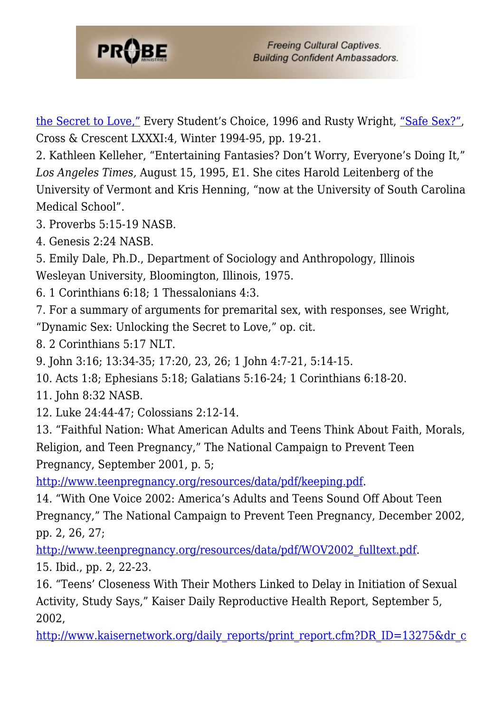

[the Secret to Love,"](https://www.probe.org/dynamic-sex-unlocking-the-secret-to-love/) Every Student's Choice, 1996 and Rusty Wright, ["Safe Sex?",](https://www.probe.org/safe-sex/) Cross & Crescent LXXXI:4, Winter 1994-95, pp. 19-21.

2. Kathleen Kelleher, "Entertaining Fantasies? Don't Worry, Everyone's Doing It," *Los Angeles Times,* August 15, 1995, E1. She cites Harold Leitenberg of the University of Vermont and Kris Henning, "now at the University of South Carolina Medical School".

3. Proverbs 5:15-19 NASB.

4. Genesis 2:24 NASB.

5. Emily Dale, Ph.D., Department of Sociology and Anthropology, Illinois Wesleyan University, Bloomington, Illinois, 1975.

- 6. 1 Corinthians 6:18; 1 Thessalonians 4:3.
- 7. For a summary of arguments for premarital sex, with responses, see Wright,

"Dynamic Sex: Unlocking the Secret to Love," op. cit.

<span id="page-58-0"></span>8. 2 Corinthians 5:17 NLT.

9. John 3:16; 13:34-35; 17:20, 23, 26; 1 John 4:7-21, 5:14-15.

10. Acts 1:8; Ephesians 5:18; Galatians 5:16-24; 1 Corinthians 6:18-20.

11. John 8:32 NASB.

12. Luke 24:44-47; Colossians 2:12-14.

13. "Faithful Nation: What American Adults and Teens Think About Faith, Morals, Religion, and Teen Pregnancy," The National Campaign to Prevent Teen Pregnancy, September 2001, p. 5;

[http://www.teenpregnancy.org/resources/data/pdf/keeping.pdf.](http://www.teenpregnancy.org/resources/data/pdf/keeping.pdf)

14. "With One Voice 2002: America's Adults and Teens Sound Off About Teen Pregnancy," The National Campaign to Prevent Teen Pregnancy, December 2002, pp. 2, 26, 27;

[http://www.teenpregnancy.org/resources/data/pdf/WOV2002\\_fulltext.pdf.](http://www.teenpregnancy.org/resources/data/pdf/wov2002_fulltext.pdf)

15. Ibid., pp. 2, 22-23.

16. "Teens' Closeness With Their Mothers Linked to Delay in Initiation of Sexual Activity, Study Says," Kaiser Daily Reproductive Health Report, September 5, 2002,

[http://www.kaisernetwork.org/daily\\_reports/print\\_report.cfm?DR\\_ID=13275&dr\\_c](http://www.kaisernetwork.org/daily_reports/print_report.cfm?dr_id=13275&dr_cat=2)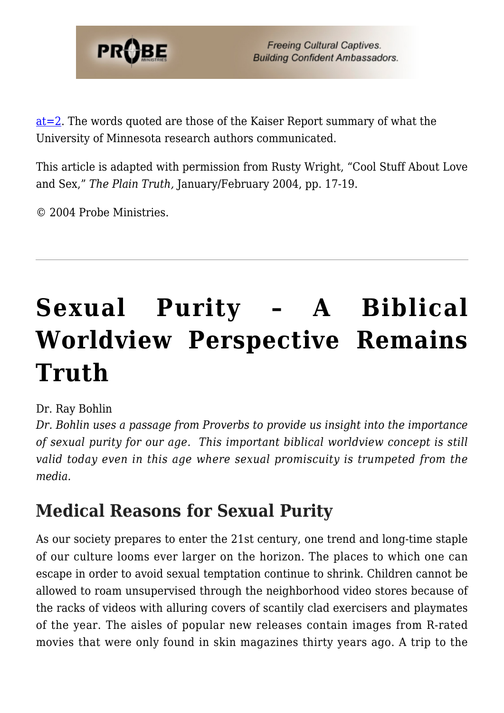

[at=2.](http://www.kaisernetwork.org/daily_reports/print_report.cfm?dr_id=13275&dr_cat=2) The words quoted are those of the Kaiser Report summary of what the University of Minnesota research authors communicated.

This article is adapted with permission from Rusty Wright, "Cool Stuff About Love and Sex," *The Plain Truth,* January/February 2004, pp. 17-19.

© 2004 Probe Ministries.

# **[Sexual Purity – A Biblical](https://probe.org/sexual-purity/) [Worldview Perspective Remains](https://probe.org/sexual-purity/) [Truth](https://probe.org/sexual-purity/)**

#### Dr. Ray Bohlin

*Dr. Bohlin uses a passage from Proverbs to provide us insight into the importance of sexual purity for our age. This important biblical worldview concept is still valid today even in this age where sexual promiscuity is trumpeted from the media.*

#### **Medical Reasons for Sexual Purity**

As our society prepares to enter the 21st century, one trend and long-time staple of our culture looms ever larger on the horizon. The places to which one can escape in order to avoid sexual temptation continue to shrink. Children cannot be allowed to roam unsupervised through the neighborhood video stores because of the racks of videos with alluring covers of scantily clad exercisers and playmates of the year. The aisles of popular new releases contain images from R-rated movies that were only found in skin magazines thirty years ago. A trip to the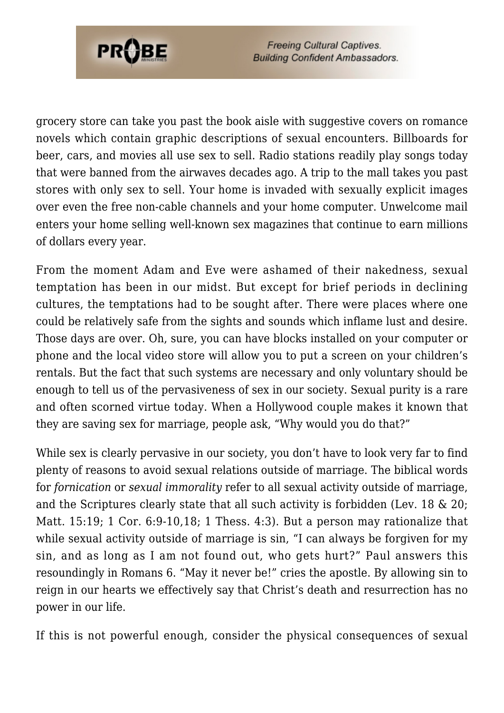

grocery store can take you past the book aisle with suggestive covers on romance novels which contain graphic descriptions of sexual encounters. Billboards for beer, cars, and movies all use sex to sell. Radio stations readily play songs today that were banned from the airwaves decades ago. A trip to the mall takes you past stores with only sex to sell. Your home is invaded with sexually explicit images over even the free non-cable channels and your home computer. Unwelcome mail enters your home selling well-known sex magazines that continue to earn millions of dollars every year.

From the moment Adam and Eve were ashamed of their nakedness, sexual temptation has been in our midst. But except for brief periods in declining cultures, the temptations had to be sought after. There were places where one could be relatively safe from the sights and sounds which inflame lust and desire. Those days are over. Oh, sure, you can have blocks installed on your computer or phone and the local video store will allow you to put a screen on your children's rentals. But the fact that such systems are necessary and only voluntary should be enough to tell us of the pervasiveness of sex in our society. Sexual purity is a rare and often scorned virtue today. When a Hollywood couple makes it known that they are saving sex for marriage, people ask, "Why would you do that?"

While sex is clearly pervasive in our society, you don't have to look very far to find plenty of reasons to avoid sexual relations outside of marriage. The biblical words for *fornication* or *sexual immorality* refer to all sexual activity outside of marriage, and the Scriptures clearly state that all such activity is forbidden (Lev. 18 & 20; Matt. 15:19; 1 Cor. 6:9-10,18; 1 Thess. 4:3). But a person may rationalize that while sexual activity outside of marriage is sin, "I can always be forgiven for my sin, and as long as I am not found out, who gets hurt?" Paul answers this resoundingly in Romans 6. "May it never be!" cries the apostle. By allowing sin to reign in our hearts we effectively say that Christ's death and resurrection has no power in our life.

If this is not powerful enough, consider the physical consequences of sexual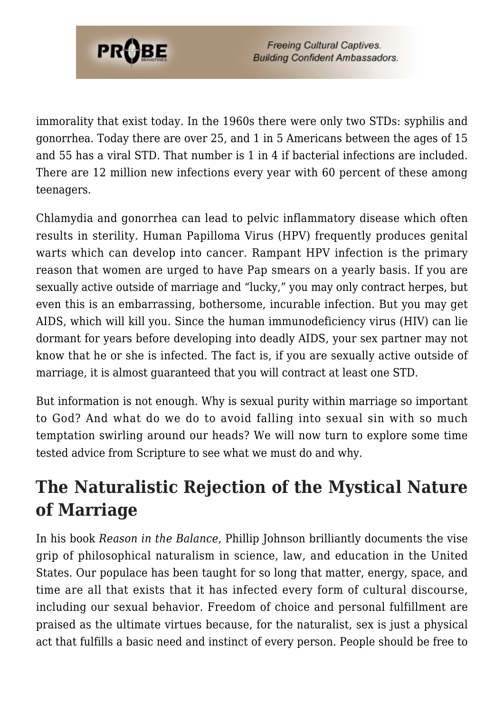

immorality that exist today. In the 1960s there were only two STDs: syphilis and gonorrhea. Today there are over 25, and 1 in 5 Americans between the ages of 15 and 55 has a viral STD. That number is 1 in 4 if bacterial infections are included. There are 12 million new infections every year with 60 percent of these among teenagers.

Chlamydia and gonorrhea can lead to pelvic inflammatory disease which often results in sterility. Human Papilloma Virus (HPV) frequently produces genital warts which can develop into cancer. Rampant HPV infection is the primary reason that women are urged to have Pap smears on a yearly basis. If you are sexually active outside of marriage and "lucky," you may only contract herpes, but even this is an embarrassing, bothersome, incurable infection. But you may get AIDS, which will kill you. Since the human immunodeficiency virus (HIV) can lie dormant for years before developing into deadly AIDS, your sex partner may not know that he or she is infected. The fact is, if you are sexually active outside of marriage, it is almost guaranteed that you will contract at least one STD.

But information is not enough. Why is sexual purity within marriage so important to God? And what do we do to avoid falling into sexual sin with so much temptation swirling around our heads? We will now turn to explore some time tested advice from Scripture to see what we must do and why.

#### **The Naturalistic Rejection of the Mystical Nature of Marriage**

In his book *Reason in the Balance*, Phillip Johnson brilliantly documents the vise grip of philosophical naturalism in science, law, and education in the United States. Our populace has been taught for so long that matter, energy, space, and time are all that exists that it has infected every form of cultural discourse, including our sexual behavior. Freedom of choice and personal fulfillment are praised as the ultimate virtues because, for the naturalist, sex is just a physical act that fulfills a basic need and instinct of every person. People should be free to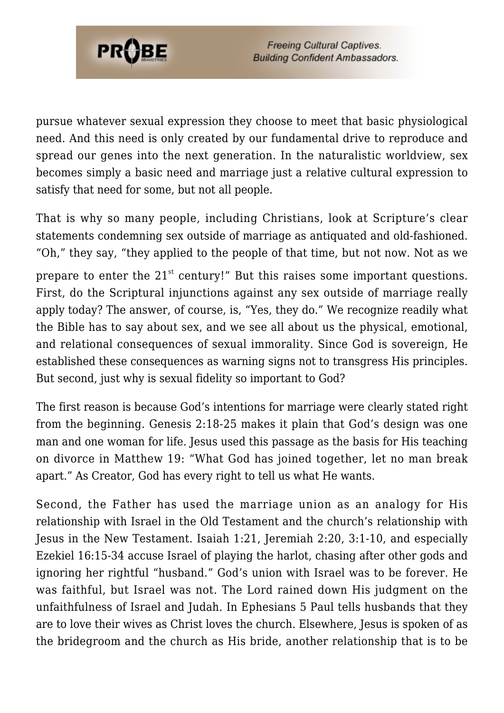

pursue whatever sexual expression they choose to meet that basic physiological need. And this need is only created by our fundamental drive to reproduce and spread our genes into the next generation. In the naturalistic worldview, sex becomes simply a basic need and marriage just a relative cultural expression to satisfy that need for some, but not all people.

That is why so many people, including Christians, look at Scripture's clear statements condemning sex outside of marriage as antiquated and old-fashioned. "Oh," they say, "they applied to the people of that time, but not now. Not as we prepare to enter the  $21^{st}$  century!" But this raises some important questions. First, do the Scriptural injunctions against any sex outside of marriage really apply today? The answer, of course, is, "Yes, they do." We recognize readily what the Bible has to say about sex, and we see all about us the physical, emotional, and relational consequences of sexual immorality. Since God is sovereign, He established these consequences as warning signs not to transgress His principles. But second, just why is sexual fidelity so important to God?

The first reason is because God's intentions for marriage were clearly stated right from the beginning. Genesis 2:18-25 makes it plain that God's design was one man and one woman for life. Jesus used this passage as the basis for His teaching on divorce in Matthew 19: "What God has joined together, let no man break apart." As Creator, God has every right to tell us what He wants.

Second, the Father has used the marriage union as an analogy for His relationship with Israel in the Old Testament and the church's relationship with Jesus in the New Testament. Isaiah 1:21, Jeremiah 2:20, 3:1-10, and especially Ezekiel 16:15-34 accuse Israel of playing the harlot, chasing after other gods and ignoring her rightful "husband." God's union with Israel was to be forever. He was faithful, but Israel was not. The Lord rained down His judgment on the unfaithfulness of Israel and Judah. In Ephesians 5 Paul tells husbands that they are to love their wives as Christ loves the church. Elsewhere, Jesus is spoken of as the bridegroom and the church as His bride, another relationship that is to be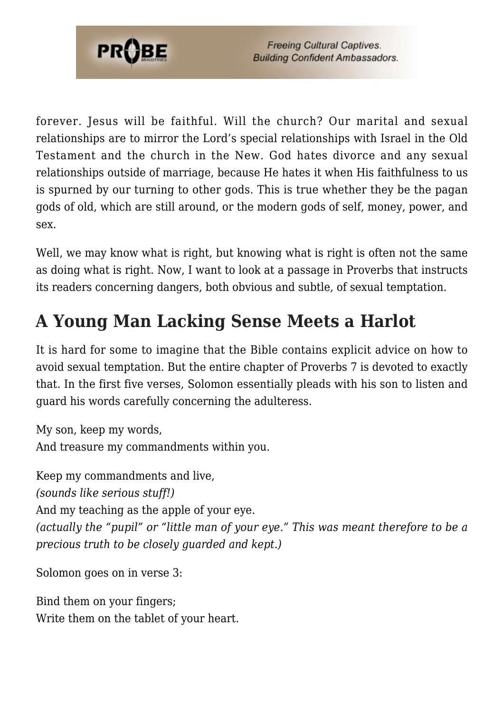

forever. Jesus will be faithful. Will the church? Our marital and sexual relationships are to mirror the Lord's special relationships with Israel in the Old Testament and the church in the New. God hates divorce and any sexual relationships outside of marriage, because He hates it when His faithfulness to us is spurned by our turning to other gods. This is true whether they be the pagan gods of old, which are still around, or the modern gods of self, money, power, and sex.

Well, we may know what is right, but knowing what is right is often not the same as doing what is right. Now, I want to look at a passage in Proverbs that instructs its readers concerning dangers, both obvious and subtle, of sexual temptation.

## **A Young Man Lacking Sense Meets a Harlot**

It is hard for some to imagine that the Bible contains explicit advice on how to avoid sexual temptation. But the entire chapter of Proverbs 7 is devoted to exactly that. In the first five verses, Solomon essentially pleads with his son to listen and guard his words carefully concerning the adulteress.

My son, keep my words, And treasure my commandments within you.

Keep my commandments and live, *(sounds like serious stuff!)* And my teaching as the apple of your eye. *(actually the "pupil" or "little man of your eye." This was meant therefore to be a precious truth to be closely guarded and kept.)*

Solomon goes on in verse 3:

Bind them on your fingers; Write them on the tablet of your heart.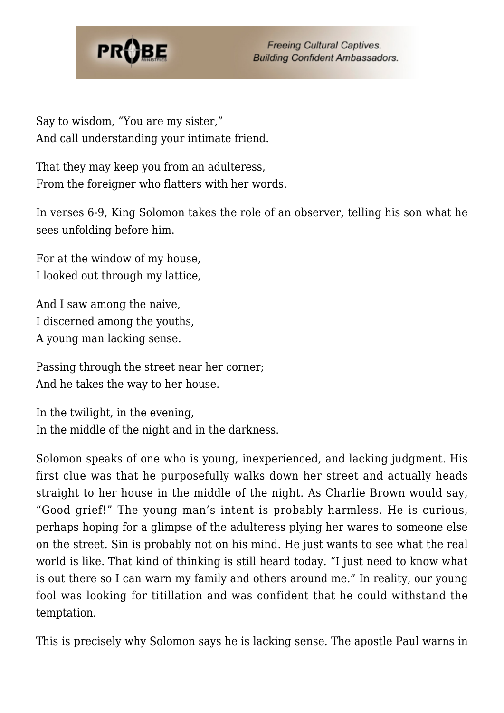

Say to wisdom, "You are my sister," And call understanding your intimate friend.

That they may keep you from an adulteress, From the foreigner who flatters with her words.

In verses 6-9, King Solomon takes the role of an observer, telling his son what he sees unfolding before him.

For at the window of my house, I looked out through my lattice,

And I saw among the naive, I discerned among the youths, A young man lacking sense.

Passing through the street near her corner; And he takes the way to her house.

In the twilight, in the evening, In the middle of the night and in the darkness.

Solomon speaks of one who is young, inexperienced, and lacking judgment. His first clue was that he purposefully walks down her street and actually heads straight to her house in the middle of the night. As Charlie Brown would say, "Good grief!" The young man's intent is probably harmless. He is curious, perhaps hoping for a glimpse of the adulteress plying her wares to someone else on the street. Sin is probably not on his mind. He just wants to see what the real world is like. That kind of thinking is still heard today. "I just need to know what is out there so I can warn my family and others around me." In reality, our young fool was looking for titillation and was confident that he could withstand the temptation.

This is precisely why Solomon says he is lacking sense. The apostle Paul warns in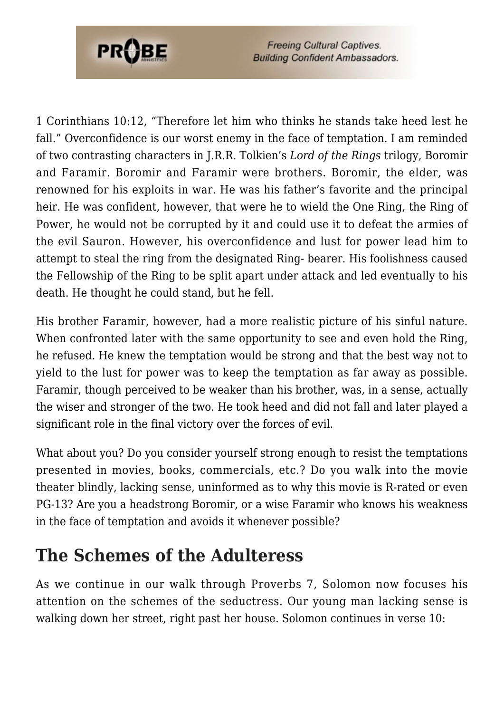

1 Corinthians 10:12, "Therefore let him who thinks he stands take heed lest he fall." Overconfidence is our worst enemy in the face of temptation. I am reminded of two contrasting characters in J.R.R. Tolkien's *Lord of the Rings* trilogy, Boromir and Faramir. Boromir and Faramir were brothers. Boromir, the elder, was renowned for his exploits in war. He was his father's favorite and the principal heir. He was confident, however, that were he to wield the One Ring, the Ring of Power, he would not be corrupted by it and could use it to defeat the armies of the evil Sauron. However, his overconfidence and lust for power lead him to attempt to steal the ring from the designated Ring- bearer. His foolishness caused the Fellowship of the Ring to be split apart under attack and led eventually to his death. He thought he could stand, but he fell.

His brother Faramir, however, had a more realistic picture of his sinful nature. When confronted later with the same opportunity to see and even hold the Ring, he refused. He knew the temptation would be strong and that the best way not to yield to the lust for power was to keep the temptation as far away as possible. Faramir, though perceived to be weaker than his brother, was, in a sense, actually the wiser and stronger of the two. He took heed and did not fall and later played a significant role in the final victory over the forces of evil.

What about you? Do you consider yourself strong enough to resist the temptations presented in movies, books, commercials, etc.? Do you walk into the movie theater blindly, lacking sense, uninformed as to why this movie is R-rated or even PG-13? Are you a headstrong Boromir, or a wise Faramir who knows his weakness in the face of temptation and avoids it whenever possible?

#### **The Schemes of the Adulteress**

As we continue in our walk through Proverbs 7, Solomon now focuses his attention on the schemes of the seductress. Our young man lacking sense is walking down her street, right past her house. Solomon continues in verse 10: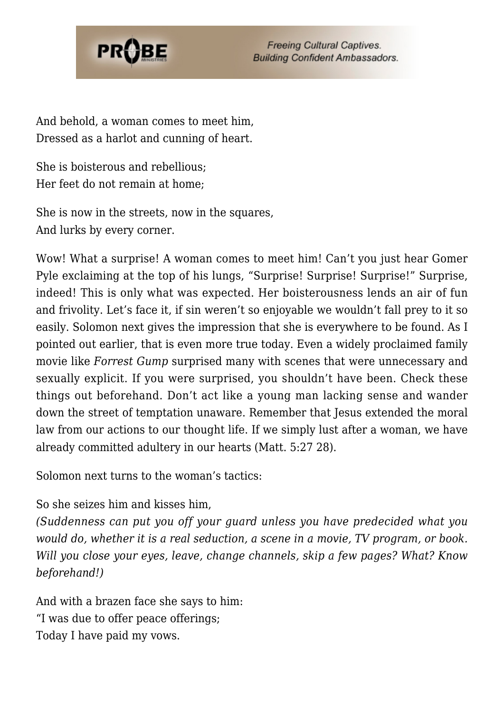

And behold, a woman comes to meet him, Dressed as a harlot and cunning of heart.

She is boisterous and rebellious; Her feet do not remain at home;

She is now in the streets, now in the squares, And lurks by every corner.

Wow! What a surprise! A woman comes to meet him! Can't you just hear Gomer Pyle exclaiming at the top of his lungs, "Surprise! Surprise! Surprise!" Surprise, indeed! This is only what was expected. Her boisterousness lends an air of fun and frivolity. Let's face it, if sin weren't so enjoyable we wouldn't fall prey to it so easily. Solomon next gives the impression that she is everywhere to be found. As I pointed out earlier, that is even more true today. Even a widely proclaimed family movie like *Forrest Gump* surprised many with scenes that were unnecessary and sexually explicit. If you were surprised, you shouldn't have been. Check these things out beforehand. Don't act like a young man lacking sense and wander down the street of temptation unaware. Remember that Jesus extended the moral law from our actions to our thought life. If we simply lust after a woman, we have already committed adultery in our hearts (Matt. 5:27 28).

Solomon next turns to the woman's tactics:

So she seizes him and kisses him,

*(Suddenness can put you off your guard unless you have predecided what you would do, whether it is a real seduction, a scene in a movie, TV program, or book. Will you close your eyes, leave, change channels, skip a few pages? What? Know beforehand!)*

And with a brazen face she says to him: "I was due to offer peace offerings; Today I have paid my vows.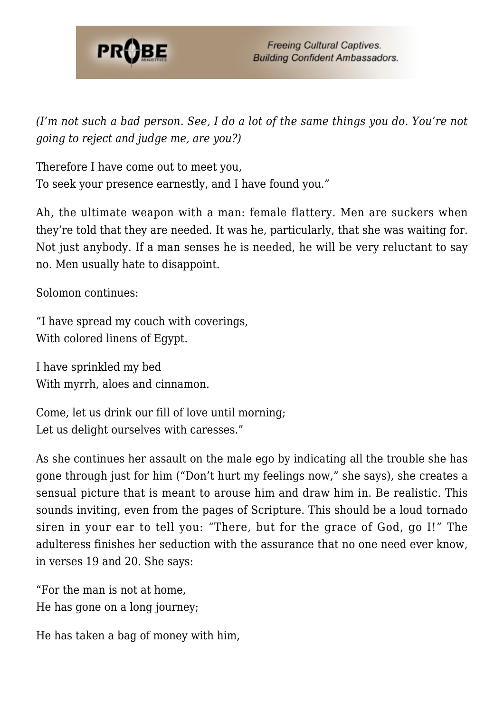

*(I'm not such a bad person. See, I do a lot of the same things you do. You're not going to reject and judge me, are you?)*

Therefore I have come out to meet you, To seek your presence earnestly, and I have found you."

Ah, the ultimate weapon with a man: female flattery. Men are suckers when they're told that they are needed. It was he, particularly, that she was waiting for. Not just anybody. If a man senses he is needed, he will be very reluctant to say no. Men usually hate to disappoint.

Solomon continues:

"I have spread my couch with coverings, With colored linens of Egypt.

I have sprinkled my bed With myrrh, aloes and cinnamon.

Come, let us drink our fill of love until morning; Let us delight ourselves with caresses."

As she continues her assault on the male ego by indicating all the trouble she has gone through just for him ("Don't hurt my feelings now," she says), she creates a sensual picture that is meant to arouse him and draw him in. Be realistic. This sounds inviting, even from the pages of Scripture. This should be a loud tornado siren in your ear to tell you: "There, but for the grace of God, go I!" The adulteress finishes her seduction with the assurance that no one need ever know, in verses 19 and 20. She says:

"For the man is not at home, He has gone on a long journey;

He has taken a bag of money with him,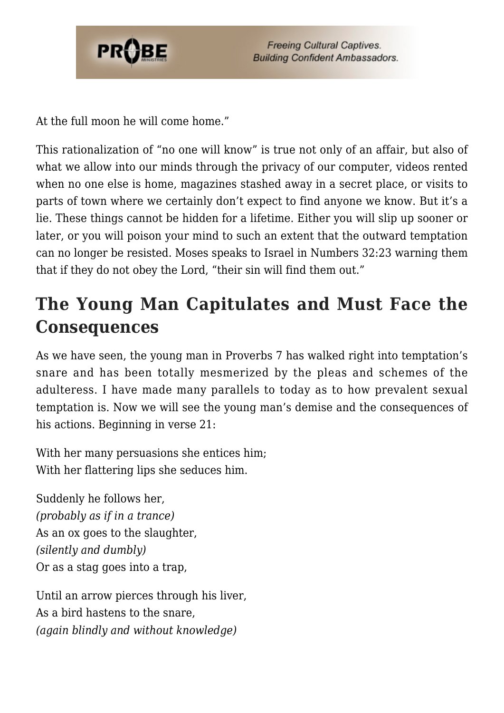

At the full moon he will come home."

This rationalization of "no one will know" is true not only of an affair, but also of what we allow into our minds through the privacy of our computer, videos rented when no one else is home, magazines stashed away in a secret place, or visits to parts of town where we certainly don't expect to find anyone we know. But it's a lie. These things cannot be hidden for a lifetime. Either you will slip up sooner or later, or you will poison your mind to such an extent that the outward temptation can no longer be resisted. Moses speaks to Israel in Numbers 32:23 warning them that if they do not obey the Lord, "their sin will find them out."

### **The Young Man Capitulates and Must Face the Consequences**

As we have seen, the young man in Proverbs 7 has walked right into temptation's snare and has been totally mesmerized by the pleas and schemes of the adulteress. I have made many parallels to today as to how prevalent sexual temptation is. Now we will see the young man's demise and the consequences of his actions. Beginning in verse 21:

With her many persuasions she entices him; With her flattering lips she seduces him.

Suddenly he follows her, *(probably as if in a trance)* As an ox goes to the slaughter, *(silently and dumbly)* Or as a stag goes into a trap,

Until an arrow pierces through his liver, As a bird hastens to the snare, *(again blindly and without knowledge)*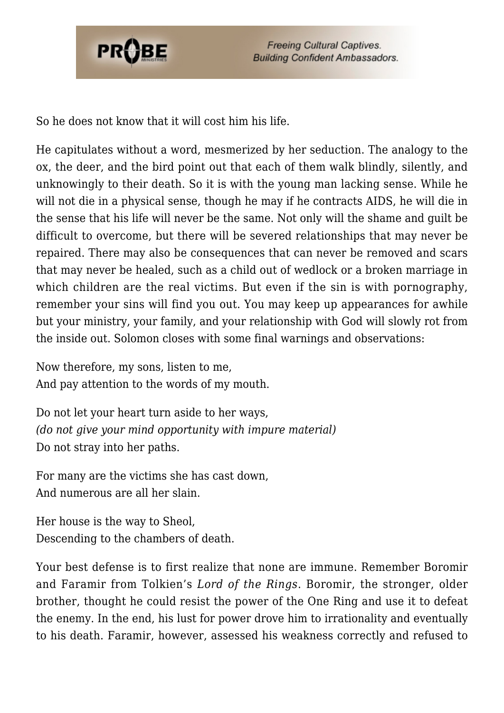

So he does not know that it will cost him his life.

He capitulates without a word, mesmerized by her seduction. The analogy to the ox, the deer, and the bird point out that each of them walk blindly, silently, and unknowingly to their death. So it is with the young man lacking sense. While he will not die in a physical sense, though he may if he contracts AIDS, he will die in the sense that his life will never be the same. Not only will the shame and guilt be difficult to overcome, but there will be severed relationships that may never be repaired. There may also be consequences that can never be removed and scars that may never be healed, such as a child out of wedlock or a broken marriage in which children are the real victims. But even if the sin is with pornography, remember your sins will find you out. You may keep up appearances for awhile but your ministry, your family, and your relationship with God will slowly rot from the inside out. Solomon closes with some final warnings and observations:

Now therefore, my sons, listen to me, And pay attention to the words of my mouth.

Do not let your heart turn aside to her ways, *(do not give your mind opportunity with impure material)* Do not stray into her paths.

For many are the victims she has cast down, And numerous are all her slain.

Her house is the way to Sheol, Descending to the chambers of death.

Your best defense is to first realize that none are immune. Remember Boromir and Faramir from Tolkien's *Lord of the Rings*. Boromir, the stronger, older brother, thought he could resist the power of the One Ring and use it to defeat the enemy. In the end, his lust for power drove him to irrationality and eventually to his death. Faramir, however, assessed his weakness correctly and refused to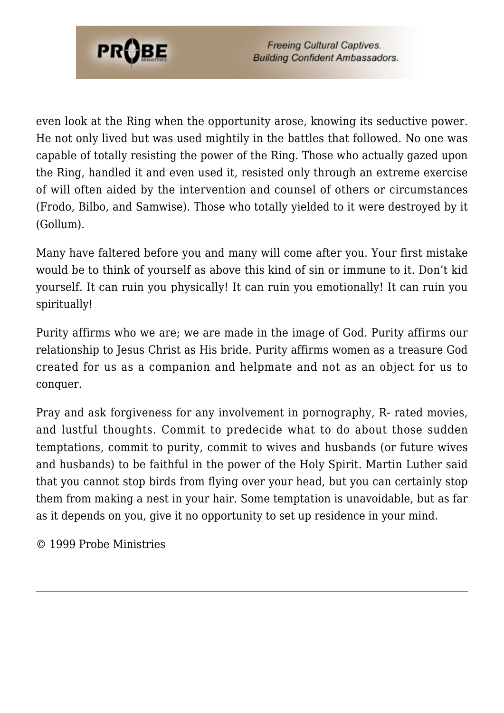

even look at the Ring when the opportunity arose, knowing its seductive power. He not only lived but was used mightily in the battles that followed. No one was capable of totally resisting the power of the Ring. Those who actually gazed upon the Ring, handled it and even used it, resisted only through an extreme exercise of will often aided by the intervention and counsel of others or circumstances (Frodo, Bilbo, and Samwise). Those who totally yielded to it were destroyed by it (Gollum).

Many have faltered before you and many will come after you. Your first mistake would be to think of yourself as above this kind of sin or immune to it. Don't kid yourself. It can ruin you physically! It can ruin you emotionally! It can ruin you spiritually!

Purity affirms who we are; we are made in the image of God. Purity affirms our relationship to Jesus Christ as His bride. Purity affirms women as a treasure God created for us as a companion and helpmate and not as an object for us to conquer.

Pray and ask forgiveness for any involvement in pornography, R- rated movies, and lustful thoughts. Commit to predecide what to do about those sudden temptations, commit to purity, commit to wives and husbands (or future wives and husbands) to be faithful in the power of the Holy Spirit. Martin Luther said that you cannot stop birds from flying over your head, but you can certainly stop them from making a nest in your hair. Some temptation is unavoidable, but as far as it depends on you, give it no opportunity to set up residence in your mind.

© 1999 Probe Ministries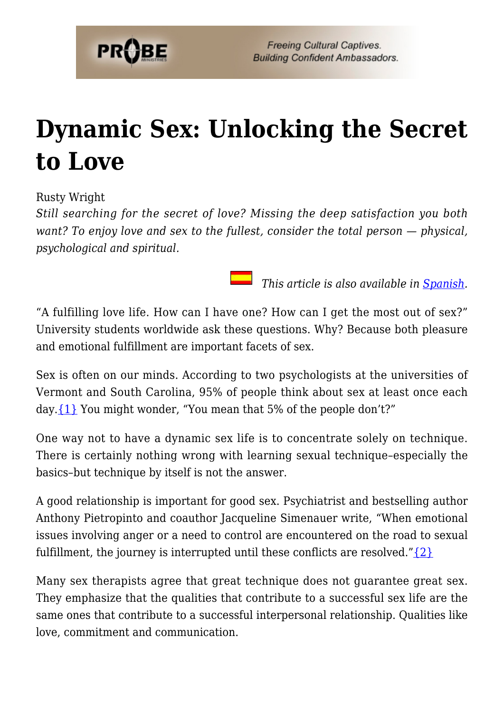

## **[Dynamic Sex: Unlocking the Secret](https://probe.org/dynamic-sex-unlocking-the-secret-to-love/) [to Love](https://probe.org/dynamic-sex-unlocking-the-secret-to-love/)**

Rusty Wright

*Still searching for the secret of love? Missing the deep satisfaction you both want? To enjoy love and sex to the fullest, consider the total person — physical, psychological and spiritual.*

*This article is also available in <u>Spanish</u>.* 

"A fulfilling love life. How can I have one? How can I get the most out of sex?" University students worldwide ask these questions. Why? Because both pleasure and emotional fulfillment are important facets of sex.

Sex is often on our minds. According to two psychologists at the universities of Vermont and South Carolina, 95% of people think about sex at least once each day.  $\{1\}$  You might wonder, "You mean that 5% of the people don't?"

One way not to have a dynamic sex life is to concentrate solely on technique. There is certainly nothing wrong with learning sexual technique–especially the basics–but technique by itself is not the answer.

A good relationship is important for good sex. Psychiatrist and bestselling author Anthony Pietropinto and coauthor Jacqueline Simenauer write, "When emotional issues involving anger or a need to control are encountered on the road to sexual fulfillment, the journey is interrupted until these conflicts are resolved." $\{2\}$ 

Many sex therapists agree that great technique does not guarantee great sex. They emphasize that the qualities that contribute to a successful sex life are the same ones that contribute to a successful interpersonal relationship. Qualities like love, commitment and communication.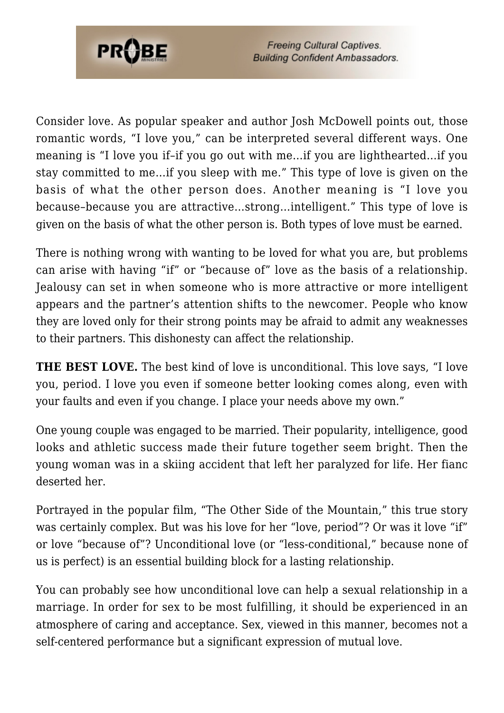

Consider love. As popular speaker and author Josh McDowell points out, those romantic words, "I love you," can be interpreted several different ways. One meaning is "I love you if–if you go out with me…if you are lighthearted…if you stay committed to me…if you sleep with me." This type of love is given on the basis of what the other person does. Another meaning is "I love you because–because you are attractive…strong…intelligent." This type of love is given on the basis of what the other person is. Both types of love must be earned.

There is nothing wrong with wanting to be loved for what you are, but problems can arise with having "if" or "because of" love as the basis of a relationship. Jealousy can set in when someone who is more attractive or more intelligent appears and the partner's attention shifts to the newcomer. People who know they are loved only for their strong points may be afraid to admit any weaknesses to their partners. This dishonesty can affect the relationship.

**THE BEST LOVE.** The best kind of love is unconditional. This love says, "I love you, period. I love you even if someone better looking comes along, even with your faults and even if you change. I place your needs above my own."

One young couple was engaged to be married. Their popularity, intelligence, good looks and athletic success made their future together seem bright. Then the young woman was in a skiing accident that left her paralyzed for life. Her fianc deserted her.

Portrayed in the popular film, "The Other Side of the Mountain," this true story was certainly complex. But was his love for her "love, period"? Or was it love "if" or love "because of"? Unconditional love (or "less-conditional," because none of us is perfect) is an essential building block for a lasting relationship.

You can probably see how unconditional love can help a sexual relationship in a marriage. In order for sex to be most fulfilling, it should be experienced in an atmosphere of caring and acceptance. Sex, viewed in this manner, becomes not a self-centered performance but a significant expression of mutual love.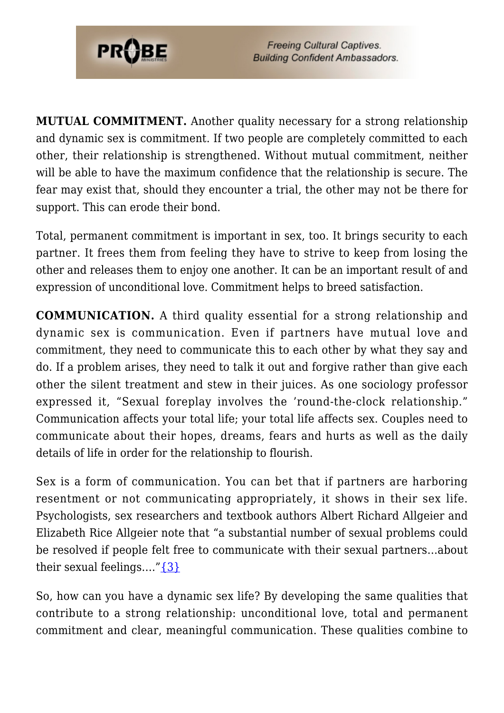

**MUTUAL COMMITMENT.** Another quality necessary for a strong relationship and dynamic sex is commitment. If two people are completely committed to each other, their relationship is strengthened. Without mutual commitment, neither will be able to have the maximum confidence that the relationship is secure. The fear may exist that, should they encounter a trial, the other may not be there for support. This can erode their bond.

Total, permanent commitment is important in sex, too. It brings security to each partner. It frees them from feeling they have to strive to keep from losing the other and releases them to enjoy one another. It can be an important result of and expression of unconditional love. Commitment helps to breed satisfaction.

**COMMUNICATION.** A third quality essential for a strong relationship and dynamic sex is communication. Even if partners have mutual love and commitment, they need to communicate this to each other by what they say and do. If a problem arises, they need to talk it out and forgive rather than give each other the silent treatment and stew in their juices. As one sociology professor expressed it, "Sexual foreplay involves the 'round-the-clock relationship." Communication affects your total life; your total life affects sex. Couples need to communicate about their hopes, dreams, fears and hurts as well as the daily details of life in order for the relationship to flourish.

Sex is a form of communication. You can bet that if partners are harboring resentment or not communicating appropriately, it shows in their sex life. Psychologists, sex researchers and textbook authors Albert Richard Allgeier and Elizabeth Rice Allgeier note that "a substantial number of sexual problems could be resolved if people felt free to communicate with their sexual partners…about their sexual feelings...." $\{3\}$ 

So, how can you have a dynamic sex life? By developing the same qualities that contribute to a strong relationship: unconditional love, total and permanent commitment and clear, meaningful communication. These qualities combine to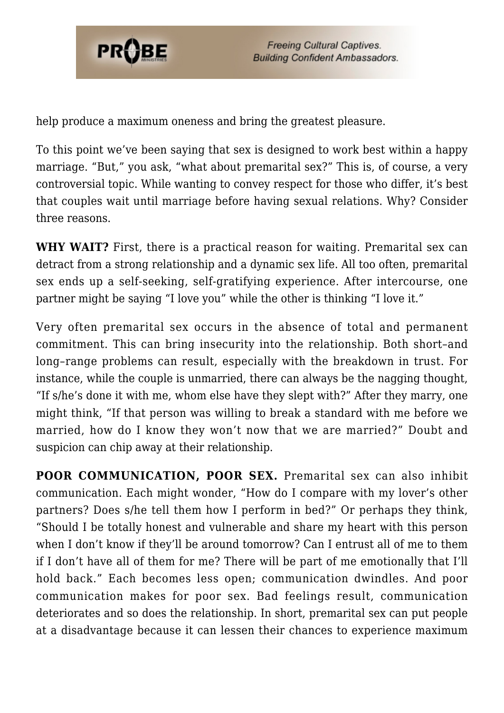

help produce a maximum oneness and bring the greatest pleasure.

To this point we've been saying that sex is designed to work best within a happy marriage. "But," you ask, "what about premarital sex?" This is, of course, a very controversial topic. While wanting to convey respect for those who differ, it's best that couples wait until marriage before having sexual relations. Why? Consider three reasons.

**WHY WAIT?** First, there is a practical reason for waiting. Premarital sex can detract from a strong relationship and a dynamic sex life. All too often, premarital sex ends up a self-seeking, self-gratifying experience. After intercourse, one partner might be saying "I love you" while the other is thinking "I love it."

Very often premarital sex occurs in the absence of total and permanent commitment. This can bring insecurity into the relationship. Both short–and long–range problems can result, especially with the breakdown in trust. For instance, while the couple is unmarried, there can always be the nagging thought, "If s/he's done it with me, whom else have they slept with?" After they marry, one might think, "If that person was willing to break a standard with me before we married, how do I know they won't now that we are married?" Doubt and suspicion can chip away at their relationship.

**POOR COMMUNICATION, POOR SEX.** Premarital sex can also inhibit communication. Each might wonder, "How do I compare with my lover's other partners? Does s/he tell them how I perform in bed?" Or perhaps they think, "Should I be totally honest and vulnerable and share my heart with this person when I don't know if they'll be around tomorrow? Can I entrust all of me to them if I don't have all of them for me? There will be part of me emotionally that I'll hold back." Each becomes less open; communication dwindles. And poor communication makes for poor sex. Bad feelings result, communication deteriorates and so does the relationship. In short, premarital sex can put people at a disadvantage because it can lessen their chances to experience maximum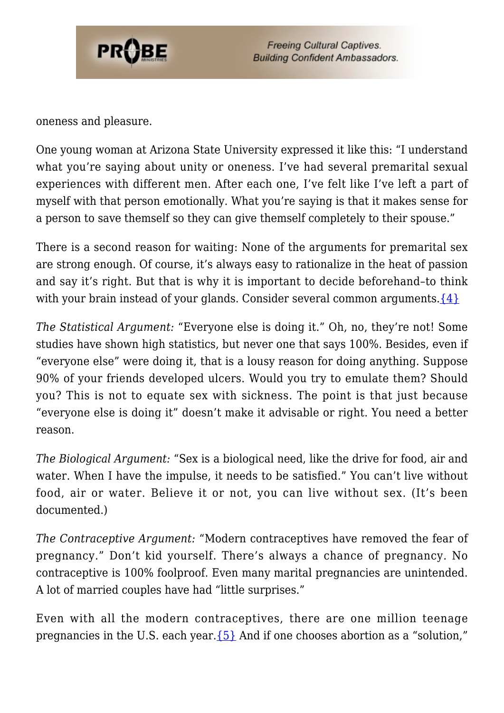

oneness and pleasure.

One young woman at Arizona State University expressed it like this: "I understand what you're saying about unity or oneness. I've had several premarital sexual experiences with different men. After each one, I've felt like I've left a part of myself with that person emotionally. What you're saying is that it makes sense for a person to save themself so they can give themself completely to their spouse."

There is a second reason for waiting: None of the arguments for premarital sex are strong enough. Of course, it's always easy to rationalize in the heat of passion and say it's right. But that is why it is important to decide beforehand–to think with your brain instead of your glands. Consider several common arguments. $\{4\}$ 

*The Statistical Argument:* "Everyone else is doing it." Oh, no, they're not! Some studies have shown high statistics, but never one that says 100%. Besides, even if "everyone else" were doing it, that is a lousy reason for doing anything. Suppose 90% of your friends developed ulcers. Would you try to emulate them? Should you? This is not to equate sex with sickness. The point is that just because "everyone else is doing it" doesn't make it advisable or right. You need a better reason.

*The Biological Argument:* "Sex is a biological need, like the drive for food, air and water. When I have the impulse, it needs to be satisfied." You can't live without food, air or water. Believe it or not, you can live without sex. (It's been documented.)

*The Contraceptive Argument:* "Modern contraceptives have removed the fear of pregnancy." Don't kid yourself. There's always a chance of pregnancy. No contraceptive is 100% foolproof. Even many marital pregnancies are unintended. A lot of married couples have had "little surprises."

Even with all the modern contraceptives, there are one million teenage pregnancies in the U.S. each year. ${5}$  And if one chooses abortion as a "solution,"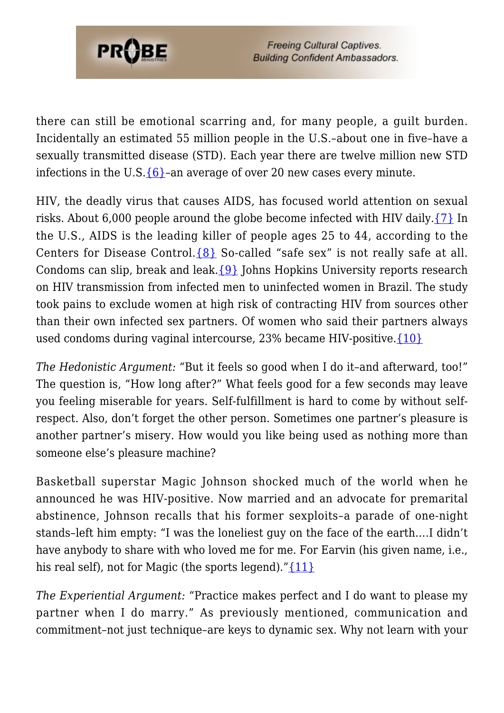

there can still be emotional scarring and, for many people, a guilt burden. Incidentally an estimated 55 million people in the U.S.–about one in five–have a sexually transmitted disease (STD). Each year there are twelve million new STD infections in the U.S[.{6}](#page-80-3)–an average of over 20 new cases every minute.

HIV, the deadly virus that causes AIDS, has focused world attention on sexual risks. About 6,000 people around the globe become infected with HIV daily.[{7}](#page-81-0) In the U.S., AIDS is the leading killer of people ages 25 to 44, according to the Centers for Disease Control. ${8}$  So-called "safe sex" is not really safe at all. Condoms can slip, break and leak.[{9}](#page-81-1) Johns Hopkins University reports research on HIV transmission from infected men to uninfected women in Brazil. The study took pains to exclude women at high risk of contracting HIV from sources other than their own infected sex partners. Of women who said their partners always used condoms during vaginal intercourse, 23% became HIV-positive[.{10}](#page-81-2)

*The Hedonistic Argument:* "But it feels so good when I do it–and afterward, too!" The question is, "How long after?" What feels good for a few seconds may leave you feeling miserable for years. Self-fulfillment is hard to come by without selfrespect. Also, don't forget the other person. Sometimes one partner's pleasure is another partner's misery. How would you like being used as nothing more than someone else's pleasure machine?

Basketball superstar Magic Johnson shocked much of the world when he announced he was HIV-positive. Now married and an advocate for premarital abstinence, Johnson recalls that his former sexploits–a parade of one-night stands–left him empty: "I was the loneliest guy on the face of the earth….I didn't have anybody to share with who loved me for me. For Earvin (his given name, i.e., his real self), not for Magic (the sports legend)." $\{11\}$ 

*The Experiential Argument:* "Practice makes perfect and I do want to please my partner when I do marry." As previously mentioned, communication and commitment–not just technique–are keys to dynamic sex. Why not learn with your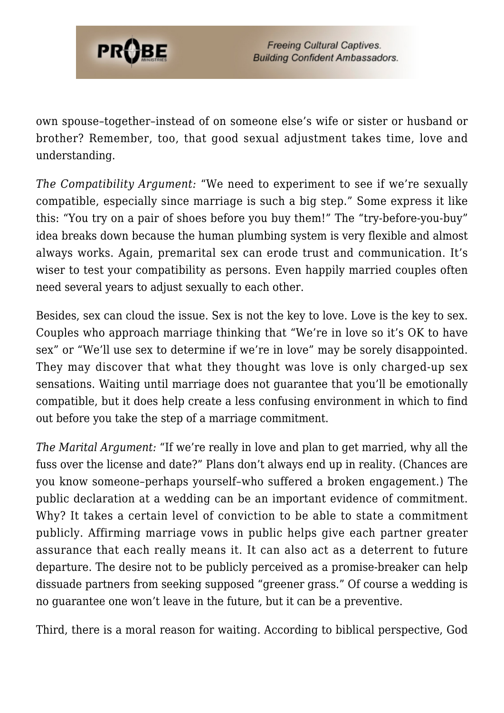

own spouse–together–instead of on someone else's wife or sister or husband or brother? Remember, too, that good sexual adjustment takes time, love and understanding.

*The Compatibility Argument:* "We need to experiment to see if we're sexually compatible, especially since marriage is such a big step." Some express it like this: "You try on a pair of shoes before you buy them!" The "try-before-you-buy" idea breaks down because the human plumbing system is very flexible and almost always works. Again, premarital sex can erode trust and communication. It's wiser to test your compatibility as persons. Even happily married couples often need several years to adjust sexually to each other.

Besides, sex can cloud the issue. Sex is not the key to love. Love is the key to sex. Couples who approach marriage thinking that "We're in love so it's OK to have sex" or "We'll use sex to determine if we're in love" may be sorely disappointed. They may discover that what they thought was love is only charged-up sex sensations. Waiting until marriage does not guarantee that you'll be emotionally compatible, but it does help create a less confusing environment in which to find out before you take the step of a marriage commitment.

*The Marital Argument:* "If we're really in love and plan to get married, why all the fuss over the license and date?" Plans don't always end up in reality. (Chances are you know someone–perhaps yourself–who suffered a broken engagement.) The public declaration at a wedding can be an important evidence of commitment. Why? It takes a certain level of conviction to be able to state a commitment publicly. Affirming marriage vows in public helps give each partner greater assurance that each really means it. It can also act as a deterrent to future departure. The desire not to be publicly perceived as a promise-breaker can help dissuade partners from seeking supposed "greener grass." Of course a wedding is no guarantee one won't leave in the future, but it can be a preventive.

Third, there is a moral reason for waiting. According to biblical perspective, God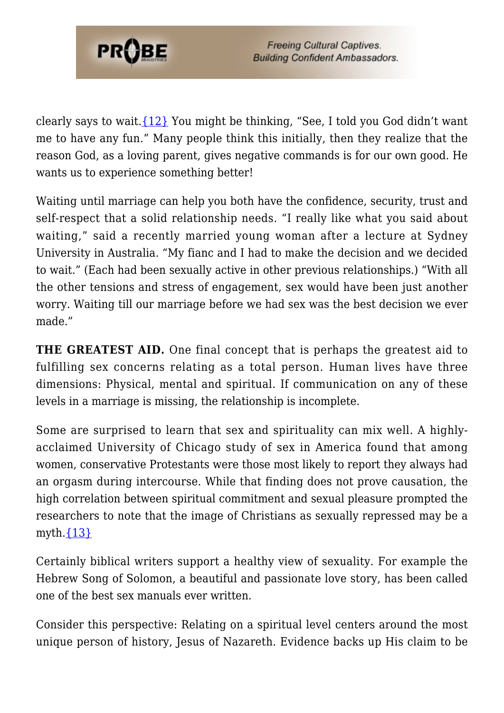

clearly says to wait[.{12}](#page-81-4) You might be thinking, "See, I told you God didn't want me to have any fun." Many people think this initially, then they realize that the reason God, as a loving parent, gives negative commands is for our own good. He wants us to experience something better!

Waiting until marriage can help you both have the confidence, security, trust and self-respect that a solid relationship needs. "I really like what you said about waiting," said a recently married young woman after a lecture at Sydney University in Australia. "My fianc and I had to make the decision and we decided to wait." (Each had been sexually active in other previous relationships.) "With all the other tensions and stress of engagement, sex would have been just another worry. Waiting till our marriage before we had sex was the best decision we ever made."

**THE GREATEST AID.** One final concept that is perhaps the greatest aid to fulfilling sex concerns relating as a total person. Human lives have three dimensions: Physical, mental and spiritual. If communication on any of these levels in a marriage is missing, the relationship is incomplete.

Some are surprised to learn that sex and spirituality can mix well. A highlyacclaimed University of Chicago study of sex in America found that among women, conservative Protestants were those most likely to report they always had an orgasm during intercourse. While that finding does not prove causation, the high correlation between spiritual commitment and sexual pleasure prompted the researchers to note that the image of Christians as sexually repressed may be a myth. $\{13\}$ 

Certainly biblical writers support a healthy view of sexuality. For example the Hebrew Song of Solomon, a beautiful and passionate love story, has been called one of the best sex manuals ever written.

Consider this perspective: Relating on a spiritual level centers around the most unique person of history, Jesus of Nazareth. Evidence backs up His claim to be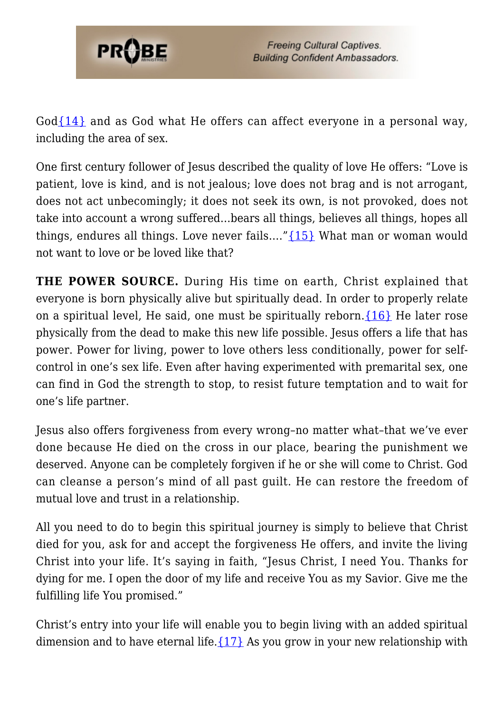

God $\{14\}$  and as God what He offers can affect everyone in a personal way, including the area of sex.

One first century follower of Jesus described the quality of love He offers: "Love is patient, love is kind, and is not jealous; love does not brag and is not arrogant, does not act unbecomingly; it does not seek its own, is not provoked, does not take into account a wrong suffered…bears all things, believes all things, hopes all things, endures all things. Love never fails….["{15}](#page-81-7) What man or woman would not want to love or be loved like that?

**THE POWER SOURCE.** During His time on earth, Christ explained that everyone is born physically alive but spiritually dead. In order to properly relate on a spiritual level, He said, one must be spiritually reborn.  $\{16\}$  He later rose physically from the dead to make this new life possible. Jesus offers a life that has power. Power for living, power to love others less conditionally, power for selfcontrol in one's sex life. Even after having experimented with premarital sex, one can find in God the strength to stop, to resist future temptation and to wait for one's life partner.

Jesus also offers forgiveness from every wrong–no matter what–that we've ever done because He died on the cross in our place, bearing the punishment we deserved. Anyone can be completely forgiven if he or she will come to Christ. God can cleanse a person's mind of all past guilt. He can restore the freedom of mutual love and trust in a relationship.

All you need to do to begin this spiritual journey is simply to believe that Christ died for you, ask for and accept the forgiveness He offers, and invite the living Christ into your life. It's saying in faith, "Jesus Christ, I need You. Thanks for dying for me. I open the door of my life and receive You as my Savior. Give me the fulfilling life You promised."

Christ's entry into your life will enable you to begin living with an added spiritual dimension and to have eternal life.  $\{17\}$  As you grow in your new relationship with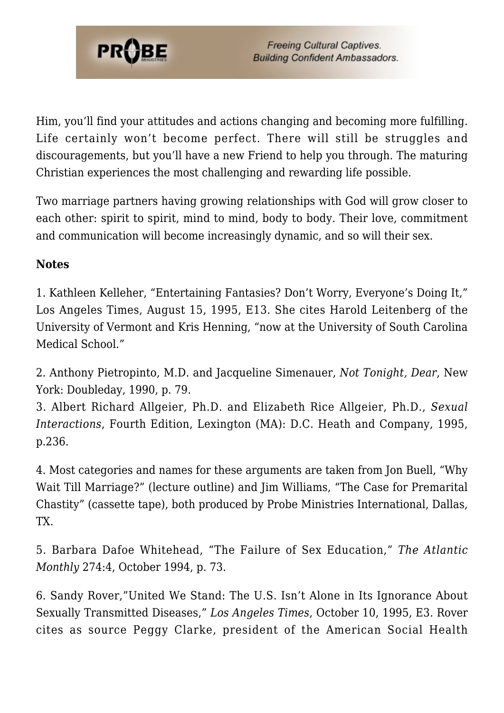

Him, you'll find your attitudes and actions changing and becoming more fulfilling. Life certainly won't become perfect. There will still be struggles and discouragements, but you'll have a new Friend to help you through. The maturing Christian experiences the most challenging and rewarding life possible.

Two marriage partners having growing relationships with God will grow closer to each other: spirit to spirit, mind to mind, body to body. Their love, commitment and communication will become increasingly dynamic, and so will their sex.

## **Notes**

1. Kathleen Kelleher, "Entertaining Fantasies? Don't Worry, Everyone's Doing It," Los Angeles Times, August 15, 1995, E13. She cites Harold Leitenberg of the University of Vermont and Kris Henning, "now at the University of South Carolina Medical School."

2. Anthony Pietropinto, M.D. and Jacqueline Simenauer, *Not Tonight, Dear*, New York: Doubleday, 1990, p. 79.

<span id="page-80-0"></span>3. Albert Richard Allgeier, Ph.D. and Elizabeth Rice Allgeier, Ph.D., *Sexual Interactions*, Fourth Edition, Lexington (MA): D.C. Heath and Company, 1995, p.236.

<span id="page-80-1"></span>4. Most categories and names for these arguments are taken from Jon Buell, "Why Wait Till Marriage?" (lecture outline) and Jim Williams, "The Case for Premarital Chastity" (cassette tape), both produced by Probe Ministries International, Dallas, TX.

<span id="page-80-2"></span>5. Barbara Dafoe Whitehead, "The Failure of Sex Education," *The Atlantic Monthly* 274:4, October 1994, p. 73.

<span id="page-80-3"></span>6. Sandy Rover,"United We Stand: The U.S. Isn't Alone in Its Ignorance About Sexually Transmitted Diseases," *Los Angeles Times*, October 10, 1995, E3. Rover cites as source Peggy Clarke, president of the American Social Health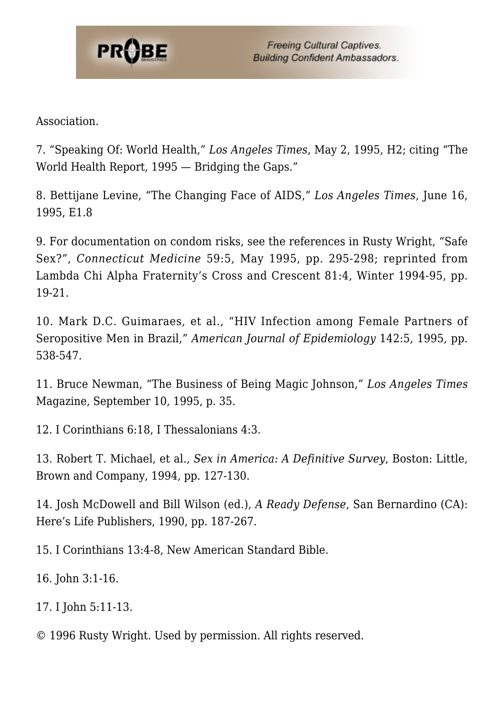

Association.

<span id="page-81-0"></span>7. "Speaking Of: World Health," *Los Angeles Times*, May 2, 1995, H2; citing "The World Health Report, 1995 — Bridging the Gaps."

8. Bettijane Levine, "The Changing Face of AIDS," *Los Angeles Times*, June 16, 1995, E1.8

<span id="page-81-1"></span>9. For documentation on condom risks, see the references in Rusty Wright, "Safe Sex?", *Connecticut Medicine* 59:5, May 1995, pp. 295-298; reprinted from Lambda Chi Alpha Fraternity's Cross and Crescent 81:4, Winter 1994-95, pp. 19-21.

<span id="page-81-2"></span>10. Mark D.C. Guimaraes, et al., "HIV Infection among Female Partners of Seropositive Men in Brazil," *American Journal of Epidemiology* 142:5, 1995, pp. 538-547.

<span id="page-81-3"></span>11. Bruce Newman, "The Business of Being Magic Johnson," *Los Angeles Times* Magazine, September 10, 1995, p. 35.

<span id="page-81-4"></span>12. I Corinthians 6:18, I Thessalonians 4:3.

<span id="page-81-5"></span>13. Robert T. Michael, et al., *Sex in America: A Definitive Survey*, Boston: Little, Brown and Company, 1994, pp. 127-130.

<span id="page-81-6"></span>14. Josh McDowell and Bill Wilson (ed.), *A Ready Defense*, San Bernardino (CA): Here's Life Publishers, 1990, pp. 187-267.

<span id="page-81-7"></span>15. I Corinthians 13:4-8, New American Standard Bible.

<span id="page-81-8"></span>16. John 3:1-16.

<span id="page-81-9"></span>17. I John 5:11-13.

© 1996 Rusty Wright. Used by permission. All rights reserved.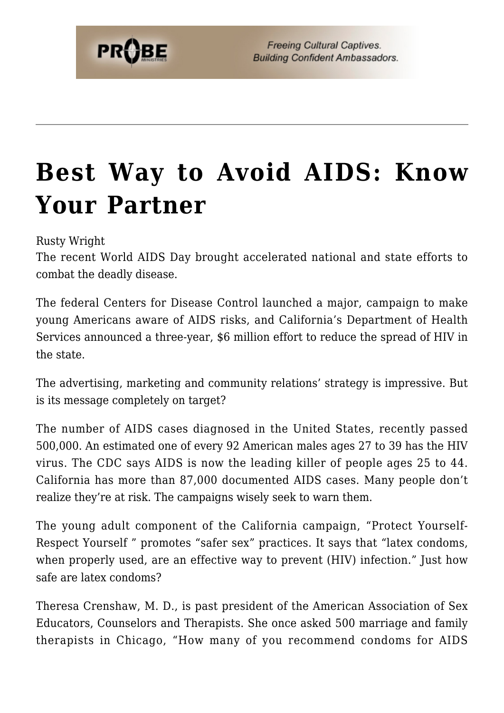## **[Best Way to Avoid AIDS: Know](https://probe.org/best-way-to-avoid-aids-know-your-partner/) [Your Partner](https://probe.org/best-way-to-avoid-aids-know-your-partner/)**

Rusty Wright

The recent World AIDS Day brought accelerated national and state efforts to combat the deadly disease.

The federal Centers for Disease Control launched a major, campaign to make young Americans aware of AIDS risks, and California's Department of Health Services announced a three-year, \$6 million effort to reduce the spread of HIV in the state.

The advertising, marketing and community relations' strategy is impressive. But is its message completely on target?

The number of AIDS cases diagnosed in the United States, recently passed 500,000. An estimated one of every 92 American males ages 27 to 39 has the HIV virus. The CDC says AIDS is now the leading killer of people ages 25 to 44. California has more than 87,000 documented AIDS cases. Many people don't realize they're at risk. The campaigns wisely seek to warn them.

The young adult component of the California campaign, "Protect Yourself-Respect Yourself " promotes "safer sex" practices. It says that "latex condoms, when properly used, are an effective way to prevent (HIV) infection." Just how safe are latex condoms?

Theresa Crenshaw, M. D., is past president of the American Association of Sex Educators, Counselors and Therapists. She once asked 500 marriage and family therapists in Chicago, "How many of you recommend condoms for AIDS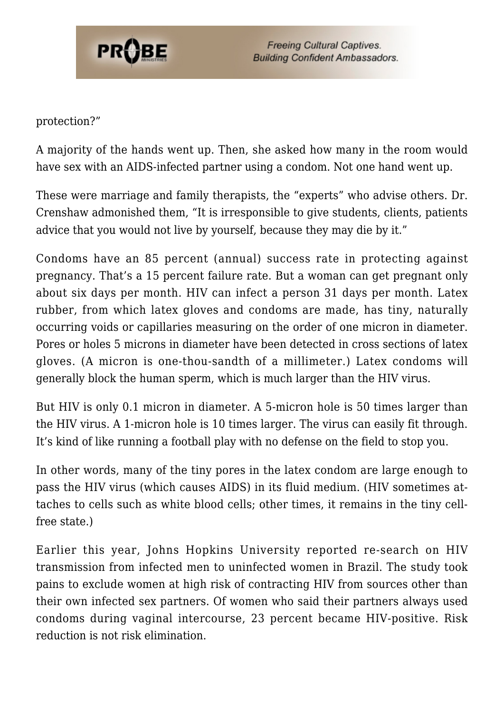

protection?"

A majority of the hands went up. Then, she asked how many in the room would have sex with an AIDS-infected partner using a condom. Not one hand went up.

These were marriage and family therapists, the "experts" who advise others. Dr. Crenshaw admonished them, "It is irresponsible to give students, clients, patients advice that you would not live by yourself, because they may die by it."

Condoms have an 85 percent (annual) success rate in protecting against pregnancy. That's a 15 percent failure rate. But a woman can get pregnant only about six days per month. HIV can infect a person 31 days per month. Latex rubber, from which latex gloves and condoms are made, has tiny, naturally occurring voids or capillaries measuring on the order of one micron in diameter. Pores or holes 5 microns in diameter have been detected in cross sections of latex gloves. (A micron is one-thou-sandth of a millimeter.) Latex condoms will generally block the human sperm, which is much larger than the HIV virus.

But HIV is only 0.1 micron in diameter. A 5-micron hole is 50 times larger than the HIV virus. A 1-micron hole is 10 times larger. The virus can easily fit through. It's kind of like running a football play with no defense on the field to stop you.

In other words, many of the tiny pores in the latex condom are large enough to pass the HIV virus (which causes AIDS) in its fluid medium. (HIV sometimes attaches to cells such as white blood cells; other times, it remains in the tiny cellfree state.)

Earlier this year, Johns Hopkins University reported re-search on HIV transmission from infected men to uninfected women in Brazil. The study took pains to exclude women at high risk of contracting HIV from sources other than their own infected sex partners. Of women who said their partners always used condoms during vaginal intercourse, 23 percent became HIV-positive. Risk reduction is not risk elimination.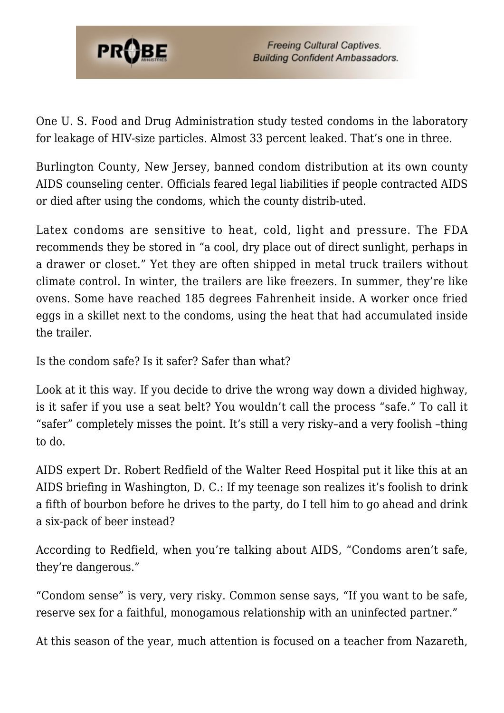

One U. S. Food and Drug Administration study tested condoms in the laboratory for leakage of HIV-size particles. Almost 33 percent leaked. That's one in three.

Burlington County, New Jersey, banned condom distribution at its own county AIDS counseling center. Officials feared legal liabilities if people contracted AIDS or died after using the condoms, which the county distrib-uted.

Latex condoms are sensitive to heat, cold, light and pressure. The FDA recommends they be stored in "a cool, dry place out of direct sunlight, perhaps in a drawer or closet." Yet they are often shipped in metal truck trailers without climate control. In winter, the trailers are like freezers. In summer, they're like ovens. Some have reached 185 degrees Fahrenheit inside. A worker once fried eggs in a skillet next to the condoms, using the heat that had accumulated inside the trailer.

Is the condom safe? Is it safer? Safer than what?

Look at it this way. If you decide to drive the wrong way down a divided highway, is it safer if you use a seat belt? You wouldn't call the process "safe." To call it "safer" completely misses the point. It's still a very risky–and a very foolish –thing to do.

AIDS expert Dr. Robert Redfield of the Walter Reed Hospital put it like this at an AIDS briefing in Washington, D. C.: If my teenage son realizes it's foolish to drink a fifth of bourbon before he drives to the party, do I tell him to go ahead and drink a six-pack of beer instead?

According to Redfield, when you're talking about AIDS, "Condoms aren't safe, they're dangerous."

"Condom sense" is very, very risky. Common sense says, "If you want to be safe, reserve sex for a faithful, monogamous relationship with an uninfected partner."

At this season of the year, much attention is focused on a teacher from Nazareth,